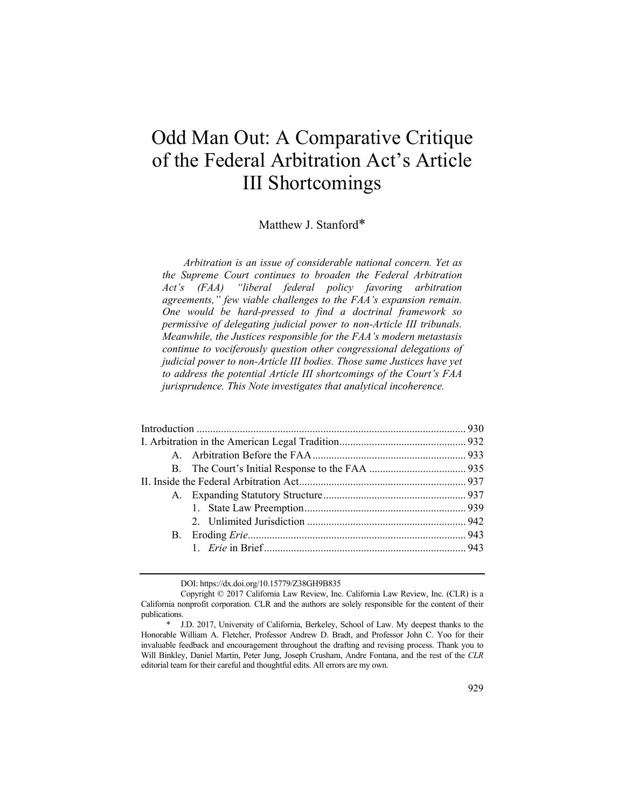# Odd Man Out: A Comparative Critique of the Federal Arbitration Act's Article III Shortcomings

# Matthew J. Stanford\*

*Arbitration is an issue of considerable national concern. Yet as the Supreme Court continues to broaden the Federal Arbitration Act's (FAA) "liberal federal policy favoring arbitration agreements," few viable challenges to the FAA's expansion remain. One would be hard-pressed to find a doctrinal framework so permissive of delegating judicial power to non-Article III tribunals. Meanwhile, the Justices responsible for the FAA's modern metastasis continue to vociferously question other congressional delegations of judicial power to non-Article III bodies. Those same Justices have yet to address the potential Article III shortcomings of the Court's FAA jurisprudence. This Note investigates that analytical incoherence.* 

DOI: https://dx.doi.org/10.15779/Z38GH9B835

Copyright © 2017 California Law Review, Inc. California Law Review, Inc. (CLR) is a California nonprofit corporation. CLR and the authors are solely responsible for the content of their publications.

<sup>\*</sup> J.D. 2017, University of California, Berkeley, School of Law. My deepest thanks to the Honorable William A. Fletcher, Professor Andrew D. Bradt, and Professor John C. Yoo for their invaluable feedback and encouragement throughout the drafting and revising process. Thank you to Will Binkley, Daniel Martin, Peter Jung, Joseph Crusham, Andre Fontana, and the rest of the *CLR* editorial team for their careful and thoughtful edits. All errors are my own.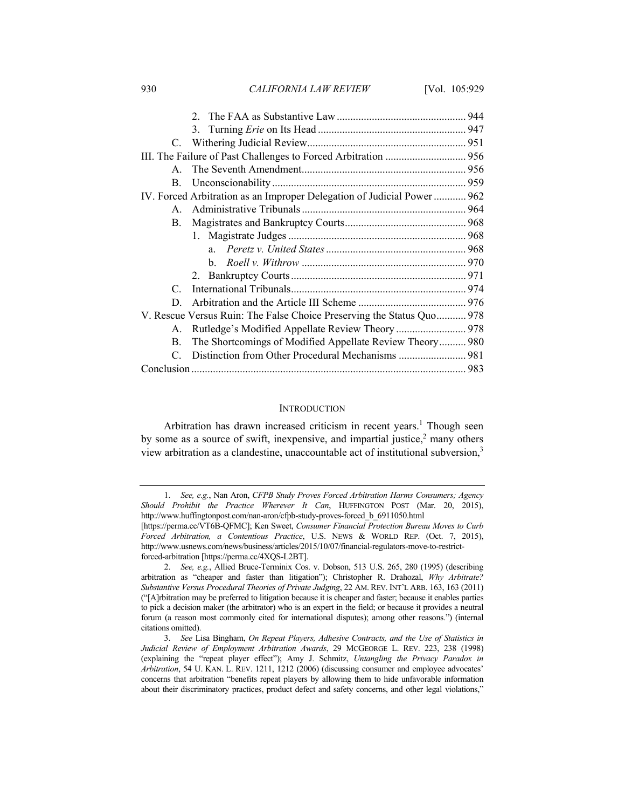930 *CALIFORNIA LAW REVIEW* [Vol. 105:929

| $\mathbf{A}$    |                                                                         |  |
|-----------------|-------------------------------------------------------------------------|--|
|                 |                                                                         |  |
|                 | IV. Forced Arbitration as an Improper Delegation of Judicial Power  962 |  |
|                 |                                                                         |  |
| $\mathbf{B}$ .  |                                                                         |  |
|                 |                                                                         |  |
|                 |                                                                         |  |
|                 |                                                                         |  |
|                 |                                                                         |  |
| $\mathcal{C}^-$ |                                                                         |  |
| D.              |                                                                         |  |
|                 | V. Rescue Versus Ruin: The False Choice Preserving the Status Quo 978   |  |
| $A_{-}$         | Rutledge's Modified Appellate Review Theory  978                        |  |
| B.              | The Shortcomings of Modified Appellate Review Theory 980                |  |
|                 |                                                                         |  |
|                 |                                                                         |  |

#### **INTRODUCTION**

Arbitration has drawn increased criticism in recent years.<sup>1</sup> Though seen by some as a source of swift, inexpensive, and impartial justice, $2$  many others view arbitration as a clandestine, unaccountable act of institutional subversion,3

<sup>1.</sup> *See, e.g.*, Nan Aron, *CFPB Study Proves Forced Arbitration Harms Consumers; Agency Should Prohibit the Practice Wherever It Can*, HUFFINGTON POST (Mar. 20, 2015), http://www.huffingtonpost.com/nan-aron/cfpb-study-proves-forced\_b\_6911050.html

<sup>[</sup>https://perma.cc/VT6B-QFMC]; Ken Sweet, *Consumer Financial Protection Bureau Moves to Curb Forced Arbitration, a Contentious Practice*, U.S. NEWS & WORLD REP. (Oct. 7, 2015), http://www.usnews.com/news/business/articles/2015/10/07/financial-regulators-move-to-restrictforced-arbitration [https://perma.cc/4XQS-L2BT].

<sup>2.</sup> *See, e.g.*, Allied Bruce-Terminix Cos. v. Dobson, 513 U.S. 265, 280 (1995) (describing arbitration as "cheaper and faster than litigation"); Christopher R. Drahozal, *Why Arbitrate? Substantive Versus Procedural Theories of Private Judging*, 22 AM. REV. INT'L ARB. 163, 163 (2011) ("[A]rbitration may be preferred to litigation because it is cheaper and faster; because it enables parties to pick a decision maker (the arbitrator) who is an expert in the field; or because it provides a neutral forum (a reason most commonly cited for international disputes); among other reasons.") (internal citations omitted).

<sup>3.</sup> *See* Lisa Bingham, *On Repeat Players, Adhesive Contracts, and the Use of Statistics in Judicial Review of Employment Arbitration Awards*, 29 MCGEORGE L. REV. 223, 238 (1998) (explaining the "repeat player effect"); Amy J. Schmitz, *Untangling the Privacy Paradox in Arbitration*, 54 U. KAN. L. REV. 1211, 1212 (2006) (discussing consumer and employee advocates' concerns that arbitration "benefits repeat players by allowing them to hide unfavorable information about their discriminatory practices, product defect and safety concerns, and other legal violations,"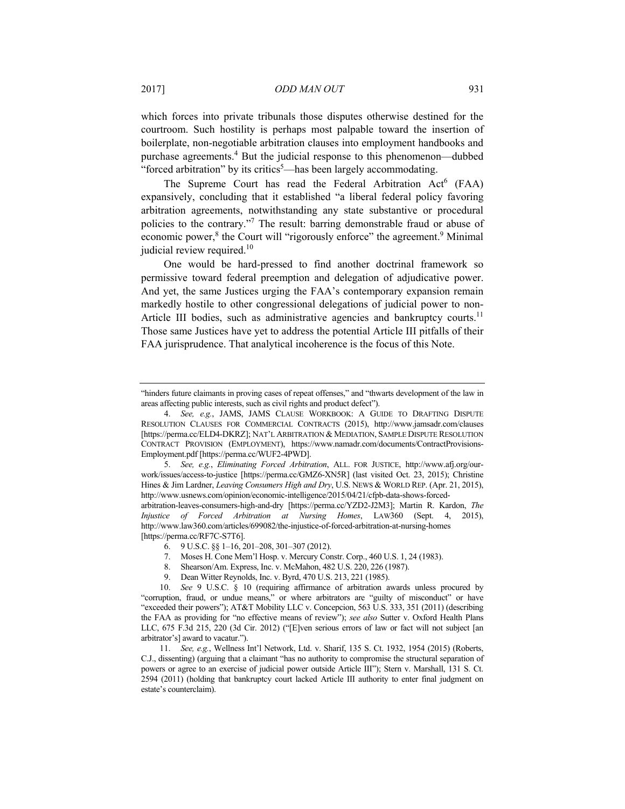which forces into private tribunals those disputes otherwise destined for the courtroom. Such hostility is perhaps most palpable toward the insertion of boilerplate, non-negotiable arbitration clauses into employment handbooks and purchase agreements.<sup>4</sup> But the judicial response to this phenomenon—dubbed "forced arbitration" by its critics<sup>5</sup>—has been largely accommodating.

The Supreme Court has read the Federal Arbitration Act<sup>6</sup> (FAA) expansively, concluding that it established "a liberal federal policy favoring arbitration agreements, notwithstanding any state substantive or procedural policies to the contrary."7 The result: barring demonstrable fraud or abuse of economic power,<sup>8</sup> the Court will "rigorously enforce" the agreement.<sup>9</sup> Minimal judicial review required.<sup>10</sup>

One would be hard-pressed to find another doctrinal framework so permissive toward federal preemption and delegation of adjudicative power. And yet, the same Justices urging the FAA's contemporary expansion remain markedly hostile to other congressional delegations of judicial power to non-Article III bodies, such as administrative agencies and bankruptcy courts.<sup>11</sup> Those same Justices have yet to address the potential Article III pitfalls of their FAA jurisprudence. That analytical incoherence is the focus of this Note.

5. *See, e.g.*, *Eliminating Forced Arbitration*, ALL. FOR JUSTICE, http://www.afj.org/ourwork/issues/access-to-justice [https://perma.cc/GMZ6-XN5R] (last visited Oct. 23, 2015); Christine Hines & Jim Lardner, *Leaving Consumers High and Dry*, U.S. NEWS & WORLD REP. (Apr. 21, 2015), http://www.usnews.com/opinion/economic-intelligence/2015/04/21/cfpb-data-shows-forcedarbitration-leaves-consumers-high-and-dry [https://perma.cc/YZD2-J2M3]; Martin R. Kardon, *The* 

*Injustice of Forced Arbitration at Nursing Homes*, LAW360 (Sept. 4, 2015), http://www.law360.com/articles/699082/the-injustice-of-forced-arbitration-at-nursing-homes [https://perma.cc/RF7C-S7T6].

<sup>&</sup>quot;hinders future claimants in proving cases of repeat offenses," and "thwarts development of the law in areas affecting public interests, such as civil rights and product defect").

<sup>4.</sup> *See, e.g.*, JAMS, JAMS CLAUSE WORKBOOK: A GUIDE TO DRAFTING DISPUTE RESOLUTION CLAUSES FOR COMMERCIAL CONTRACTS (2015), http://www.jamsadr.com/clauses [https://perma.cc/ELD4-DKRZ]; NAT'L ARBITRATION & MEDIATION, SAMPLE DISPUTE RESOLUTION CONTRACT PROVISION (EMPLOYMENT), https://www.namadr.com/documents/ContractProvisions-Employment.pdf [https://perma.cc/WUF2-4PWD].

 <sup>6. 9</sup> U.S.C. §§ 1–16, 201–208, 301–307 (2012).

 <sup>7.</sup> Moses H. Cone Mem'l Hosp. v. Mercury Constr. Corp., 460 U.S. 1, 24 (1983).

 <sup>8.</sup> Shearson/Am. Express, Inc. v. McMahon, 482 U.S. 220, 226 (1987).

 <sup>9.</sup> Dean Witter Reynolds, Inc. v. Byrd, 470 U.S. 213, 221 (1985).

<sup>10.</sup> *See* 9 U.S.C. § 10 (requiring affirmance of arbitration awards unless procured by "corruption, fraud, or undue means," or where arbitrators are "guilty of misconduct" or have "exceeded their powers"); AT&T Mobility LLC v. Concepcion, 563 U.S. 333, 351 (2011) (describing the FAA as providing for "no effective means of review"); *see also* Sutter v. Oxford Health Plans LLC, 675 F.3d 215, 220 (3d Cir. 2012) ("[E]ven serious errors of law or fact will not subject [an arbitrator's] award to vacatur.").

<sup>11.</sup> *See, e.g.*, Wellness Int'l Network, Ltd. v. Sharif, 135 S. Ct. 1932, 1954 (2015) (Roberts, C.J., dissenting) (arguing that a claimant "has no authority to compromise the structural separation of powers or agree to an exercise of judicial power outside Article III"); Stern v. Marshall, 131 S. Ct. 2594 (2011) (holding that bankruptcy court lacked Article III authority to enter final judgment on estate's counterclaim).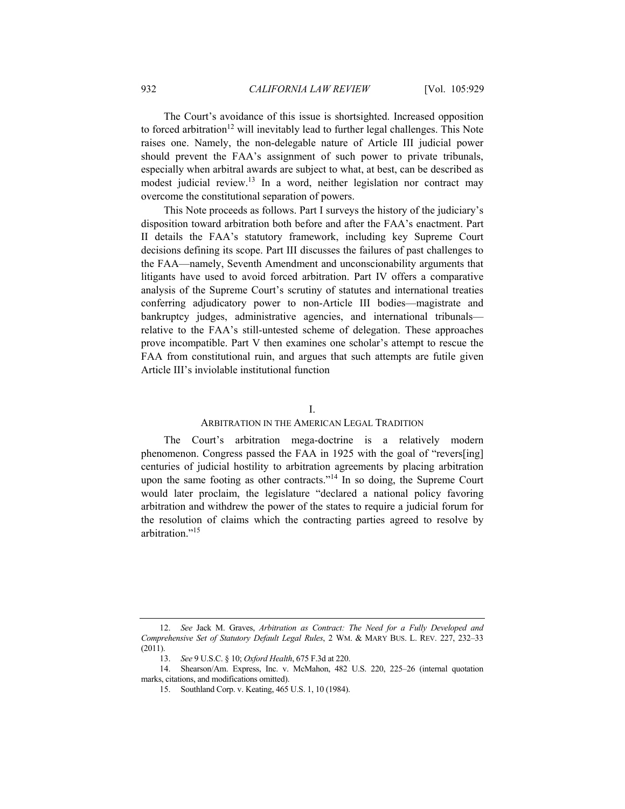The Court's avoidance of this issue is shortsighted. Increased opposition to forced arbitration<sup>12</sup> will inevitably lead to further legal challenges. This Note raises one. Namely, the non-delegable nature of Article III judicial power should prevent the FAA's assignment of such power to private tribunals, especially when arbitral awards are subject to what, at best, can be described as modest judicial review.13 In a word, neither legislation nor contract may overcome the constitutional separation of powers.

This Note proceeds as follows. Part I surveys the history of the judiciary's disposition toward arbitration both before and after the FAA's enactment. Part II details the FAA's statutory framework, including key Supreme Court decisions defining its scope. Part III discusses the failures of past challenges to the FAA—namely, Seventh Amendment and unconscionability arguments that litigants have used to avoid forced arbitration. Part IV offers a comparative analysis of the Supreme Court's scrutiny of statutes and international treaties conferring adjudicatory power to non-Article III bodies—magistrate and bankruptcy judges, administrative agencies, and international tribunals relative to the FAA's still-untested scheme of delegation. These approaches prove incompatible. Part V then examines one scholar's attempt to rescue the FAA from constitutional ruin, and argues that such attempts are futile given Article III's inviolable institutional function

# I.

# ARBITRATION IN THE AMERICAN LEGAL TRADITION

The Court's arbitration mega-doctrine is a relatively modern phenomenon. Congress passed the FAA in 1925 with the goal of "revers[ing] centuries of judicial hostility to arbitration agreements by placing arbitration upon the same footing as other contracts."14 In so doing, the Supreme Court would later proclaim, the legislature "declared a national policy favoring arbitration and withdrew the power of the states to require a judicial forum for the resolution of claims which the contracting parties agreed to resolve by arbitration."15

<sup>12.</sup> *See* Jack M. Graves, *Arbitration as Contract: The Need for a Fully Developed and Comprehensive Set of Statutory Default Legal Rules*, 2 WM. & MARY BUS. L. REV. 227, 232–33 (2011).

<sup>13.</sup> *See* 9 U.S.C. § 10; *Oxford Health*, 675 F.3d at 220.

<sup>14.</sup> Shearson/Am. Express, Inc. v. McMahon, 482 U.S. 220, 225–26 (internal quotation marks, citations, and modifications omitted).

 <sup>15.</sup> Southland Corp. v. Keating, 465 U.S. 1, 10 (1984).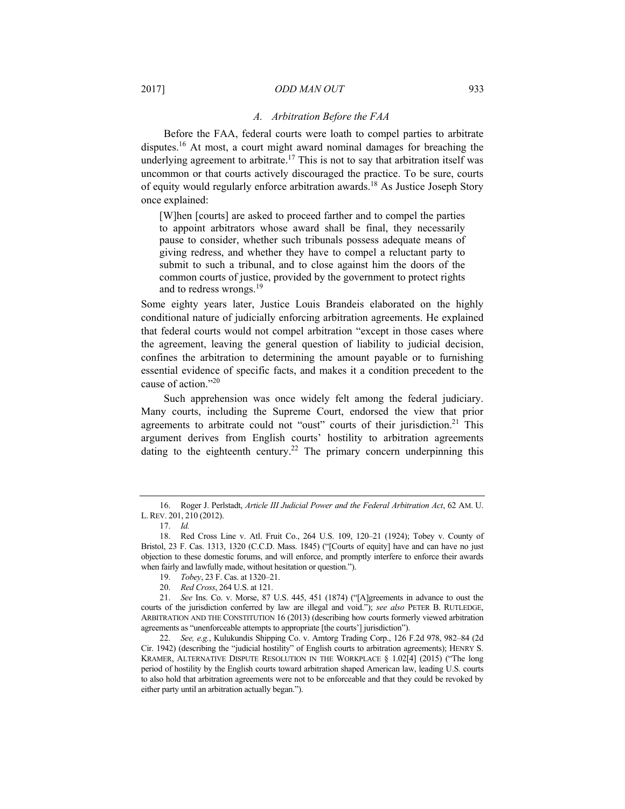## 2017] *ODD MAN OUT* 933

### *A. Arbitration Before the FAA*

Before the FAA, federal courts were loath to compel parties to arbitrate disputes.16 At most, a court might award nominal damages for breaching the underlying agreement to arbitrate.<sup>17</sup> This is not to say that arbitration itself was uncommon or that courts actively discouraged the practice. To be sure, courts of equity would regularly enforce arbitration awards.18 As Justice Joseph Story once explained:

[W]hen [courts] are asked to proceed farther and to compel the parties to appoint arbitrators whose award shall be final, they necessarily pause to consider, whether such tribunals possess adequate means of giving redress, and whether they have to compel a reluctant party to submit to such a tribunal, and to close against him the doors of the common courts of justice, provided by the government to protect rights and to redress wrongs.19

Some eighty years later, Justice Louis Brandeis elaborated on the highly conditional nature of judicially enforcing arbitration agreements. He explained that federal courts would not compel arbitration "except in those cases where the agreement, leaving the general question of liability to judicial decision, confines the arbitration to determining the amount payable or to furnishing essential evidence of specific facts, and makes it a condition precedent to the cause of action."20

Such apprehension was once widely felt among the federal judiciary. Many courts, including the Supreme Court, endorsed the view that prior agreements to arbitrate could not "oust" courts of their jurisdiction.<sup>21</sup> This argument derives from English courts' hostility to arbitration agreements dating to the eighteenth century.<sup>22</sup> The primary concern underpinning this

 <sup>16.</sup> Roger J. Perlstadt, *Article III Judicial Power and the Federal Arbitration Act*, 62 AM. U. L.REV. 201, 210 (2012).

<sup>17.</sup> *Id.*

 <sup>18.</sup> Red Cross Line v. Atl. Fruit Co., 264 U.S. 109, 120–21 (1924); Tobey v. County of Bristol, 23 F. Cas. 1313, 1320 (C.C.D. Mass. 1845) ("[Courts of equity] have and can have no just objection to these domestic forums, and will enforce, and promptly interfere to enforce their awards when fairly and lawfully made, without hesitation or question.").

<sup>19.</sup> *Tobey*, 23 F. Cas. at 1320–21.

<sup>20.</sup> *Red Cross*, 264 U.S. at 121.

<sup>21.</sup> *See* Ins. Co. v. Morse, 87 U.S. 445, 451 (1874) ("[A]greements in advance to oust the courts of the jurisdiction conferred by law are illegal and void."); *see also* PETER B. RUTLEDGE, ARBITRATION AND THE CONSTITUTION 16 (2013) (describing how courts formerly viewed arbitration agreements as "unenforceable attempts to appropriate [the courts'] jurisdiction").

<sup>22.</sup> *See, e.g.*, Kulukundis Shipping Co. v. Amtorg Trading Corp., 126 F.2d 978, 982–84 (2d Cir. 1942) (describing the "judicial hostility" of English courts to arbitration agreements); HENRY S. KRAMER, ALTERNATIVE DISPUTE RESOLUTION IN THE WORKPLACE § 1.02[4] (2015) ("The long period of hostility by the English courts toward arbitration shaped American law, leading U.S. courts to also hold that arbitration agreements were not to be enforceable and that they could be revoked by either party until an arbitration actually began.").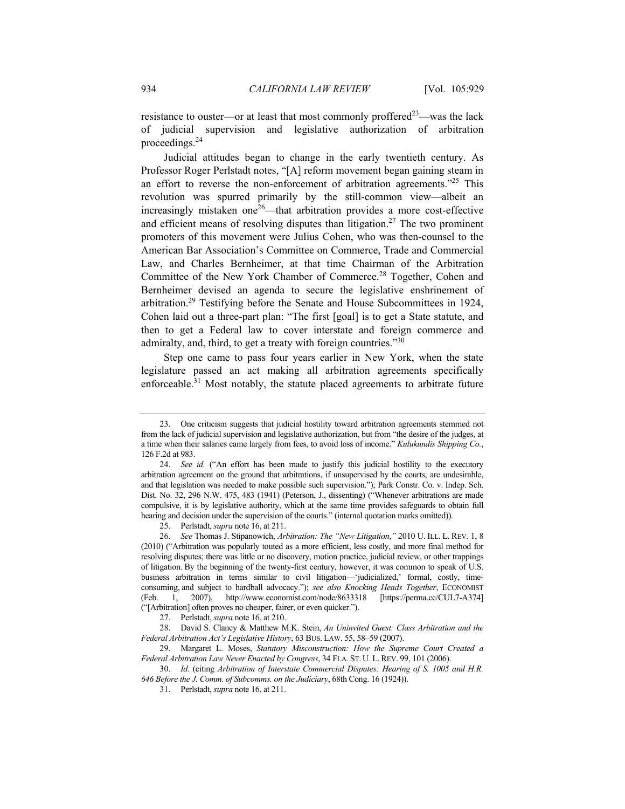resistance to ouster—or at least that most commonly proffered<sup>23</sup>—was the lack of judicial supervision and legislative authorization of arbitration proceedings.24

Judicial attitudes began to change in the early twentieth century. As Professor Roger Perlstadt notes, "[A] reform movement began gaining steam in an effort to reverse the non-enforcement of arbitration agreements."<sup>25</sup> This revolution was spurred primarily by the still-common view––albeit an increasingly mistaken one<sup> $26$ </sup>—that arbitration provides a more cost-effective and efficient means of resolving disputes than litigation.<sup>27</sup> The two prominent promoters of this movement were Julius Cohen, who was then-counsel to the American Bar Association's Committee on Commerce, Trade and Commercial Law, and Charles Bernheimer, at that time Chairman of the Arbitration Committee of the New York Chamber of Commerce.<sup>28</sup> Together, Cohen and Bernheimer devised an agenda to secure the legislative enshrinement of arbitration.29 Testifying before the Senate and House Subcommittees in 1924, Cohen laid out a three-part plan: "The first [goal] is to get a State statute, and then to get a Federal law to cover interstate and foreign commerce and admiralty, and, third, to get a treaty with foreign countries."30

Step one came to pass four years earlier in New York, when the state legislature passed an act making all arbitration agreements specifically enforceable.<sup>31</sup> Most notably, the statute placed agreements to arbitrate future

 <sup>23.</sup> One criticism suggests that judicial hostility toward arbitration agreements stemmed not from the lack of judicial supervision and legislative authorization, but from "the desire of the judges, at a time when their salaries came largely from fees, to avoid loss of income." *Kulukundis Shipping Co.*, 126 F.2d at 983.

<sup>24.</sup> *See id.* ("An effort has been made to justify this judicial hostility to the executory arbitration agreement on the ground that arbitrations, if unsupervised by the courts, are undesirable, and that legislation was needed to make possible such supervision."); Park Constr. Co. v. Indep. Sch. Dist. No. 32, 296 N.W. 475, 483 (1941) (Peterson, J., dissenting) ("Whenever arbitrations are made compulsive, it is by legislative authority, which at the same time provides safeguards to obtain full hearing and decision under the supervision of the courts." (internal quotation marks omitted)).

 <sup>25.</sup> Perlstadt, *supra* note 16, at 211.

<sup>26.</sup> *See* Thomas J. Stipanowich, *Arbitration: The "New Litigation*,*"* 2010 U. ILL. L. REV. 1, 8 (2010) ("Arbitration was popularly touted as a more efficient, less costly, and more final method for resolving disputes; there was little or no discovery, motion practice, judicial review, or other trappings of litigation. By the beginning of the twenty-first century, however, it was common to speak of U.S. business arbitration in terms similar to civil litigation—'judicialized,' formal, costly, timeconsuming, and subject to hardball advocacy."); *see also Knocking Heads Together*, ECONOMIST (Feb. 1, 2007), http://www.economist.com/node/8633318 [https://perma.cc/CUL7-A374] ("[Arbitration] often proves no cheaper, fairer, or even quicker.").

 <sup>27.</sup> Perlstadt, *supra* note 16, at 210.

 <sup>28.</sup> David S. Clancy & Matthew M.K. Stein, *An Uninvited Guest: Class Arbitration and the Federal Arbitration Act's Legislative History*, 63 BUS. LAW. 55, 58–59 (2007).

 <sup>29.</sup> Margaret L. Moses, *Statutory Misconstruction: How the Supreme Court Created a Federal Arbitration Law Never Enacted by Congress*, 34 FLA. ST. U. L.REV. 99, 101 (2006).

<sup>30.</sup> *Id.* (citing *Arbitration of Interstate Commercial Disputes: Hearing of S. 1005 and H.R. 646 Before the J. Comm. of Subcomms. on the Judiciary*, 68th Cong. 16 (1924)).

 <sup>31.</sup> Perlstadt, *supra* note 16, at 211.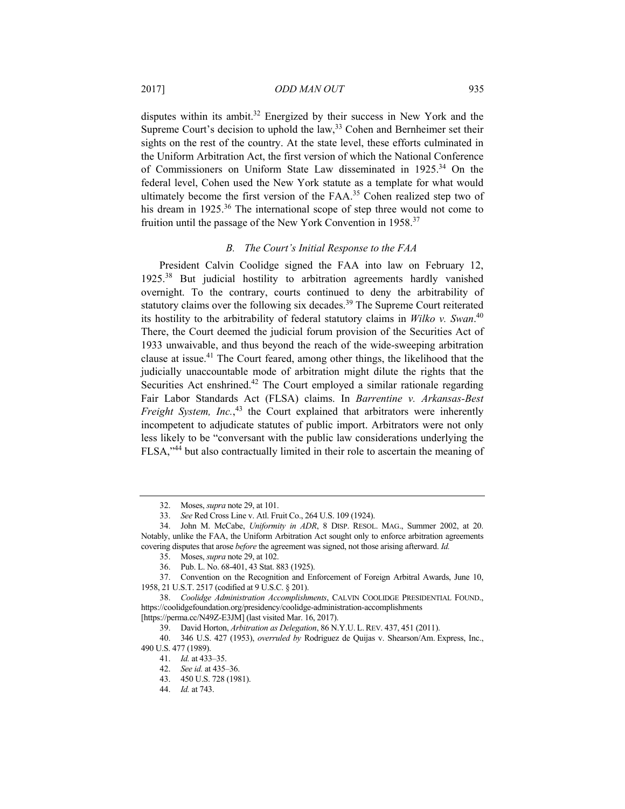disputes within its ambit.<sup>32</sup> Energized by their success in New York and the Supreme Court's decision to uphold the law,  $33$  Cohen and Bernheimer set their sights on the rest of the country. At the state level, these efforts culminated in the Uniform Arbitration Act, the first version of which the National Conference of Commissioners on Uniform State Law disseminated in 1925.<sup>34</sup> On the federal level, Cohen used the New York statute as a template for what would ultimately become the first version of the FAA.<sup>35</sup> Cohen realized step two of his dream in 1925.<sup>36</sup> The international scope of step three would not come to fruition until the passage of the New York Convention in 1958.37

## *B. The Court's Initial Response to the FAA*

President Calvin Coolidge signed the FAA into law on February 12, 1925.38 But judicial hostility to arbitration agreements hardly vanished overnight. To the contrary, courts continued to deny the arbitrability of statutory claims over the following six decades.<sup>39</sup> The Supreme Court reiterated its hostility to the arbitrability of federal statutory claims in *Wilko v. Swan*. 40 There, the Court deemed the judicial forum provision of the Securities Act of 1933 unwaivable, and thus beyond the reach of the wide-sweeping arbitration clause at issue.41 The Court feared, among other things, the likelihood that the judicially unaccountable mode of arbitration might dilute the rights that the Securities Act enshrined.<sup>42</sup> The Court employed a similar rationale regarding Fair Labor Standards Act (FLSA) claims. In *Barrentine v. Arkansas-Best*  Freight System, Inc.,<sup>43</sup> the Court explained that arbitrators were inherently incompetent to adjudicate statutes of public import. Arbitrators were not only less likely to be "conversant with the public law considerations underlying the FLSA,"44 but also contractually limited in their role to ascertain the meaning of

36. Pub. L. No. 68-401, 43 Stat. 883 (1925).

 <sup>32.</sup> Moses, *supra* note 29, at 101.

<sup>33.</sup> *See* Red Cross Line v. Atl. Fruit Co., 264 U.S. 109 (1924).

 <sup>34.</sup> John M. McCabe, *Uniformity in ADR*, 8 DISP. RESOL. MAG., Summer 2002, at 20. Notably, unlike the FAA, the Uniform Arbitration Act sought only to enforce arbitration agreements covering disputes that arose *before* the agreement was signed, not those arising afterward. *Id.*

 <sup>35.</sup> Moses, *supra* note 29, at 102.

 <sup>37.</sup> Convention on the Recognition and Enforcement of Foreign Arbitral Awards, June 10, 1958, 21 U.S.T. 2517 (codified at 9 U.S.C. § 201).

<sup>38.</sup> *Coolidge Administration Accomplishments*, CALVIN COOLIDGE PRESIDENTIAL FOUND., https://coolidgefoundation.org/presidency/coolidge-administration-accomplishments [https://perma.cc/N49Z-E3JM] (last visited Mar. 16, 2017).

 <sup>39.</sup> David Horton, *Arbitration as Delegation*, 86 N.Y.U. L.REV. 437, 451 (2011).

 <sup>40. 346</sup> U.S. 427 (1953), *overruled by* Rodriguez de Quijas v. Shearson/Am. Express, Inc., 490 U.S. 477 (1989).

<sup>41.</sup> *Id.* at 433–35.

<sup>42.</sup> *See id.* at 435–36.

 <sup>43. 450</sup> U.S. 728 (1981).

<sup>44.</sup> *Id.* at 743.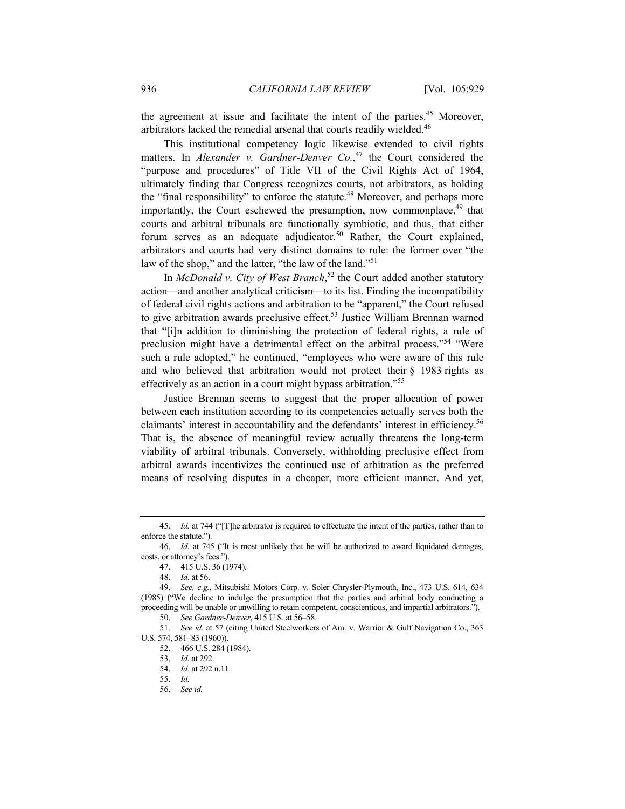the agreement at issue and facilitate the intent of the parties.<sup>45</sup> Moreover, arbitrators lacked the remedial arsenal that courts readily wielded.46

This institutional competency logic likewise extended to civil rights matters. In *Alexander v. Gardner-Denver Co.*<sup>47</sup> the Court considered the "purpose and procedures" of Title VII of the Civil Rights Act of 1964, ultimately finding that Congress recognizes courts, not arbitrators, as holding the "final responsibility" to enforce the statute.<sup>48</sup> Moreover, and perhaps more importantly, the Court eschewed the presumption, now commonplace,<sup>49</sup> that courts and arbitral tribunals are functionally symbiotic, and thus, that either forum serves as an adequate adjudicator.<sup>50</sup> Rather, the Court explained, arbitrators and courts had very distinct domains to rule: the former over "the law of the shop," and the latter, "the law of the land."<sup>51</sup>

In *McDonald v. City of West Branch*, 52 the Court added another statutory action––and another analytical criticism––to its list. Finding the incompatibility of federal civil rights actions and arbitration to be "apparent," the Court refused to give arbitration awards preclusive effect.<sup>53</sup> Justice William Brennan warned that "[i]n addition to diminishing the protection of federal rights, a rule of preclusion might have a detrimental effect on the arbitral process."<sup>54</sup> "Were such a rule adopted," he continued, "employees who were aware of this rule and who believed that arbitration would not protect their § 1983 rights as effectively as an action in a court might bypass arbitration."55

Justice Brennan seems to suggest that the proper allocation of power between each institution according to its competencies actually serves both the claimants' interest in accountability and the defendants' interest in efficiency.56 That is, the absence of meaningful review actually threatens the long-term viability of arbitral tribunals. Conversely, withholding preclusive effect from arbitral awards incentivizes the continued use of arbitration as the preferred means of resolving disputes in a cheaper, more efficient manner. And yet,

<sup>45.</sup> *Id.* at 744 ("[T]he arbitrator is required to effectuate the intent of the parties, rather than to enforce the statute.").

<sup>46.</sup> *Id.* at 745 ("It is most unlikely that he will be authorized to award liquidated damages, costs, or attorney's fees.").

 <sup>47. 415</sup> U.S. 36 (1974).

<sup>48.</sup> *Id.* at 56.

<sup>49.</sup> *See, e.g.*, Mitsubishi Motors Corp. v. Soler Chrysler-Plymouth, Inc., 473 U.S. 614, 634 (1985) ("We decline to indulge the presumption that the parties and arbitral body conducting a proceeding will be unable or unwilling to retain competent, conscientious, and impartial arbitrators."). 50. *See Gardner-Denver*, 415 U.S. at 56–58.

<sup>51.</sup> *See id.* at 57 (citing United Steelworkers of Am. v. Warrior & Gulf Navigation Co., 363 U.S. 574, 581–83 (1960)).

 <sup>52. 466</sup> U.S. 284 (1984).

<sup>53.</sup> *Id.* at 292.

<sup>54.</sup> *Id.* at 292 n.11.

<sup>55.</sup> *Id.*

<sup>56.</sup> *See id.*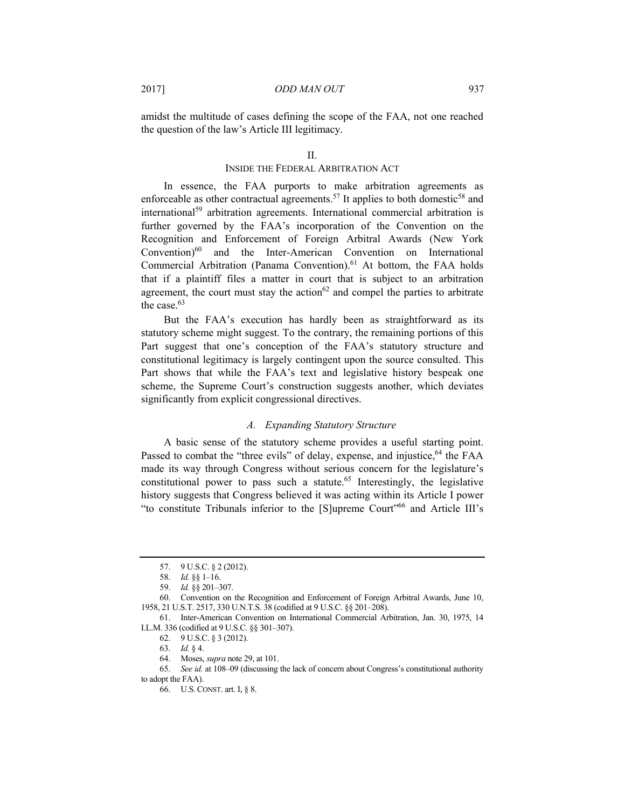amidst the multitude of cases defining the scope of the FAA, not one reached the question of the law's Article III legitimacy.

# INSIDE THE FEDERAL ARBITRATION ACT

In essence, the FAA purports to make arbitration agreements as enforceable as other contractual agreements.<sup>57</sup> It applies to both domestic<sup>58</sup> and international<sup>59</sup> arbitration agreements. International commercial arbitration is further governed by the FAA's incorporation of the Convention on the Recognition and Enforcement of Foreign Arbitral Awards (New York Convention)<sup>60</sup> and the Inter-American Convention on International Commercial Arbitration (Panama Convention).<sup>61</sup> At bottom, the FAA holds that if a plaintiff files a matter in court that is subject to an arbitration agreement, the court must stay the action<sup>62</sup> and compel the parties to arbitrate the case.<sup>63</sup>

But the FAA's execution has hardly been as straightforward as its statutory scheme might suggest. To the contrary, the remaining portions of this Part suggest that one's conception of the FAA's statutory structure and constitutional legitimacy is largely contingent upon the source consulted. This Part shows that while the FAA's text and legislative history bespeak one scheme, the Supreme Court's construction suggests another, which deviates significantly from explicit congressional directives.

# *A. Expanding Statutory Structure*

A basic sense of the statutory scheme provides a useful starting point. Passed to combat the "three evils" of delay, expense, and injustice,  $64$  the FAA made its way through Congress without serious concern for the legislature's constitutional power to pass such a statute.<sup>65</sup> Interestingly, the legislative history suggests that Congress believed it was acting within its Article I power "to constitute Tribunals inferior to the [S]upreme Court"66 and Article III's

 <sup>57. 9</sup> U.S.C. § 2 (2012).

<sup>58.</sup> *Id.* §§ 1–16.

<sup>59.</sup> *Id.* §§ 201–307.

 <sup>60.</sup> Convention on the Recognition and Enforcement of Foreign Arbitral Awards, June 10, 1958, 21 U.S.T. 2517, 330 U.N.T.S. 38 (codified at 9 U.S.C. §§ 201–208).

 <sup>61.</sup> Inter-American Convention on International Commercial Arbitration, Jan. 30, 1975, 14 I.L.M. 336 (codified at 9 U.S.C. §§ 301–307).

 <sup>62. 9</sup> U.S.C. § 3 (2012).

<sup>63.</sup> *Id.* § 4.

 <sup>64.</sup> Moses, *supra* note 29, at 101.

<sup>65.</sup> *See id.* at 108–09 (discussing the lack of concern about Congress's constitutional authority to adopt the FAA).

 <sup>66.</sup> U.S.CONST. art. I, § 8.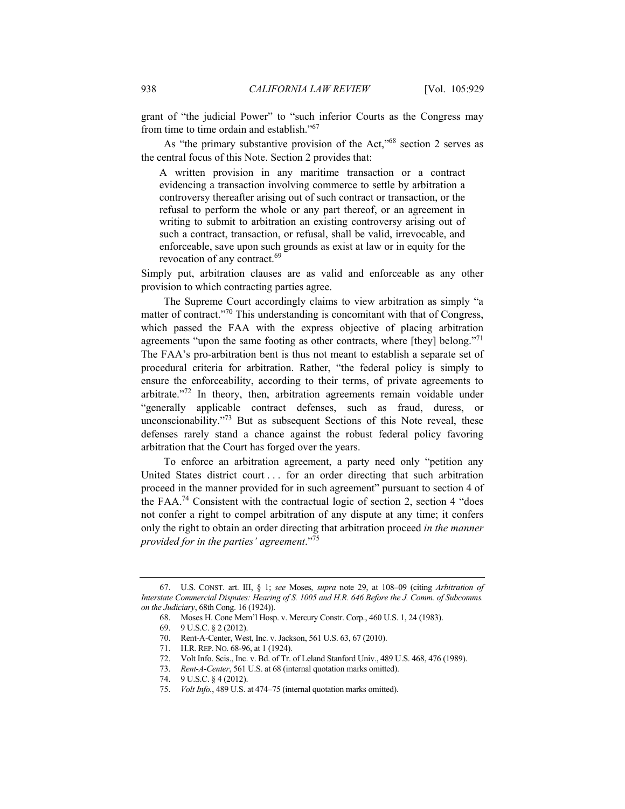grant of "the judicial Power" to "such inferior Courts as the Congress may from time to time ordain and establish."<sup>67</sup>

As "the primary substantive provision of the Act,"<sup>68</sup> section 2 serves as the central focus of this Note. Section 2 provides that:

A written provision in any maritime transaction or a contract evidencing a transaction involving commerce to settle by arbitration a controversy thereafter arising out of such contract or transaction, or the refusal to perform the whole or any part thereof, or an agreement in writing to submit to arbitration an existing controversy arising out of such a contract, transaction, or refusal, shall be valid, irrevocable, and enforceable, save upon such grounds as exist at law or in equity for the revocation of any contract.<sup>69</sup>

Simply put, arbitration clauses are as valid and enforceable as any other provision to which contracting parties agree.

The Supreme Court accordingly claims to view arbitration as simply "a matter of contract."<sup>70</sup> This understanding is concomitant with that of Congress, which passed the FAA with the express objective of placing arbitration agreements "upon the same footing as other contracts, where [they] belong."<sup>71</sup> The FAA's pro-arbitration bent is thus not meant to establish a separate set of procedural criteria for arbitration. Rather, "the federal policy is simply to ensure the enforceability, according to their terms, of private agreements to arbitrate."72 In theory, then, arbitration agreements remain voidable under "generally applicable contract defenses, such as fraud, duress, or unconscionability."<sup>73</sup> But as subsequent Sections of this Note reveal, these defenses rarely stand a chance against the robust federal policy favoring arbitration that the Court has forged over the years.

To enforce an arbitration agreement, a party need only "petition any United States district court . . . for an order directing that such arbitration proceed in the manner provided for in such agreement" pursuant to section 4 of the FAA.74 Consistent with the contractual logic of section 2, section 4 "does not confer a right to compel arbitration of any dispute at any time; it confers only the right to obtain an order directing that arbitration proceed *in the manner provided for in the parties' agreement*."75

75. *Volt Info.*, 489 U.S. at 474–75 (internal quotation marks omitted).

 <sup>67.</sup> U.S. CONST. art. III, § 1; *see* Moses, *supra* note 29, at 108–09 (citing *Arbitration of Interstate Commercial Disputes: Hearing of S. 1005 and H.R. 646 Before the J. Comm. of Subcomms. on the Judiciary*, 68th Cong. 16 (1924)).

 <sup>68.</sup> Moses H. Cone Mem'l Hosp. v. Mercury Constr. Corp., 460 U.S. 1, 24 (1983).

 <sup>69. 9</sup> U.S.C. § 2 (2012).

 <sup>70.</sup> Rent-A-Center, West, Inc. v. Jackson, 561 U.S. 63, 67 (2010).

 <sup>71.</sup> H.R.REP. NO. 68-96, at 1 (1924).

 <sup>72.</sup> Volt Info. Scis., Inc. v. Bd. of Tr. of Leland Stanford Univ., 489 U.S. 468, 476 (1989).

<sup>73.</sup> *Rent-A-Center*, 561 U.S. at 68 (internal quotation marks omitted).

 <sup>74. 9</sup> U.S.C. § 4 (2012).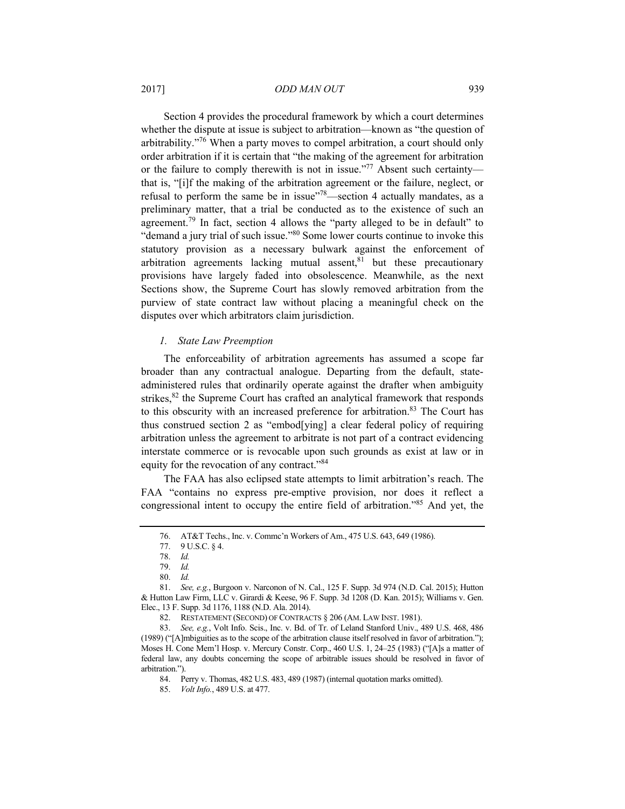## 2017] *ODD MAN OUT* 939

Section 4 provides the procedural framework by which a court determines whether the dispute at issue is subject to arbitration—known as "the question of arbitrability."76 When a party moves to compel arbitration, a court should only order arbitration if it is certain that "the making of the agreement for arbitration or the failure to comply therewith is not in issue."<sup>77</sup> Absent such certainty that is, "[i]f the making of the arbitration agreement or the failure, neglect, or refusal to perform the same be in issue $18$ –section 4 actually mandates, as a preliminary matter, that a trial be conducted as to the existence of such an agreement.79 In fact, section 4 allows the "party alleged to be in default" to "demand a jury trial of such issue."80 Some lower courts continue to invoke this statutory provision as a necessary bulwark against the enforcement of arbitration agreements lacking mutual assent, $81$  but these precautionary provisions have largely faded into obsolescence. Meanwhile, as the next Sections show, the Supreme Court has slowly removed arbitration from the purview of state contract law without placing a meaningful check on the disputes over which arbitrators claim jurisdiction.

## *1. State Law Preemption*

The enforceability of arbitration agreements has assumed a scope far broader than any contractual analogue. Departing from the default, stateadministered rules that ordinarily operate against the drafter when ambiguity strikes,<sup>82</sup> the Supreme Court has crafted an analytical framework that responds to this obscurity with an increased preference for arbitration.<sup>83</sup> The Court has thus construed section 2 as "embod[ying] a clear federal policy of requiring arbitration unless the agreement to arbitrate is not part of a contract evidencing interstate commerce or is revocable upon such grounds as exist at law or in equity for the revocation of any contract."84

The FAA has also eclipsed state attempts to limit arbitration's reach. The FAA "contains no express pre-emptive provision, nor does it reflect a congressional intent to occupy the entire field of arbitration."85 And yet, the

82. RESTATEMENT (SECOND) OF CONTRACTS § 206 (AM. LAW INST. 1981).

84. Perry v. Thomas, 482 U.S. 483, 489 (1987) (internal quotation marks omitted).

<sup>76.</sup> AT&T Techs., Inc. v. Commc'n Workers of Am., 475 U.S. 643, 649 (1986).

 <sup>77. 9</sup> U.S.C. § 4.

<sup>78.</sup> *Id.*

<sup>79.</sup> *Id.*

<sup>80.</sup> *Id.*

<sup>81.</sup> *See, e.g.*, Burgoon v. Narconon of N. Cal., 125 F. Supp. 3d 974 (N.D. Cal. 2015); Hutton & Hutton Law Firm, LLC v. Girardi & Keese, 96 F. Supp. 3d 1208 (D. Kan. 2015); Williams v. Gen. Elec., 13 F. Supp. 3d 1176, 1188 (N.D. Ala. 2014).

<sup>83.</sup> *See, e.g.*, Volt Info. Scis., Inc. v. Bd. of Tr. of Leland Stanford Univ., 489 U.S. 468, 486 (1989) ("[A]mbiguities as to the scope of the arbitration clause itself resolved in favor of arbitration."); Moses H. Cone Mem'l Hosp. v. Mercury Constr. Corp., 460 U.S. 1, 24–25 (1983) ("[A]s a matter of federal law, any doubts concerning the scope of arbitrable issues should be resolved in favor of arbitration.").

<sup>85.</sup> *Volt Info.*, 489 U.S. at 477.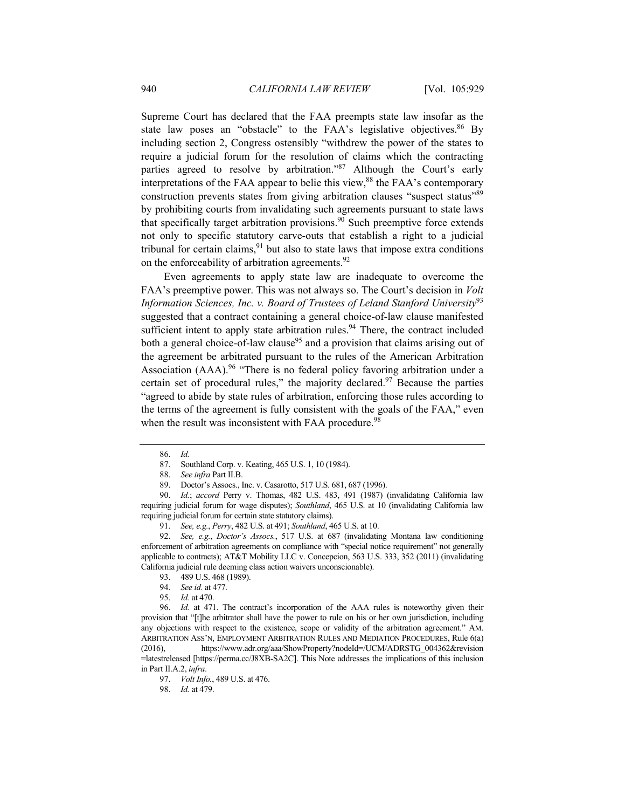Supreme Court has declared that the FAA preempts state law insofar as the state law poses an "obstacle" to the FAA's legislative objectives.<sup>86</sup> By including section 2, Congress ostensibly "withdrew the power of the states to require a judicial forum for the resolution of claims which the contracting parties agreed to resolve by arbitration."<sup>87</sup> Although the Court's early interpretations of the FAA appear to belie this view,<sup>88</sup> the FAA's contemporary construction prevents states from giving arbitration clauses "suspect status"<sup>89</sup> by prohibiting courts from invalidating such agreements pursuant to state laws that specifically target arbitration provisions.<sup>90</sup> Such preemptive force extends not only to specific statutory carve-outs that establish a right to a judicial tribunal for certain claims, $91$  but also to state laws that impose extra conditions on the enforceability of arbitration agreements.<sup>92</sup>

Even agreements to apply state law are inadequate to overcome the FAA's preemptive power. This was not always so. The Court's decision in *Volt Information Sciences, Inc. v. Board of Trustees of Leland Stanford University*<sup>93</sup> suggested that a contract containing a general choice-of-law clause manifested sufficient intent to apply state arbitration rules.<sup>94</sup> There, the contract included both a general choice-of-law clause<sup>95</sup> and a provision that claims arising out of the agreement be arbitrated pursuant to the rules of the American Arbitration Association  $(AAA)$ <sup>96</sup> "There is no federal policy favoring arbitration under a certain set of procedural rules," the majority declared. $97$  Because the parties "agreed to abide by state rules of arbitration, enforcing those rules according to the terms of the agreement is fully consistent with the goals of the FAA," even when the result was inconsistent with FAA procedure.<sup>98</sup>

<sup>86.</sup> *Id.*

<sup>87.</sup> Southland Corp. v. Keating, 465 U.S. 1, 10 (1984).<br>88. See infra Part II.B.

<sup>88.</sup> *See infra* Part II.B.

 <sup>89.</sup> Doctor's Assocs., Inc. v. Casarotto, 517 U.S. 681, 687 (1996).

<sup>90.</sup> *Id.*; *accord* Perry v. Thomas, 482 U.S. 483, 491 (1987) (invalidating California law requiring judicial forum for wage disputes); *Southland*, 465 U.S. at 10 (invalidating California law requiring judicial forum for certain state statutory claims).

<sup>91.</sup> *See, e.g.*, *Perry*, 482 U.S. at 491; *Southland*, 465 U.S. at 10.

<sup>92.</sup> *See, e.g.*, *Doctor's Assocs.*, 517 U.S. at 687 (invalidating Montana law conditioning enforcement of arbitration agreements on compliance with "special notice requirement" not generally applicable to contracts); AT&T Mobility LLC v. Concepcion, 563 U.S. 333, 352 (2011) (invalidating California judicial rule deeming class action waivers unconscionable).

 <sup>93. 489</sup> U.S. 468 (1989).

<sup>94.</sup> *See id.* at 477.

<sup>95.</sup> *Id.* at 470.

<sup>96.</sup> *Id.* at 471. The contract's incorporation of the AAA rules is noteworthy given their provision that "[t]he arbitrator shall have the power to rule on his or her own jurisdiction, including any objections with respect to the existence, scope or validity of the arbitration agreement." AM. ARBITRATION ASS'N, EMPLOYMENT ARBITRATION RULES AND MEDIATION PROCEDURES, Rule 6(a) (2016), https://www.adr.org/aaa/ShowProperty?nodeId=/UCM/ADRSTG\_004362&revision =latestreleased [https://perma.cc/J8XB-SA2C]. This Note addresses the implications of this inclusion in Part II.A.2, *infra*.

<sup>97.</sup> *Volt Info.*, 489 U.S. at 476.

<sup>98.</sup> *Id.* at 479.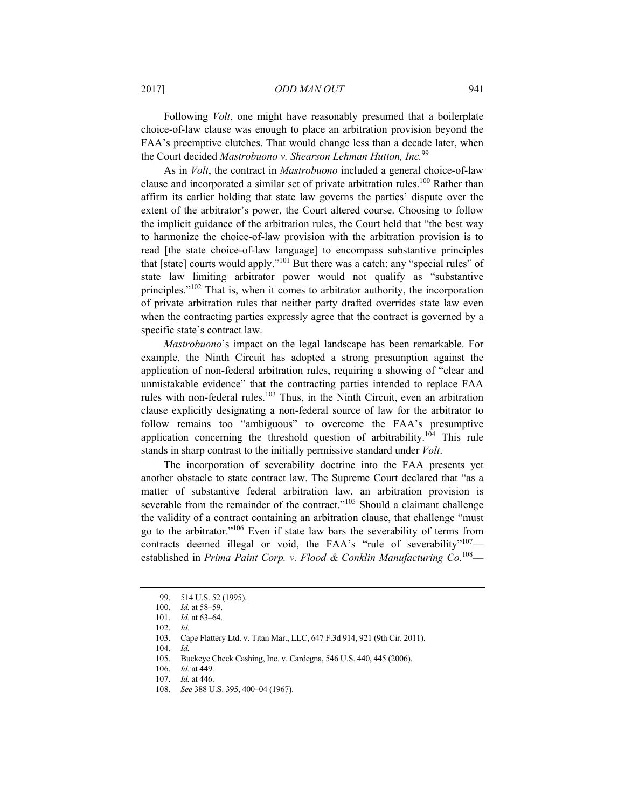2017] *ODD MAN OUT* 941

Following *Volt*, one might have reasonably presumed that a boilerplate choice-of-law clause was enough to place an arbitration provision beyond the FAA's preemptive clutches. That would change less than a decade later, when the Court decided *Mastrobuono v. Shearson Lehman Hutton, Inc.*<sup>99</sup>

As in *Volt*, the contract in *Mastrobuono* included a general choice-of-law clause and incorporated a similar set of private arbitration rules.<sup>100</sup> Rather than affirm its earlier holding that state law governs the parties' dispute over the extent of the arbitrator's power, the Court altered course. Choosing to follow the implicit guidance of the arbitration rules, the Court held that "the best way to harmonize the choice-of-law provision with the arbitration provision is to read [the state choice-of-law language] to encompass substantive principles that [state] courts would apply."101 But there was a catch: any "special rules" of state law limiting arbitrator power would not qualify as "substantive principles."102 That is, when it comes to arbitrator authority, the incorporation of private arbitration rules that neither party drafted overrides state law even when the contracting parties expressly agree that the contract is governed by a specific state's contract law.

*Mastrobuono*'s impact on the legal landscape has been remarkable. For example, the Ninth Circuit has adopted a strong presumption against the application of non-federal arbitration rules, requiring a showing of "clear and unmistakable evidence" that the contracting parties intended to replace FAA rules with non-federal rules.<sup>103</sup> Thus, in the Ninth Circuit, even an arbitration clause explicitly designating a non-federal source of law for the arbitrator to follow remains too "ambiguous" to overcome the FAA's presumptive application concerning the threshold question of arbitrability.104 This rule stands in sharp contrast to the initially permissive standard under *Volt*.

The incorporation of severability doctrine into the FAA presents yet another obstacle to state contract law. The Supreme Court declared that "as a matter of substantive federal arbitration law, an arbitration provision is severable from the remainder of the contract."<sup>105</sup> Should a claimant challenge the validity of a contract containing an arbitration clause, that challenge "must go to the arbitrator."106 Even if state law bars the severability of terms from contracts deemed illegal or void, the FAA's "rule of severability"<sup>107</sup> established in *Prima Paint Corp. v. Flood & Conklin Manufacturing Co.*<sup>108</sup>*––*

 <sup>99. 514</sup> U.S. 52 (1995).

<sup>100.</sup> *Id.* at 58–59.

<sup>101.</sup> *Id.* at 63–64.

<sup>102.</sup> *Id.*

 <sup>103.</sup> Cape Flattery Ltd. v. Titan Mar., LLC, 647 F.3d 914, 921 (9th Cir. 2011).

<sup>104.</sup> *Id.*

 <sup>105.</sup> Buckeye Check Cashing, Inc. v. Cardegna, 546 U.S. 440, 445 (2006).

<sup>106.</sup> *Id.* at 449.

<sup>107.</sup> *Id.* at 446.

<sup>108.</sup> *See* 388 U.S. 395, 400–04 (1967).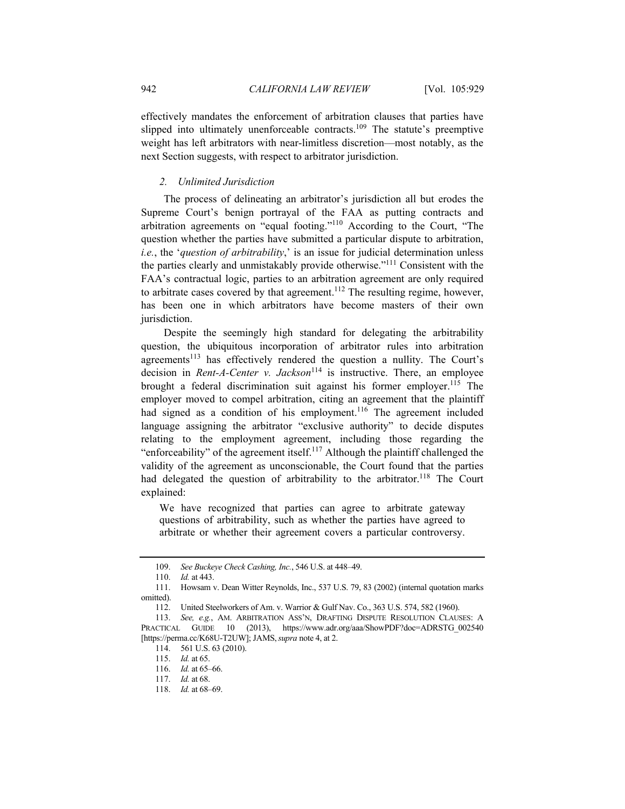effectively mandates the enforcement of arbitration clauses that parties have slipped into ultimately unenforceable contracts.<sup>109</sup> The statute's preemptive weight has left arbitrators with near-limitless discretion––most notably, as the next Section suggests, with respect to arbitrator jurisdiction.

# *2. Unlimited Jurisdiction*

The process of delineating an arbitrator's jurisdiction all but erodes the Supreme Court's benign portrayal of the FAA as putting contracts and arbitration agreements on "equal footing."110 According to the Court, "The question whether the parties have submitted a particular dispute to arbitration, *i.e.*, the '*question of arbitrability*,' is an issue for judicial determination unless the parties clearly and unmistakably provide otherwise."111 Consistent with the FAA's contractual logic, parties to an arbitration agreement are only required to arbitrate cases covered by that agreement.<sup>112</sup> The resulting regime, however, has been one in which arbitrators have become masters of their own jurisdiction.

Despite the seemingly high standard for delegating the arbitrability question, the ubiquitous incorporation of arbitrator rules into arbitration agreements<sup>113</sup> has effectively rendered the question a nullity. The Court's decision in *Rent-A-Center v. Jackson*<sup>114</sup> is instructive. There, an employee brought a federal discrimination suit against his former employer.<sup>115</sup> The employer moved to compel arbitration, citing an agreement that the plaintiff had signed as a condition of his employment.<sup>116</sup> The agreement included language assigning the arbitrator "exclusive authority" to decide disputes relating to the employment agreement, including those regarding the "enforceability" of the agreement itself.117 Although the plaintiff challenged the validity of the agreement as unconscionable, the Court found that the parties had delegated the question of arbitrability to the arbitrator.<sup>118</sup> The Court explained:

We have recognized that parties can agree to arbitrate gateway questions of arbitrability, such as whether the parties have agreed to arbitrate or whether their agreement covers a particular controversy.

<sup>109.</sup> *See Buckeye Check Cashing, Inc.*, 546 U.S. at 448–49.

<sup>110.</sup> *Id.* at 443.

 <sup>111.</sup> Howsam v. Dean Witter Reynolds, Inc., 537 U.S. 79, 83 (2002) (internal quotation marks omitted).

 <sup>112.</sup> United Steelworkers of Am. v. Warrior & Gulf Nav. Co., 363 U.S. 574, 582 (1960).

<sup>113.</sup> *See, e.g.*, AM. ARBITRATION ASS'N, DRAFTING DISPUTE RESOLUTION CLAUSES: A PRACTICAL GUIDE 10 (2013), https://www.adr.org/aaa/ShowPDF?doc=ADRSTG\_002540 [https://perma.cc/K68U-T2UW]; JAMS,*supra* note 4, at 2.

 <sup>114. 561</sup> U.S. 63 (2010).

<sup>115.</sup> *Id.* at 65.

<sup>116.</sup> *Id.* at 65–66.

<sup>117.</sup> *Id.* at 68.

<sup>118.</sup> *Id.* at 68–69.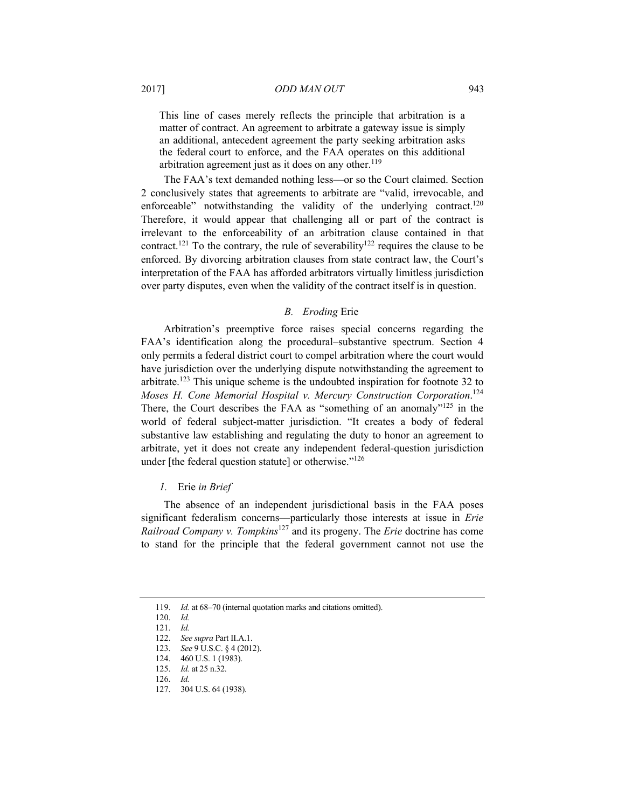This line of cases merely reflects the principle that arbitration is a matter of contract. An agreement to arbitrate a gateway issue is simply an additional, antecedent agreement the party seeking arbitration asks the federal court to enforce, and the FAA operates on this additional arbitration agreement just as it does on any other.<sup>119</sup>

The FAA's text demanded nothing less––or so the Court claimed. Section 2 conclusively states that agreements to arbitrate are "valid, irrevocable, and enforceable" notwithstanding the validity of the underlying contract.<sup>120</sup> Therefore, it would appear that challenging all or part of the contract is irrelevant to the enforceability of an arbitration clause contained in that contract.<sup>121</sup> To the contrary, the rule of severability<sup>122</sup> requires the clause to be enforced. By divorcing arbitration clauses from state contract law, the Court's interpretation of the FAA has afforded arbitrators virtually limitless jurisdiction over party disputes, even when the validity of the contract itself is in question.

# *B. Eroding* Erie

Arbitration's preemptive force raises special concerns regarding the FAA's identification along the procedural–substantive spectrum. Section 4 only permits a federal district court to compel arbitration where the court would have jurisdiction over the underlying dispute notwithstanding the agreement to arbitrate.123 This unique scheme is the undoubted inspiration for footnote 32 to *Moses H. Cone Memorial Hospital v. Mercury Construction Corporation*. 124 There, the Court describes the FAA as "something of an anomaly"<sup>125</sup> in the world of federal subject-matter jurisdiction. "It creates a body of federal substantive law establishing and regulating the duty to honor an agreement to arbitrate, yet it does not create any independent federal-question jurisdiction under [the federal question statute] or otherwise."<sup>126</sup>

# *1.* Erie *in Brief*

The absence of an independent jurisdictional basis in the FAA poses significant federalism concerns––particularly those interests at issue in *Erie Railroad Company v. Tompkins*<sup>127</sup> and its progeny. The *Erie* doctrine has come to stand for the principle that the federal government cannot not use the

<sup>119.</sup> *Id.* at 68–70 (internal quotation marks and citations omitted).

<sup>120.</sup> *Id.*

<sup>121.</sup> *Id.*

<sup>122.</sup> *See supra* Part II.A.1.

<sup>123.</sup> *See* 9 U.S.C. § 4 (2012).

 <sup>124. 460</sup> U.S. 1 (1983).

<sup>125.</sup> *Id.* at 25 n.32.

<sup>126.</sup> *Id.*

 <sup>127. 304</sup> U.S. 64 (1938).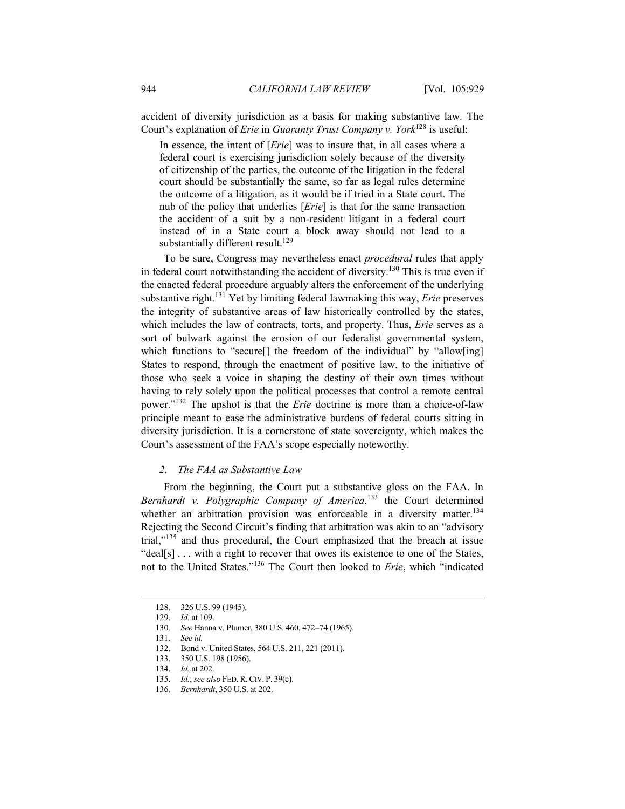accident of diversity jurisdiction as a basis for making substantive law. The Court's explanation of *Erie* in *Guaranty Trust Company v. York*<sup>128</sup> is useful:

In essence, the intent of [*Erie*] was to insure that, in all cases where a federal court is exercising jurisdiction solely because of the diversity of citizenship of the parties, the outcome of the litigation in the federal court should be substantially the same, so far as legal rules determine the outcome of a litigation, as it would be if tried in a State court. The nub of the policy that underlies [*Erie*] is that for the same transaction the accident of a suit by a non-resident litigant in a federal court instead of in a State court a block away should not lead to a substantially different result.<sup>129</sup>

To be sure, Congress may nevertheless enact *procedural* rules that apply in federal court notwithstanding the accident of diversity.130 This is true even if the enacted federal procedure arguably alters the enforcement of the underlying substantive right.131 Yet by limiting federal lawmaking this way, *Erie* preserves the integrity of substantive areas of law historically controlled by the states, which includes the law of contracts, torts, and property. Thus, *Erie* serves as a sort of bulwark against the erosion of our federalist governmental system, which functions to "secure<sup>[]</sup> the freedom of the individual" by "allow[ing] States to respond, through the enactment of positive law, to the initiative of those who seek a voice in shaping the destiny of their own times without having to rely solely upon the political processes that control a remote central power."132 The upshot is that the *Erie* doctrine is more than a choice-of-law principle meant to ease the administrative burdens of federal courts sitting in diversity jurisdiction. It is a cornerstone of state sovereignty, which makes the Court's assessment of the FAA's scope especially noteworthy.

# *2. The FAA as Substantive Law*

From the beginning, the Court put a substantive gloss on the FAA. In Bernhardt v. Polygraphic Company of America,<sup>133</sup> the Court determined whether an arbitration provision was enforceable in a diversity matter.<sup>134</sup> Rejecting the Second Circuit's finding that arbitration was akin to an "advisory trial,"135 and thus procedural, the Court emphasized that the breach at issue "deal[s] . . . with a right to recover that owes its existence to one of the States, not to the United States."136 The Court then looked to *Erie*, which "indicated

 <sup>128. 326</sup> U.S. 99 (1945).

<sup>129.</sup> *Id.* at 109.

<sup>130.</sup> *See* Hanna v. Plumer, 380 U.S. 460, 472–74 (1965).

<sup>131.</sup> *See id.*

 <sup>132.</sup> Bond v. United States, 564 U.S. 211, 221 (2011).

 <sup>133. 350</sup> U.S. 198 (1956).

<sup>134.</sup> *Id.* at 202.

<sup>135.</sup> *Id.*; *see also* FED. R.CIV. P. 39(c).

<sup>136.</sup> *Bernhardt*, 350 U.S. at 202.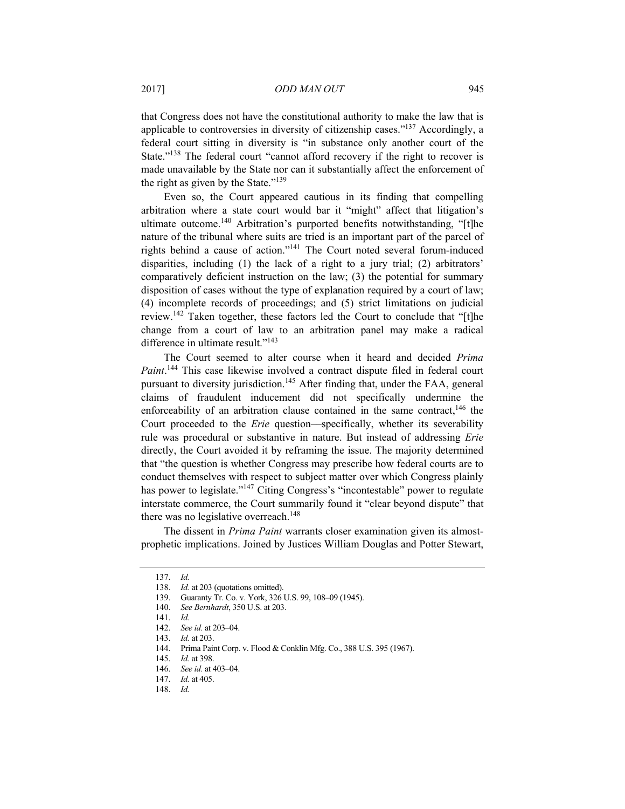that Congress does not have the constitutional authority to make the law that is applicable to controversies in diversity of citizenship cases."137 Accordingly, a federal court sitting in diversity is "in substance only another court of the State."<sup>138</sup> The federal court "cannot afford recovery if the right to recover is made unavailable by the State nor can it substantially affect the enforcement of the right as given by the State."139

Even so, the Court appeared cautious in its finding that compelling arbitration where a state court would bar it "might" affect that litigation's ultimate outcome.<sup>140</sup> Arbitration's purported benefits notwithstanding, "[t]he nature of the tribunal where suits are tried is an important part of the parcel of rights behind a cause of action."141 The Court noted several forum-induced disparities, including (1) the lack of a right to a jury trial; (2) arbitrators' comparatively deficient instruction on the law; (3) the potential for summary disposition of cases without the type of explanation required by a court of law; (4) incomplete records of proceedings; and (5) strict limitations on judicial review.<sup>142</sup> Taken together, these factors led the Court to conclude that "[t]he change from a court of law to an arbitration panel may make a radical difference in ultimate result."143

The Court seemed to alter course when it heard and decided *Prima Paint*. 144 This case likewise involved a contract dispute filed in federal court pursuant to diversity jurisdiction.<sup>145</sup> After finding that, under the FAA, general claims of fraudulent inducement did not specifically undermine the enforceability of an arbitration clause contained in the same contract.<sup>146</sup> the Court proceeded to the *Erie* question––specifically, whether its severability rule was procedural or substantive in nature. But instead of addressing *Erie* directly, the Court avoided it by reframing the issue. The majority determined that "the question is whether Congress may prescribe how federal courts are to conduct themselves with respect to subject matter over which Congress plainly has power to legislate."<sup>147</sup> Citing Congress's "incontestable" power to regulate interstate commerce, the Court summarily found it "clear beyond dispute" that there was no legislative overreach.<sup>148</sup>

The dissent in *Prima Paint* warrants closer examination given its almostprophetic implications. Joined by Justices William Douglas and Potter Stewart,

<sup>137.</sup> *Id.*

<sup>138.</sup> *Id.* at 203 (quotations omitted).

 <sup>139.</sup> Guaranty Tr. Co. v. York, 326 U.S. 99, 108–09 (1945).

<sup>140.</sup> *See Bernhardt*, 350 U.S. at 203.

<sup>141.</sup> *Id.*

<sup>142.</sup> *See id.* at 203–04.

<sup>143.</sup> *Id.* at 203.

 <sup>144.</sup> Prima Paint Corp. v. Flood & Conklin Mfg. Co., 388 U.S. 395 (1967).

<sup>145.</sup> *Id.* at 398.

<sup>146.</sup> *See id.* at 403–04.

<sup>147.</sup> *Id.* at 405.

<sup>148.</sup> *Id.*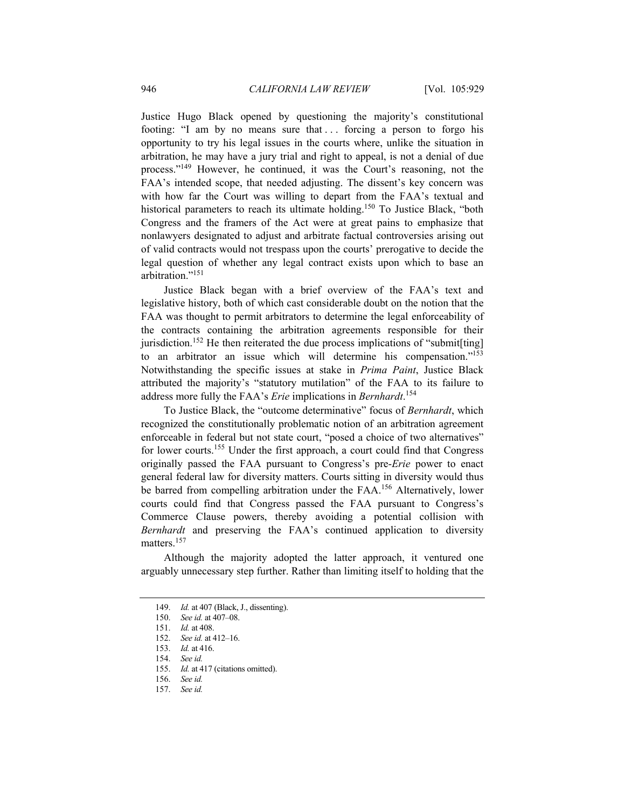Justice Hugo Black opened by questioning the majority's constitutional footing: "I am by no means sure that . . . forcing a person to forgo his opportunity to try his legal issues in the courts where, unlike the situation in arbitration, he may have a jury trial and right to appeal, is not a denial of due process."149 However, he continued, it was the Court's reasoning, not the FAA's intended scope, that needed adjusting. The dissent's key concern was with how far the Court was willing to depart from the FAA's textual and historical parameters to reach its ultimate holding.<sup>150</sup> To Justice Black, "both Congress and the framers of the Act were at great pains to emphasize that nonlawyers designated to adjust and arbitrate factual controversies arising out of valid contracts would not trespass upon the courts' prerogative to decide the legal question of whether any legal contract exists upon which to base an arbitration."151

Justice Black began with a brief overview of the FAA's text and legislative history, both of which cast considerable doubt on the notion that the FAA was thought to permit arbitrators to determine the legal enforceability of the contracts containing the arbitration agreements responsible for their jurisdiction.<sup>152</sup> He then reiterated the due process implications of "submit $[\text{ting}]$ to an arbitrator an issue which will determine his compensation."153 Notwithstanding the specific issues at stake in *Prima Paint*, Justice Black attributed the majority's "statutory mutilation" of the FAA to its failure to address more fully the FAA's *Erie* implications in *Bernhardt*. 154

To Justice Black, the "outcome determinative" focus of *Bernhardt*, which recognized the constitutionally problematic notion of an arbitration agreement enforceable in federal but not state court, "posed a choice of two alternatives" for lower courts.<sup>155</sup> Under the first approach, a court could find that Congress originally passed the FAA pursuant to Congress's pre-*Erie* power to enact general federal law for diversity matters. Courts sitting in diversity would thus be barred from compelling arbitration under the FAA.156 Alternatively, lower courts could find that Congress passed the FAA pursuant to Congress's Commerce Clause powers, thereby avoiding a potential collision with *Bernhardt* and preserving the FAA's continued application to diversity matters.<sup>157</sup>

Although the majority adopted the latter approach, it ventured one arguably unnecessary step further. Rather than limiting itself to holding that the

<sup>149.</sup> *Id.* at 407 (Black, J., dissenting).

<sup>150.</sup> *See id.* at 407–08.

<sup>151.</sup> *Id.* at 408.

<sup>152.</sup> *See id.* at 412–16.

<sup>153.</sup> *Id.* at 416.

<sup>154.</sup> *See id.*

<sup>155.</sup> *Id.* at 417 (citations omitted).

<sup>156.</sup> *See id.*

<sup>157.</sup> *See id.*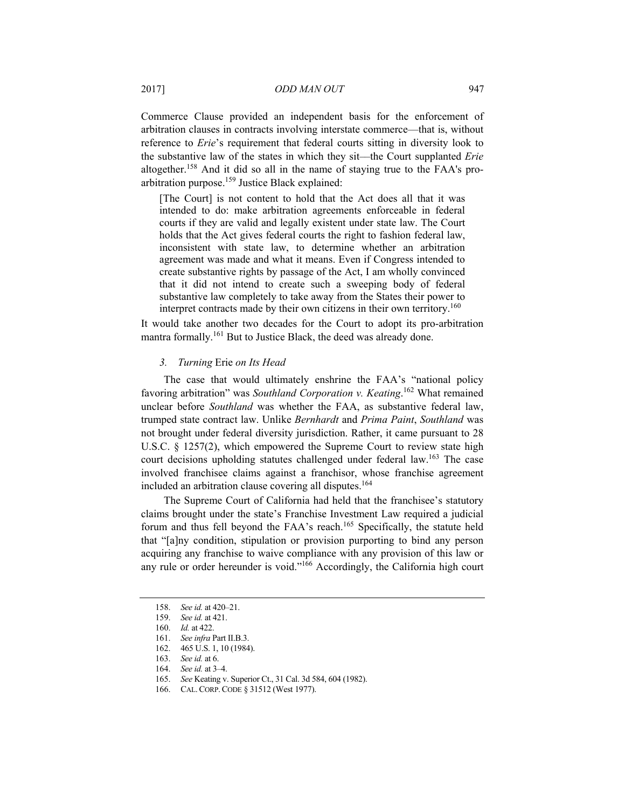Commerce Clause provided an independent basis for the enforcement of arbitration clauses in contracts involving interstate commerce––that is, without reference to *Erie*'s requirement that federal courts sitting in diversity look to the substantive law of the states in which they sit––the Court supplanted *Erie* altogether.158 And it did so all in the name of staying true to the FAA's proarbitration purpose.159 Justice Black explained:

[The Court] is not content to hold that the Act does all that it was intended to do: make arbitration agreements enforceable in federal courts if they are valid and legally existent under state law. The Court holds that the Act gives federal courts the right to fashion federal law, inconsistent with state law, to determine whether an arbitration agreement was made and what it means. Even if Congress intended to create substantive rights by passage of the Act, I am wholly convinced that it did not intend to create such a sweeping body of federal substantive law completely to take away from the States their power to interpret contracts made by their own citizens in their own territory.<sup>160</sup>

It would take another two decades for the Court to adopt its pro-arbitration mantra formally.<sup>161</sup> But to Justice Black, the deed was already done.

# *3. Turning* Erie *on Its Head*

The case that would ultimately enshrine the FAA's "national policy favoring arbitration" was *Southland Corporation v. Keating*. 162 What remained unclear before *Southland* was whether the FAA, as substantive federal law, trumped state contract law. Unlike *Bernhardt* and *Prima Paint*, *Southland* was not brought under federal diversity jurisdiction. Rather, it came pursuant to 28 U.S.C. § 1257(2), which empowered the Supreme Court to review state high court decisions upholding statutes challenged under federal law.<sup>163</sup> The case involved franchisee claims against a franchisor, whose franchise agreement included an arbitration clause covering all disputes.<sup>164</sup>

The Supreme Court of California had held that the franchisee's statutory claims brought under the state's Franchise Investment Law required a judicial forum and thus fell beyond the FAA's reach.<sup>165</sup> Specifically, the statute held that "[a]ny condition, stipulation or provision purporting to bind any person acquiring any franchise to waive compliance with any provision of this law or any rule or order hereunder is void."<sup>166</sup> Accordingly, the California high court

<sup>158.</sup> *See id.* at 420–21.

<sup>159.</sup> *See id.* at 421.

<sup>160.</sup> *Id.* at 422.

<sup>161.</sup> *See infra* Part II.B.3.

 <sup>162. 465</sup> U.S. 1, 10 (1984).

<sup>163.</sup> *See id.* at 6.

See id. at 3-4.

<sup>165.</sup> *See* Keating v. Superior Ct., 31 Cal. 3d 584, 604 (1982).

 <sup>166.</sup> CAL.CORP.CODE § 31512 (West 1977).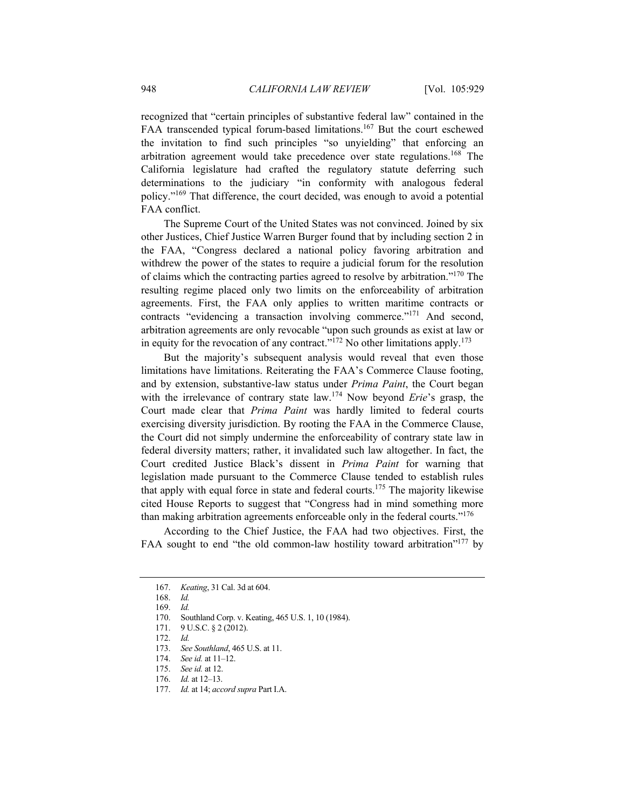recognized that "certain principles of substantive federal law" contained in the FAA transcended typical forum-based limitations.<sup>167</sup> But the court eschewed the invitation to find such principles "so unyielding" that enforcing an arbitration agreement would take precedence over state regulations.168 The California legislature had crafted the regulatory statute deferring such determinations to the judiciary "in conformity with analogous federal policy."169 That difference, the court decided, was enough to avoid a potential FAA conflict.

The Supreme Court of the United States was not convinced. Joined by six other Justices, Chief Justice Warren Burger found that by including section 2 in the FAA, "Congress declared a national policy favoring arbitration and withdrew the power of the states to require a judicial forum for the resolution of claims which the contracting parties agreed to resolve by arbitration."170 The resulting regime placed only two limits on the enforceability of arbitration agreements. First, the FAA only applies to written maritime contracts or contracts "evidencing a transaction involving commerce."171 And second, arbitration agreements are only revocable "upon such grounds as exist at law or in equity for the revocation of any contract."<sup>172</sup> No other limitations apply.<sup>173</sup>

But the majority's subsequent analysis would reveal that even those limitations have limitations. Reiterating the FAA's Commerce Clause footing, and by extension, substantive-law status under *Prima Paint*, the Court began with the irrelevance of contrary state law.174 Now beyond *Erie*'s grasp, the Court made clear that *Prima Paint* was hardly limited to federal courts exercising diversity jurisdiction. By rooting the FAA in the Commerce Clause, the Court did not simply undermine the enforceability of contrary state law in federal diversity matters; rather, it invalidated such law altogether. In fact, the Court credited Justice Black's dissent in *Prima Paint* for warning that legislation made pursuant to the Commerce Clause tended to establish rules that apply with equal force in state and federal courts.<sup>175</sup> The majority likewise cited House Reports to suggest that "Congress had in mind something more than making arbitration agreements enforceable only in the federal courts."176

According to the Chief Justice, the FAA had two objectives. First, the FAA sought to end "the old common-law hostility toward arbitration"<sup>177</sup> by

<sup>167.</sup> *Keating*, 31 Cal. 3d at 604.

<sup>168.</sup> *Id.*

<sup>169.</sup> *Id.*

 <sup>170.</sup> Southland Corp. v. Keating, 465 U.S. 1, 10 (1984).

 <sup>171. 9</sup> U.S.C. § 2 (2012).

<sup>172.</sup> *Id.*

<sup>173.</sup> *See Southland*, 465 U.S. at 11.

<sup>174.</sup> *See id.* at 11–12.

<sup>175.</sup> *See id.* at 12.

<sup>176.</sup> *Id.* at 12–13.

<sup>177.</sup> *Id.* at 14; *accord supra* Part I.A.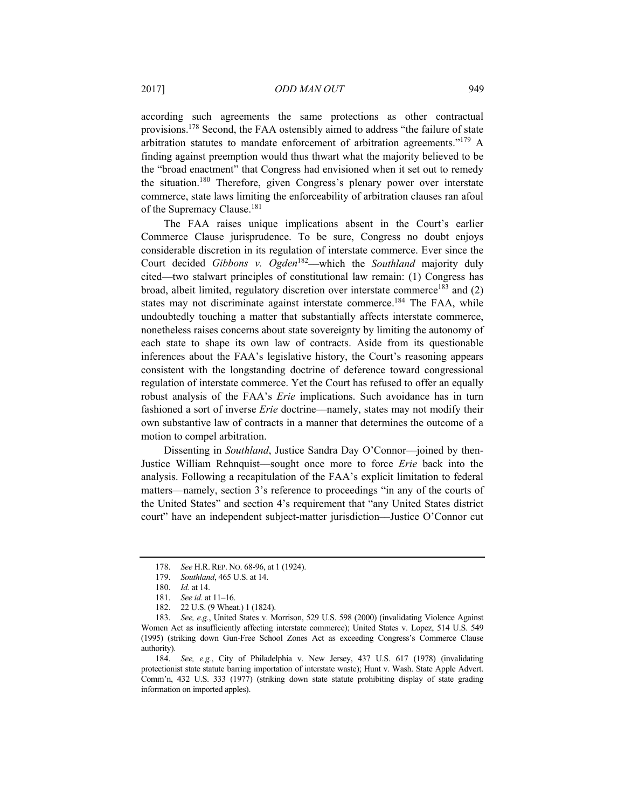according such agreements the same protections as other contractual provisions.178 Second, the FAA ostensibly aimed to address "the failure of state arbitration statutes to mandate enforcement of arbitration agreements."179 A finding against preemption would thus thwart what the majority believed to be the "broad enactment" that Congress had envisioned when it set out to remedy the situation.180 Therefore, given Congress's plenary power over interstate commerce, state laws limiting the enforceability of arbitration clauses ran afoul of the Supremacy Clause.<sup>181</sup>

The FAA raises unique implications absent in the Court's earlier Commerce Clause jurisprudence. To be sure, Congress no doubt enjoys considerable discretion in its regulation of interstate commerce. Ever since the Court decided *Gibbons v. Ogden*182––which the *Southland* majority duly cited—two stalwart principles of constitutional law remain: (1) Congress has broad, albeit limited, regulatory discretion over interstate commerce<sup>183</sup> and  $(2)$ states may not discriminate against interstate commerce.<sup>184</sup> The FAA, while undoubtedly touching a matter that substantially affects interstate commerce, nonetheless raises concerns about state sovereignty by limiting the autonomy of each state to shape its own law of contracts. Aside from its questionable inferences about the FAA's legislative history, the Court's reasoning appears consistent with the longstanding doctrine of deference toward congressional regulation of interstate commerce. Yet the Court has refused to offer an equally robust analysis of the FAA's *Erie* implications. Such avoidance has in turn fashioned a sort of inverse *Erie* doctrine—namely, states may not modify their own substantive law of contracts in a manner that determines the outcome of a motion to compel arbitration.

Dissenting in *Southland*, Justice Sandra Day O'Connor—joined by then-Justice William Rehnquist––sought once more to force *Erie* back into the analysis. Following a recapitulation of the FAA's explicit limitation to federal matters––namely, section 3's reference to proceedings "in any of the courts of the United States" and section 4's requirement that "any United States district court" have an independent subject-matter jurisdiction––Justice O'Connor cut

<sup>178.</sup> *See* H.R.REP. NO. 68-96, at 1 (1924).

<sup>179.</sup> *Southland*, 465 U.S. at 14.

<sup>180.</sup> *Id.* at 14.

<sup>181.</sup> *See id.* at 11–16.

 <sup>182. 22</sup> U.S. (9 Wheat.) 1 (1824).

<sup>183.</sup> *See, e.g.*, United States v. Morrison, 529 U.S. 598 (2000) (invalidating Violence Against Women Act as insufficiently affecting interstate commerce); United States v. Lopez, 514 U.S. 549 (1995) (striking down Gun-Free School Zones Act as exceeding Congress's Commerce Clause authority).

<sup>184.</sup> *See, e.g.*, City of Philadelphia v. New Jersey, 437 U.S. 617 (1978) (invalidating protectionist state statute barring importation of interstate waste); Hunt v. Wash. State Apple Advert. Comm'n, 432 U.S. 333 (1977) (striking down state statute prohibiting display of state grading information on imported apples).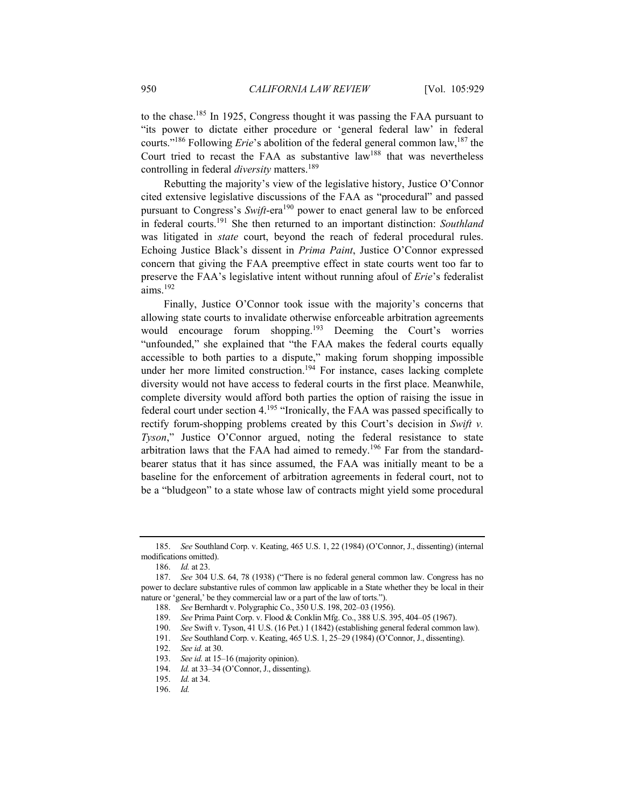to the chase.185 In 1925, Congress thought it was passing the FAA pursuant to "its power to dictate either procedure or 'general federal law' in federal courts."<sup>186</sup> Following *Erie*'s abolition of the federal general common law,<sup>187</sup> the Court tried to recast the FAA as substantive law<sup>188</sup> that was nevertheless controlling in federal *diversity* matters.<sup>189</sup>

Rebutting the majority's view of the legislative history, Justice O'Connor cited extensive legislative discussions of the FAA as "procedural" and passed pursuant to Congress's *Swift*-era<sup>190</sup> power to enact general law to be enforced in federal courts.191 She then returned to an important distinction: *Southland* was litigated in *state* court, beyond the reach of federal procedural rules. Echoing Justice Black's dissent in *Prima Paint*, Justice O'Connor expressed concern that giving the FAA preemptive effect in state courts went too far to preserve the FAA's legislative intent without running afoul of *Erie*'s federalist aims.<sup>192</sup>

Finally, Justice O'Connor took issue with the majority's concerns that allowing state courts to invalidate otherwise enforceable arbitration agreements would encourage forum shopping.<sup>193</sup> Deeming the Court's worries "unfounded," she explained that "the FAA makes the federal courts equally accessible to both parties to a dispute," making forum shopping impossible under her more limited construction.<sup>194</sup> For instance, cases lacking complete diversity would not have access to federal courts in the first place. Meanwhile, complete diversity would afford both parties the option of raising the issue in federal court under section  $4.195$  "Ironically, the FAA was passed specifically to rectify forum-shopping problems created by this Court's decision in *Swift v. Tyson*," Justice O'Connor argued, noting the federal resistance to state arbitration laws that the FAA had aimed to remedy.<sup>196</sup> Far from the standardbearer status that it has since assumed, the FAA was initially meant to be a baseline for the enforcement of arbitration agreements in federal court, not to be a "bludgeon" to a state whose law of contracts might yield some procedural

<sup>185.</sup> *See* Southland Corp. v. Keating, 465 U.S. 1, 22 (1984) (O'Connor, J., dissenting) (internal modifications omitted).

<sup>186.</sup> *Id.* at 23.

<sup>187.</sup> *See* 304 U.S. 64, 78 (1938) ("There is no federal general common law. Congress has no power to declare substantive rules of common law applicable in a State whether they be local in their nature or 'general,' be they commercial law or a part of the law of torts.").

<sup>188.</sup> *See* Bernhardt v. Polygraphic Co., 350 U.S. 198, 202–03 (1956).

<sup>189.</sup> *See* Prima Paint Corp. v. Flood & Conklin Mfg. Co., 388 U.S. 395, 404–05 (1967).

<sup>190.</sup> *See* Swift v. Tyson, 41 U.S. (16 Pet.) 1 (1842) (establishing general federal common law).

<sup>191.</sup> *See* Southland Corp. v. Keating, 465 U.S. 1, 25–29 (1984) (O'Connor, J., dissenting).

<sup>192.</sup> *See id.* at 30.

<sup>193.</sup> *See id.* at 15–16 (majority opinion).

<sup>194.</sup> *Id.* at 33–34 (O'Connor, J., dissenting).

<sup>195.</sup> *Id.* at 34.

<sup>196.</sup> *Id.*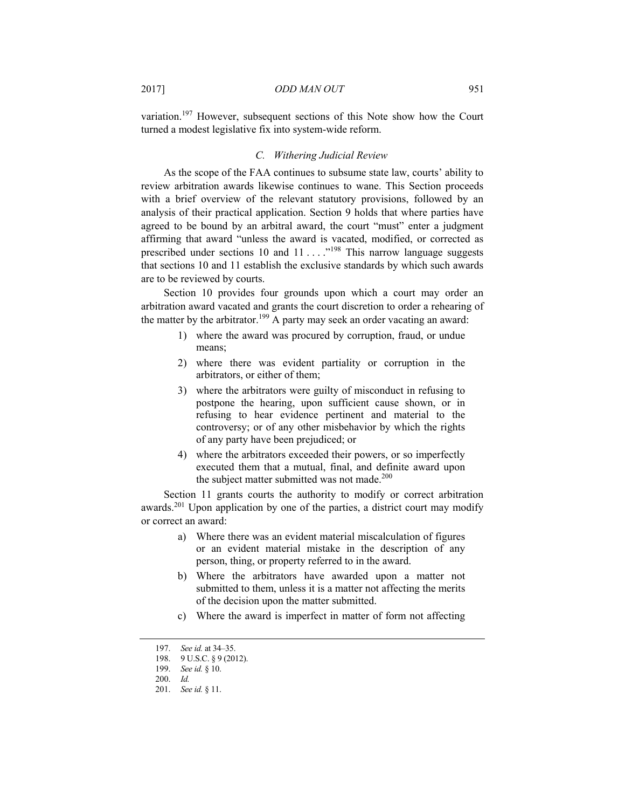variation.197 However, subsequent sections of this Note show how the Court turned a modest legislative fix into system-wide reform.

# *C. Withering Judicial Review*

As the scope of the FAA continues to subsume state law, courts' ability to review arbitration awards likewise continues to wane. This Section proceeds with a brief overview of the relevant statutory provisions, followed by an analysis of their practical application. Section 9 holds that where parties have agreed to be bound by an arbitral award, the court "must" enter a judgment affirming that award "unless the award is vacated, modified, or corrected as prescribed under sections 10 and  $11 \ldots$   $^{198}$  This narrow language suggests that sections 10 and 11 establish the exclusive standards by which such awards are to be reviewed by courts.

Section 10 provides four grounds upon which a court may order an arbitration award vacated and grants the court discretion to order a rehearing of the matter by the arbitrator.<sup>199</sup> A party may seek an order vacating an award:

- 1) where the award was procured by corruption, fraud, or undue means;
- 2) where there was evident partiality or corruption in the arbitrators, or either of them;
- 3) where the arbitrators were guilty of misconduct in refusing to postpone the hearing, upon sufficient cause shown, or in refusing to hear evidence pertinent and material to the controversy; or of any other misbehavior by which the rights of any party have been prejudiced; or
- 4) where the arbitrators exceeded their powers, or so imperfectly executed them that a mutual, final, and definite award upon the subject matter submitted was not made.<sup>200</sup>

Section 11 grants courts the authority to modify or correct arbitration awards.201 Upon application by one of the parties, a district court may modify or correct an award:

- a) Where there was an evident material miscalculation of figures or an evident material mistake in the description of any person, thing, or property referred to in the award.
- b) Where the arbitrators have awarded upon a matter not submitted to them, unless it is a matter not affecting the merits of the decision upon the matter submitted.
- c) Where the award is imperfect in matter of form not affecting

<sup>197.</sup> *See id.* at 34–35.

 <sup>198. 9</sup> U.S.C. § 9 (2012).

<sup>199.</sup> *See id.* § 10.

<sup>200.</sup> *Id.*

<sup>201.</sup> *See id.* § 11.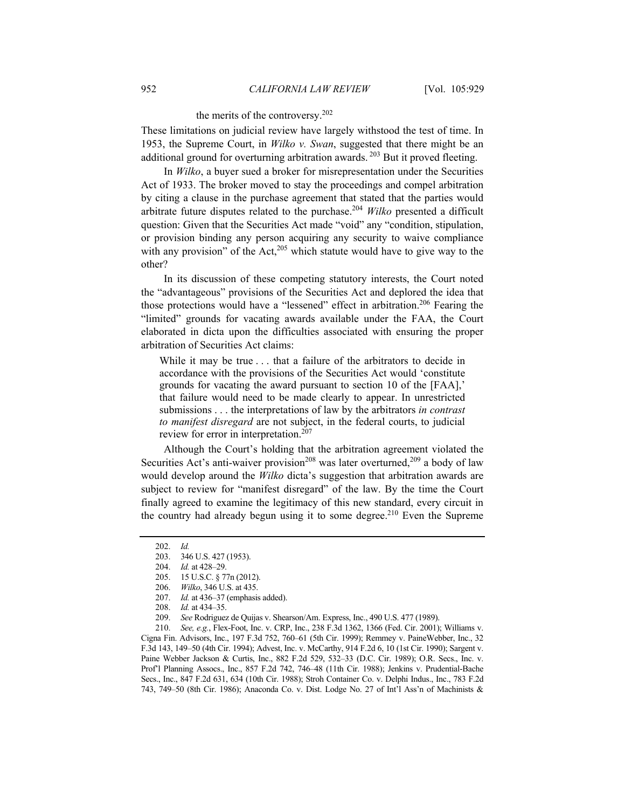# the merits of the controversy.202

These limitations on judicial review have largely withstood the test of time. In 1953, the Supreme Court, in *Wilko v. Swan*, suggested that there might be an additional ground for overturning arbitration awards. <sup>203</sup> But it proved fleeting.

In *Wilko*, a buyer sued a broker for misrepresentation under the Securities Act of 1933. The broker moved to stay the proceedings and compel arbitration by citing a clause in the purchase agreement that stated that the parties would arbitrate future disputes related to the purchase.204 *Wilko* presented a difficult question: Given that the Securities Act made "void" any "condition, stipulation, or provision binding any person acquiring any security to waive compliance with any provision" of the Act, $205$  which statute would have to give way to the other?

In its discussion of these competing statutory interests, the Court noted the "advantageous" provisions of the Securities Act and deplored the idea that those protections would have a "lessened" effect in arbitration.<sup>206</sup> Fearing the "limited" grounds for vacating awards available under the FAA, the Court elaborated in dicta upon the difficulties associated with ensuring the proper arbitration of Securities Act claims:

While it may be true . . . that a failure of the arbitrators to decide in accordance with the provisions of the Securities Act would 'constitute grounds for vacating the award pursuant to section 10 of the [FAA],' that failure would need to be made clearly to appear. In unrestricted submissions . . . the interpretations of law by the arbitrators *in contrast to manifest disregard* are not subject, in the federal courts, to judicial review for error in interpretation.<sup>207</sup>

Although the Court's holding that the arbitration agreement violated the Securities Act's anti-waiver provision<sup>208</sup> was later overturned,<sup>209</sup> a body of law would develop around the *Wilko* dicta's suggestion that arbitration awards are subject to review for "manifest disregard" of the law. By the time the Court finally agreed to examine the legitimacy of this new standard, every circuit in the country had already begun using it to some degree.<sup>210</sup> Even the Supreme

210. *See, e.g.*, Flex-Foot, Inc. v. CRP, Inc., 238 F.3d 1362, 1366 (Fed. Cir. 2001); Williams v. Cigna Fin. Advisors, Inc., 197 F.3d 752, 760–61 (5th Cir. 1999); Remmey v. PaineWebber, Inc., 32 F.3d 143, 149–50 (4th Cir. 1994); Advest, Inc. v. McCarthy, 914 F.2d 6, 10 (1st Cir. 1990); Sargent v. Paine Webber Jackson & Curtis, Inc., 882 F.2d 529, 532–33 (D.C. Cir. 1989); O.R. Secs., Inc. v. Prof'l Planning Assocs., Inc., 857 F.2d 742, 746–48 (11th Cir. 1988); Jenkins v. Prudential-Bache Secs., Inc., 847 F.2d 631, 634 (10th Cir. 1988); Stroh Container Co. v. Delphi Indus., Inc., 783 F.2d 743, 749–50 (8th Cir. 1986); Anaconda Co. v. Dist. Lodge No. 27 of Int'l Ass'n of Machinists &

<sup>202.</sup> *Id.* 346 U.S. 427 (1953).

<sup>204.</sup> *Id.* at 428–29.

 <sup>205. 15</sup> U.S.C. § 77n (2012).

<sup>206.</sup> *Wilko*, 346 U.S. at 435.

<sup>207.</sup> *Id.* at 436–37 (emphasis added).

<sup>208.</sup> *Id.* at 434–35.

<sup>209.</sup> *See* Rodriguez de Quijas v. Shearson/Am. Express, Inc., 490 U.S. 477 (1989).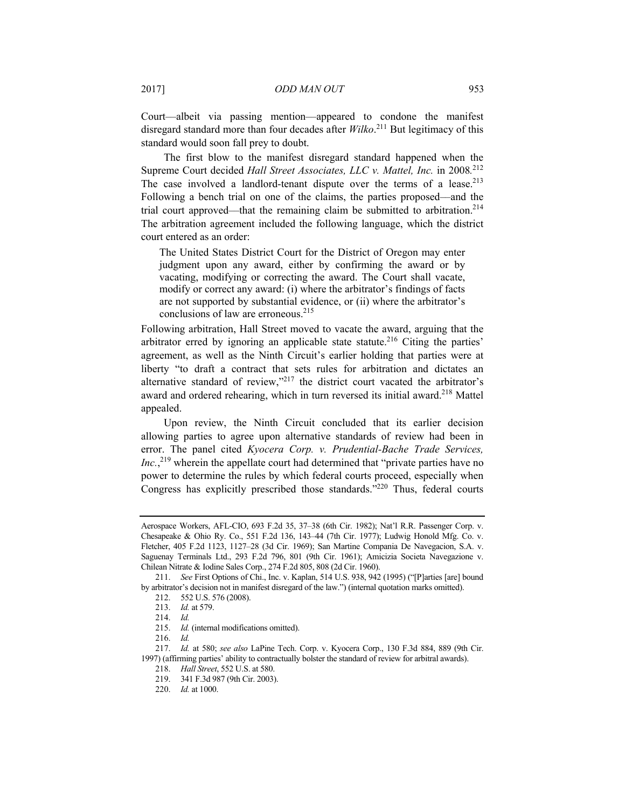Court––albeit via passing mention––appeared to condone the manifest disregard standard more than four decades after *Wilko*. 211 But legitimacy of this standard would soon fall prey to doubt.

The first blow to the manifest disregard standard happened when the Supreme Court decided *Hall Street Associates, LLC v. Mattel, Inc.* in 2008*.* 212 The case involved a landlord-tenant dispute over the terms of a lease.<sup>213</sup> Following a bench trial on one of the claims, the parties proposed––and the trial court approved––that the remaining claim be submitted to arbitration.214 The arbitration agreement included the following language, which the district court entered as an order:

The United States District Court for the District of Oregon may enter judgment upon any award, either by confirming the award or by vacating, modifying or correcting the award. The Court shall vacate, modify or correct any award: (i) where the arbitrator's findings of facts are not supported by substantial evidence, or (ii) where the arbitrator's conclusions of law are erroneous.<sup>215</sup>

Following arbitration, Hall Street moved to vacate the award, arguing that the arbitrator erred by ignoring an applicable state statute.<sup>216</sup> Citing the parties' agreement, as well as the Ninth Circuit's earlier holding that parties were at liberty "to draft a contract that sets rules for arbitration and dictates an alternative standard of review,"217 the district court vacated the arbitrator's award and ordered rehearing, which in turn reversed its initial award.<sup>218</sup> Mattel appealed.

Upon review, the Ninth Circuit concluded that its earlier decision allowing parties to agree upon alternative standards of review had been in error. The panel cited *Kyocera Corp. v. Prudential-Bache Trade Services,*  Inc.,<sup>219</sup> wherein the appellate court had determined that "private parties have no power to determine the rules by which federal courts proceed, especially when Congress has explicitly prescribed those standards."<sup>220</sup> Thus, federal courts

Aerospace Workers, AFL-CIO, 693 F.2d 35, 37–38 (6th Cir. 1982); Nat'l R.R. Passenger Corp. v. Chesapeake & Ohio Ry. Co., 551 F.2d 136, 143–44 (7th Cir. 1977); Ludwig Honold Mfg. Co. v. Fletcher, 405 F.2d 1123, 1127–28 (3d Cir. 1969); San Martine Compania De Navegacion, S.A. v. Saguenay Terminals Ltd., 293 F.2d 796, 801 (9th Cir. 1961); Amicizia Societa Navegazione v. Chilean Nitrate & Iodine Sales Corp., 274 F.2d 805, 808 (2d Cir. 1960).

<sup>211.</sup> *See* First Options of Chi., Inc. v. Kaplan, 514 U.S. 938, 942 (1995) ("[P]arties [are] bound by arbitrator's decision not in manifest disregard of the law.") (internal quotation marks omitted).

 <sup>212. 552</sup> U.S. 576 (2008).

<sup>213.</sup> *Id.* at 579.

<sup>214.</sup> *Id.*

<sup>215.</sup> *Id.* (internal modifications omitted).

<sup>216.</sup> *Id.*

<sup>217.</sup> *Id.* at 580; *see also* LaPine Tech. Corp. v. Kyocera Corp., 130 F.3d 884, 889 (9th Cir. 1997) (affirming parties' ability to contractually bolster the standard of review for arbitral awards).

<sup>218.</sup> *Hall Street*, 552 U.S. at 580.

 <sup>219. 341</sup> F.3d 987 (9th Cir. 2003).

<sup>220.</sup> *Id.* at 1000.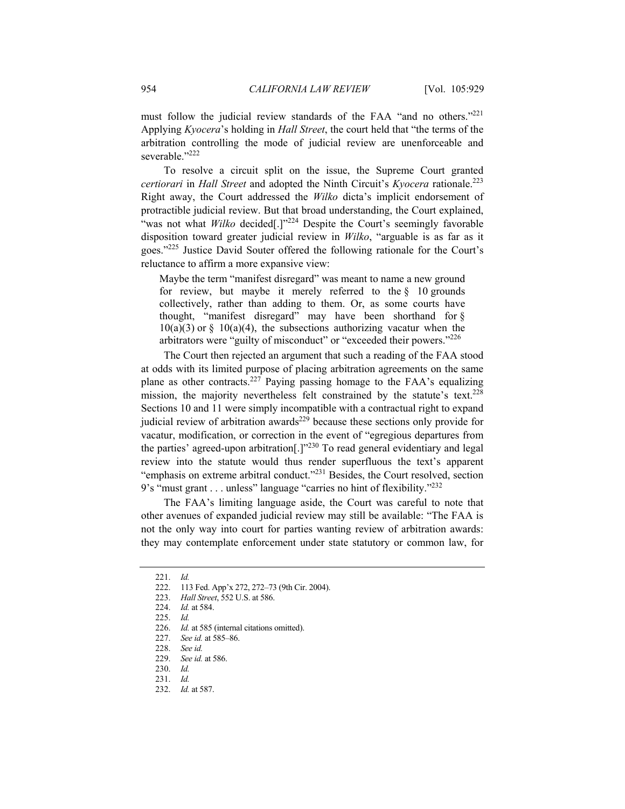must follow the judicial review standards of the FAA "and no others."<sup>221</sup> Applying *Kyocera*'s holding in *Hall Street*, the court held that "the terms of the arbitration controlling the mode of judicial review are unenforceable and severable."<sup>222</sup>

To resolve a circuit split on the issue, the Supreme Court granted *certiorari* in *Hall Street* and adopted the Ninth Circuit's *Kyocera* rationale.223 Right away, the Court addressed the *Wilko* dicta's implicit endorsement of protractible judicial review. But that broad understanding, the Court explained, "was not what *Wilko* decided<sup>[1]"224</sup> Despite the Court's seemingly favorable disposition toward greater judicial review in *Wilko*, "arguable is as far as it goes."225 Justice David Souter offered the following rationale for the Court's reluctance to affirm a more expansive view:

Maybe the term "manifest disregard" was meant to name a new ground for review, but maybe it merely referred to the  $\S$  10 grounds collectively, rather than adding to them. Or, as some courts have thought, "manifest disregard" may have been shorthand for §  $10(a)(3)$  or §  $10(a)(4)$ , the subsections authorizing vacatur when the arbitrators were "guilty of misconduct" or "exceeded their powers."226

The Court then rejected an argument that such a reading of the FAA stood at odds with its limited purpose of placing arbitration agreements on the same plane as other contracts.227 Paying passing homage to the FAA's equalizing mission, the majority nevertheless felt constrained by the statute's text.<sup>228</sup> Sections 10 and 11 were simply incompatible with a contractual right to expand judicial review of arbitration awards $^{229}$  because these sections only provide for vacatur, modification, or correction in the event of "egregious departures from the parties' agreed-upon arbitration[.]"230 To read general evidentiary and legal review into the statute would thus render superfluous the text's apparent "emphasis on extreme arbitral conduct."231 Besides, the Court resolved, section 9's "must grant . . . unless" language "carries no hint of flexibility."232

The FAA's limiting language aside, the Court was careful to note that other avenues of expanded judicial review may still be available: "The FAA is not the only way into court for parties wanting review of arbitration awards: they may contemplate enforcement under state statutory or common law, for

<sup>221.</sup> *Id.*

 <sup>222. 113</sup> Fed. App'x 272, 272–73 (9th Cir. 2004).

<sup>223.</sup> *Hall Street*, 552 U.S. at 586.

<sup>224.</sup> *Id.* at 584.

<sup>225.</sup> *Id.*

<sup>226.</sup> *Id.* at 585 (internal citations omitted).

<sup>227.</sup> *See id.* at 585–86.

<sup>228.</sup> *See id.*

<sup>229.</sup> *See id.* at 586.

<sup>230.</sup> *Id.*

<sup>231.</sup> *Id.*

<sup>232.</sup> *Id.* at 587.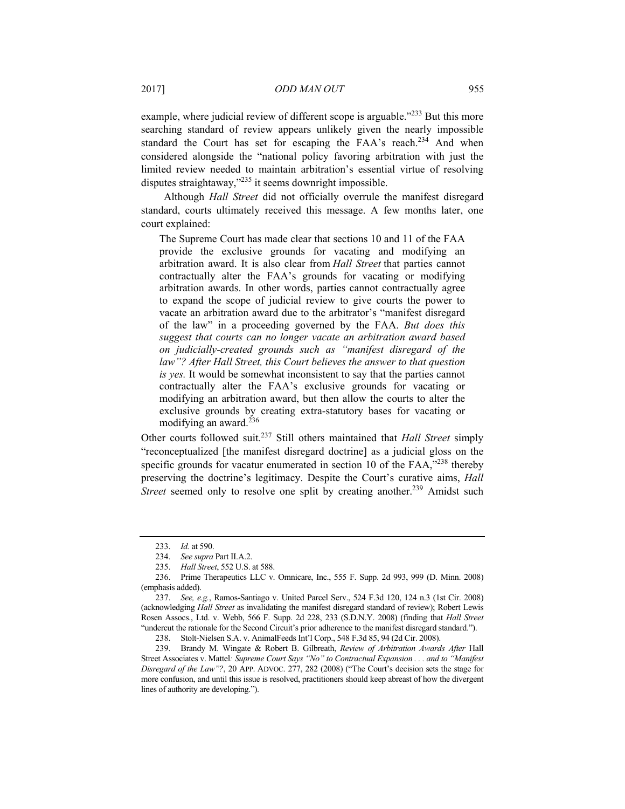example, where judicial review of different scope is arguable.<sup>"233</sup> But this more searching standard of review appears unlikely given the nearly impossible standard the Court has set for escaping the FAA's reach.<sup>234</sup> And when considered alongside the "national policy favoring arbitration with just the limited review needed to maintain arbitration's essential virtue of resolving disputes straightaway,"235 it seems downright impossible.

Although *Hall Street* did not officially overrule the manifest disregard standard, courts ultimately received this message. A few months later, one court explained:

The Supreme Court has made clear that sections 10 and 11 of the FAA provide the exclusive grounds for vacating and modifying an arbitration award. It is also clear from *Hall Street* that parties cannot contractually alter the FAA's grounds for vacating or modifying arbitration awards. In other words, parties cannot contractually agree to expand the scope of judicial review to give courts the power to vacate an arbitration award due to the arbitrator's "manifest disregard of the law" in a proceeding governed by the FAA. *But does this suggest that courts can no longer vacate an arbitration award based on judicially-created grounds such as "manifest disregard of the law"? After Hall Street, this Court believes the answer to that question is yes.* It would be somewhat inconsistent to say that the parties cannot contractually alter the FAA's exclusive grounds for vacating or modifying an arbitration award, but then allow the courts to alter the exclusive grounds by creating extra-statutory bases for vacating or modifying an award. $^{236}$ 

Other courts followed suit.237 Still others maintained that *Hall Street* simply "reconceptualized [the manifest disregard doctrine] as a judicial gloss on the specific grounds for vacatur enumerated in section 10 of the FAA,"<sup>238</sup> thereby preserving the doctrine's legitimacy. Despite the Court's curative aims, *Hall Street* seemed only to resolve one split by creating another.<sup>239</sup> Amidst such

<sup>233.</sup> *Id.* at 590.

<sup>234.</sup> *See supra* Part II.A.2.

<sup>235.</sup> *Hall Street*, 552 U.S. at 588.

 <sup>236.</sup> Prime Therapeutics LLC v. Omnicare, Inc., 555 F. Supp. 2d 993, 999 (D. Minn. 2008) (emphasis added).

<sup>237.</sup> *See, e.g.*, Ramos-Santiago v. United Parcel Serv., 524 F.3d 120, 124 n.3 (1st Cir. 2008) (acknowledging *Hall Street* as invalidating the manifest disregard standard of review); Robert Lewis Rosen Assocs., Ltd. v. Webb, 566 F. Supp. 2d 228, 233 (S.D.N.Y. 2008) (finding that *Hall Street* "undercut the rationale for the Second Circuit's prior adherence to the manifest disregard standard.").

 <sup>238.</sup> Stolt-Nielsen S.A. v. AnimalFeeds Int'l Corp., 548 F.3d 85, 94 (2d Cir. 2008).

 <sup>239.</sup> Brandy M. Wingate & Robert B. Gilbreath, *Review of Arbitration Awards After* Hall Street Associates v. Mattel*: Supreme Court Says "No" to Contractual Expansion . . . and to "Manifest Disregard of the Law"?*, 20 APP. ADVOC. 277, 282 (2008) ("The Court's decision sets the stage for more confusion, and until this issue is resolved, practitioners should keep abreast of how the divergent lines of authority are developing.").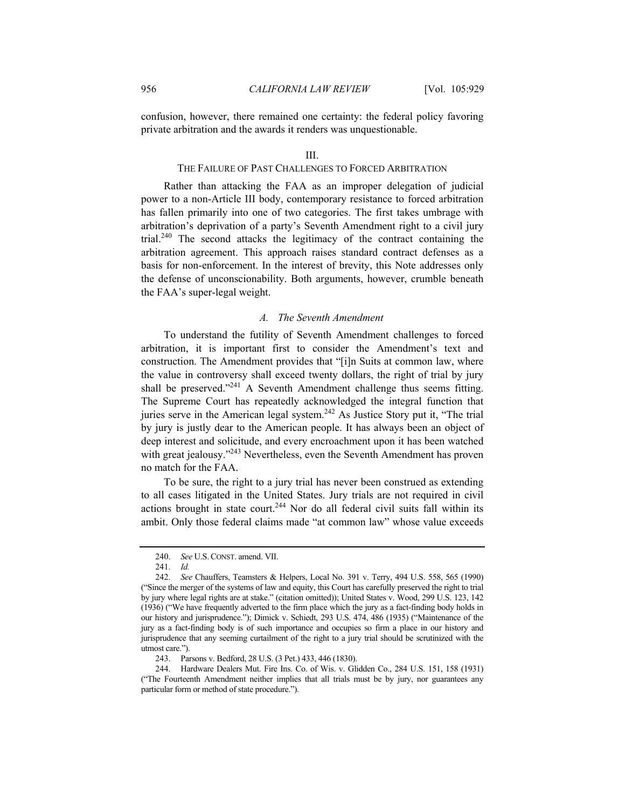confusion, however, there remained one certainty: the federal policy favoring private arbitration and the awards it renders was unquestionable.

#### III.

# THE FAILURE OF PAST CHALLENGES TO FORCED ARBITRATION

Rather than attacking the FAA as an improper delegation of judicial power to a non-Article III body, contemporary resistance to forced arbitration has fallen primarily into one of two categories. The first takes umbrage with arbitration's deprivation of a party's Seventh Amendment right to a civil jury trial.<sup>240</sup> The second attacks the legitimacy of the contract containing the arbitration agreement. This approach raises standard contract defenses as a basis for non-enforcement. In the interest of brevity, this Note addresses only the defense of unconscionability. Both arguments, however, crumble beneath the FAA's super-legal weight.

## *A. The Seventh Amendment*

To understand the futility of Seventh Amendment challenges to forced arbitration, it is important first to consider the Amendment's text and construction. The Amendment provides that "[i]n Suits at common law, where the value in controversy shall exceed twenty dollars, the right of trial by jury shall be preserved."<sup>241</sup> A Seventh Amendment challenge thus seems fitting. The Supreme Court has repeatedly acknowledged the integral function that juries serve in the American legal system.<sup>242</sup> As Justice Story put it, "The trial by jury is justly dear to the American people. It has always been an object of deep interest and solicitude, and every encroachment upon it has been watched with great jealousy."<sup>243</sup> Nevertheless, even the Seventh Amendment has proven no match for the FAA.

To be sure, the right to a jury trial has never been construed as extending to all cases litigated in the United States. Jury trials are not required in civil actions brought in state court.<sup>244</sup> Nor do all federal civil suits fall within its ambit. Only those federal claims made "at common law" whose value exceeds

<sup>240.</sup> *See* U.S. CONST. amend. VII.

<sup>241.</sup> *Id.*

<sup>242.</sup> *See* Chauffers, Teamsters & Helpers, Local No. 391 v. Terry, 494 U.S. 558, 565 (1990) ("Since the merger of the systems of law and equity, this Court has carefully preserved the right to trial by jury where legal rights are at stake." (citation omitted)); United States v. Wood, 299 U.S. 123, 142 (1936) ("We have frequently adverted to the firm place which the jury as a fact-finding body holds in our history and jurisprudence."); Dimick v. Schiedt, 293 U.S. 474, 486 (1935) ("Maintenance of the jury as a fact-finding body is of such importance and occupies so firm a place in our history and jurisprudence that any seeming curtailment of the right to a jury trial should be scrutinized with the utmost care.").

 <sup>243.</sup> Parsons v. Bedford, 28 U.S. (3 Pet.) 433, 446 (1830).

 <sup>244.</sup> Hardware Dealers Mut. Fire Ins. Co. of Wis. v. Glidden Co., 284 U.S. 151, 158 (1931) ("The Fourteenth Amendment neither implies that all trials must be by jury, nor guarantees any particular form or method of state procedure.").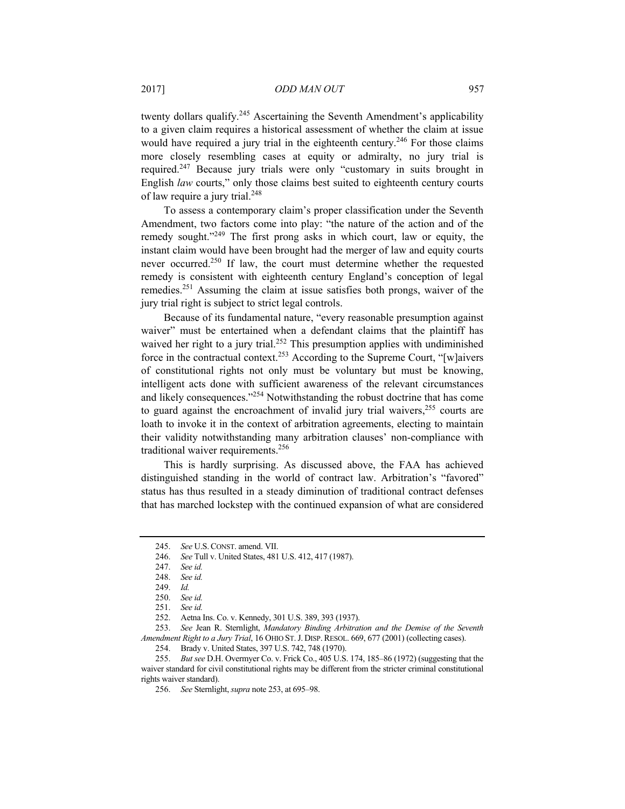twenty dollars qualify.<sup>245</sup> Ascertaining the Seventh Amendment's applicability to a given claim requires a historical assessment of whether the claim at issue would have required a jury trial in the eighteenth century.<sup>246</sup> For those claims more closely resembling cases at equity or admiralty, no jury trial is required.<sup>247</sup> Because jury trials were only "customary in suits brought in English *law* courts," only those claims best suited to eighteenth century courts of law require a jury trial.<sup>248</sup>

To assess a contemporary claim's proper classification under the Seventh Amendment, two factors come into play: "the nature of the action and of the remedy sought."249 The first prong asks in which court, law or equity, the instant claim would have been brought had the merger of law and equity courts never occurred.250 If law, the court must determine whether the requested remedy is consistent with eighteenth century England's conception of legal remedies.251 Assuming the claim at issue satisfies both prongs, waiver of the jury trial right is subject to strict legal controls.

Because of its fundamental nature, "every reasonable presumption against waiver" must be entertained when a defendant claims that the plaintiff has waived her right to a jury trial.<sup>252</sup> This presumption applies with undiminished force in the contractual context.253 According to the Supreme Court, "[w]aivers of constitutional rights not only must be voluntary but must be knowing, intelligent acts done with sufficient awareness of the relevant circumstances and likely consequences."254 Notwithstanding the robust doctrine that has come to guard against the encroachment of invalid jury trial waivers, $255$  courts are loath to invoke it in the context of arbitration agreements, electing to maintain their validity notwithstanding many arbitration clauses' non-compliance with traditional waiver requirements.<sup>256</sup>

This is hardly surprising. As discussed above, the FAA has achieved distinguished standing in the world of contract law. Arbitration's "favored" status has thus resulted in a steady diminution of traditional contract defenses that has marched lockstep with the continued expansion of what are considered

<sup>245.</sup> *See* U.S. CONST. amend. VII.

<sup>246.</sup> *See* Tull v. United States, 481 U.S. 412, 417 (1987).

<sup>247.</sup> *See id.*

<sup>248.</sup> *See id.*

<sup>249.</sup> *Id.*

<sup>250.</sup> *See id.*

<sup>251.</sup> *See id.*

 <sup>252.</sup> Aetna Ins. Co. v. Kennedy, 301 U.S. 389, 393 (1937).

<sup>253.</sup> *See* Jean R. Sternlight, *Mandatory Binding Arbitration and the Demise of the Seventh Amendment Right to a Jury Trial*, 16 OHIO ST.J. DISP. RESOL. 669, 677 (2001) (collecting cases).

 <sup>254.</sup> Brady v. United States, 397 U.S. 742, 748 (1970).

<sup>255.</sup> *But see* D.H. Overmyer Co. v. Frick Co., 405 U.S. 174, 185–86 (1972) (suggesting that the waiver standard for civil constitutional rights may be different from the stricter criminal constitutional rights waiver standard).

<sup>256.</sup> *See* Sternlight, *supra* note 253, at 695–98.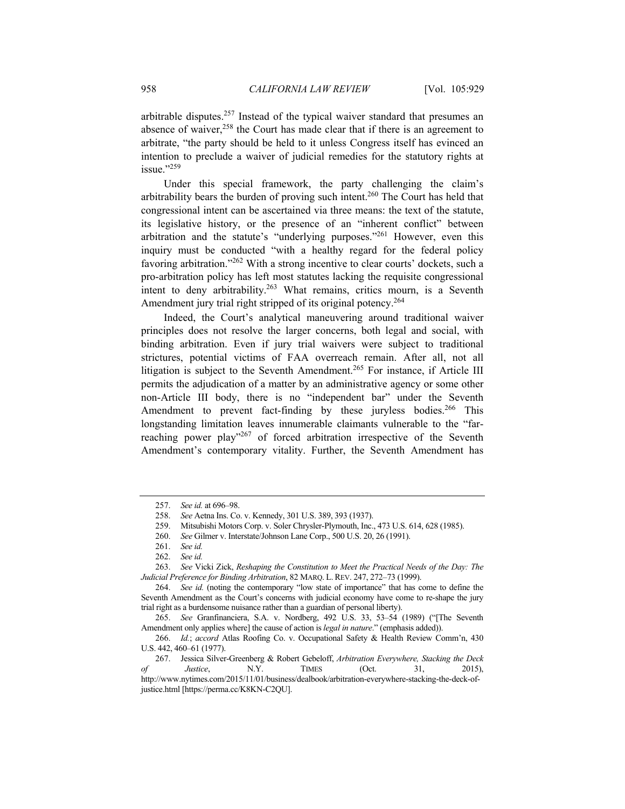arbitrable disputes.<sup>257</sup> Instead of the typical waiver standard that presumes an absence of waiver, $258$  the Court has made clear that if there is an agreement to arbitrate, "the party should be held to it unless Congress itself has evinced an intention to preclude a waiver of judicial remedies for the statutory rights at issue."259

Under this special framework, the party challenging the claim's arbitrability bears the burden of proving such intent.260 The Court has held that congressional intent can be ascertained via three means: the text of the statute, its legislative history, or the presence of an "inherent conflict" between arbitration and the statute's "underlying purposes."261 However, even this inquiry must be conducted "with a healthy regard for the federal policy favoring arbitration."<sup>262</sup> With a strong incentive to clear courts' dockets, such a pro-arbitration policy has left most statutes lacking the requisite congressional intent to deny arbitrability.<sup>263</sup> What remains, critics mourn, is a Seventh Amendment jury trial right stripped of its original potency.<sup>264</sup>

Indeed, the Court's analytical maneuvering around traditional waiver principles does not resolve the larger concerns, both legal and social, with binding arbitration. Even if jury trial waivers were subject to traditional strictures, potential victims of FAA overreach remain. After all, not all litigation is subject to the Seventh Amendment.<sup>265</sup> For instance, if Article III permits the adjudication of a matter by an administrative agency or some other non-Article III body, there is no "independent bar" under the Seventh Amendment to prevent fact-finding by these juryless bodies.<sup>266</sup> This longstanding limitation leaves innumerable claimants vulnerable to the "farreaching power play"<sup>267</sup> of forced arbitration irrespective of the Seventh Amendment's contemporary vitality. Further, the Seventh Amendment has

<sup>257.</sup> *See id.* at 696–98.

<sup>258.</sup> *See* Aetna Ins. Co. v. Kennedy, 301 U.S. 389, 393 (1937).

 <sup>259.</sup> Mitsubishi Motors Corp. v. Soler Chrysler-Plymouth, Inc., 473 U.S. 614, 628 (1985).

<sup>260.</sup> *See* Gilmer v. Interstate/Johnson Lane Corp., 500 U.S. 20, 26 (1991).

<sup>261.</sup> *See id.*

<sup>262.</sup> *See id.*

<sup>263.</sup> *See* Vicki Zick, *Reshaping the Constitution to Meet the Practical Needs of the Day: The Judicial Preference for Binding Arbitration*, 82 MARQ. L.REV. 247, 272–73 (1999).

<sup>264.</sup> *See id.* (noting the contemporary "low state of importance" that has come to define the Seventh Amendment as the Court's concerns with judicial economy have come to re-shape the jury trial right as a burdensome nuisance rather than a guardian of personal liberty).

<sup>265.</sup> *See* Granfinanciera, S.A. v. Nordberg, 492 U.S. 33, 53–54 (1989) ("[The Seventh Amendment only applies where] the cause of action is *legal in nature*." (emphasis added)).

<sup>266.</sup> *Id.*; *accord* Atlas Roofing Co. v. Occupational Safety & Health Review Comm'n, 430 U.S. 442, 460–61 (1977).

 <sup>267.</sup> Jessica Silver-Greenberg & Robert Gebeloff, *Arbitration Everywhere, Stacking the Deck of Justice*, N.Y. TIMES (Oct. 31, 2015), http://www.nytimes.com/2015/11/01/business/dealbook/arbitration-everywhere-stacking-the-deck-ofjustice.html [https://perma.cc/K8KN-C2QU].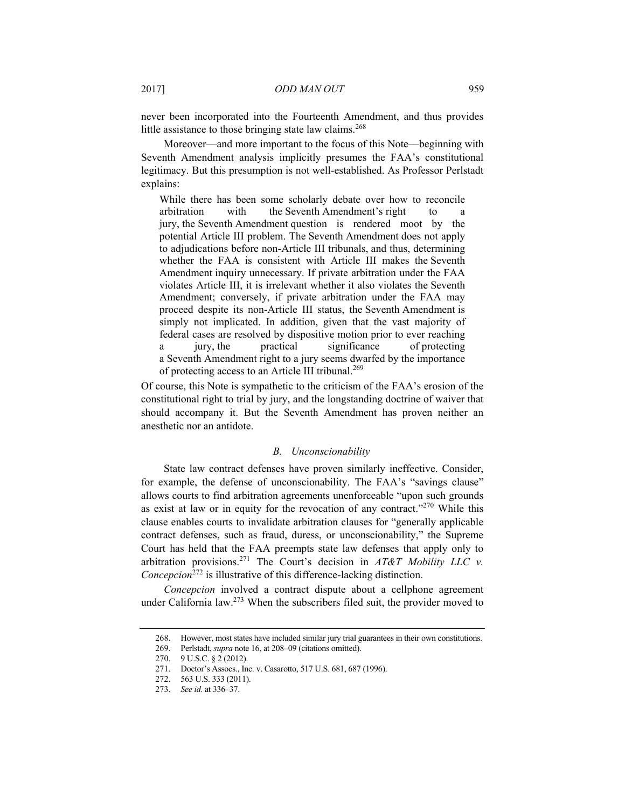never been incorporated into the Fourteenth Amendment, and thus provides little assistance to those bringing state law claims.<sup>268</sup>

Moreover––and more important to the focus of this Note––beginning with Seventh Amendment analysis implicitly presumes the FAA's constitutional legitimacy. But this presumption is not well-established. As Professor Perlstadt explains:

While there has been some scholarly debate over how to reconcile arbitration with the Seventh Amendment's right to a jury, the Seventh Amendment question is rendered moot by the potential Article III problem. The Seventh Amendment does not apply to adjudications before non-Article III tribunals, and thus, determining whether the FAA is consistent with Article III makes the Seventh Amendment inquiry unnecessary. If private arbitration under the FAA violates Article III, it is irrelevant whether it also violates the Seventh Amendment; conversely, if private arbitration under the FAA may proceed despite its non-Article III status, the Seventh Amendment is simply not implicated. In addition, given that the vast majority of federal cases are resolved by dispositive motion prior to ever reaching a jury, the practical significance of protecting a Seventh Amendment right to a jury seems dwarfed by the importance of protecting access to an Article III tribunal.<sup>269</sup>

Of course, this Note is sympathetic to the criticism of the FAA's erosion of the constitutional right to trial by jury, and the longstanding doctrine of waiver that should accompany it. But the Seventh Amendment has proven neither an anesthetic nor an antidote.

#### *B. Unconscionability*

State law contract defenses have proven similarly ineffective. Consider, for example, the defense of unconscionability. The FAA's "savings clause" allows courts to find arbitration agreements unenforceable "upon such grounds as exist at law or in equity for the revocation of any contract."<sup>270</sup> While this clause enables courts to invalidate arbitration clauses for "generally applicable contract defenses, such as fraud, duress, or unconscionability," the Supreme Court has held that the FAA preempts state law defenses that apply only to arbitration provisions.271 The Court's decision in *AT&T Mobility LLC v. Concepcion*<sup>272</sup> is illustrative of this difference-lacking distinction.

*Concepcion* involved a contract dispute about a cellphone agreement under California law.273 When the subscribers filed suit, the provider moved to

 <sup>268.</sup> However, most states have included similar jury trial guarantees in their own constitutions.

 <sup>269.</sup> Perlstadt, *supra* note 16, at 208–09 (citations omitted).

 <sup>270. 9</sup> U.S.C. § 2 (2012).

 <sup>271.</sup> Doctor's Assocs., Inc. v. Casarotto, 517 U.S. 681, 687 (1996).

 <sup>272. 563</sup> U.S. 333 (2011).

<sup>273.</sup> *See id.* at 336–37.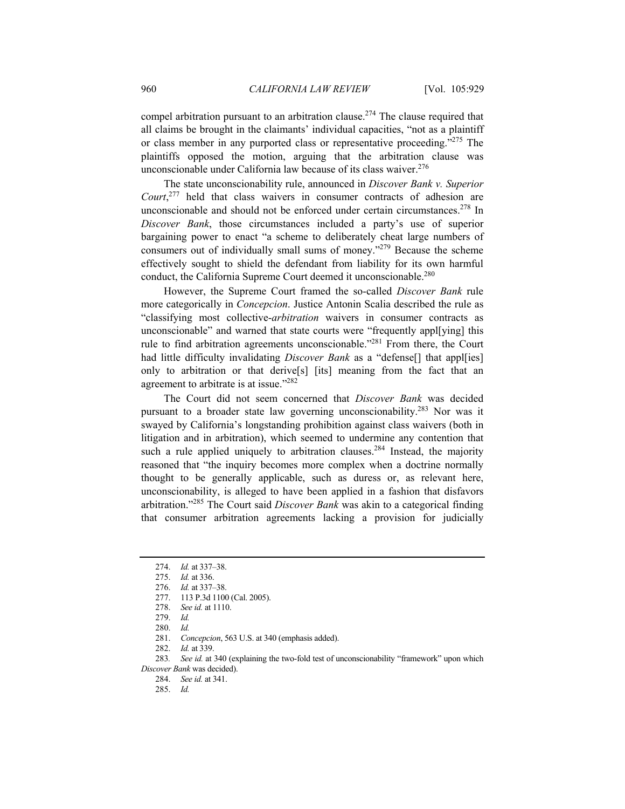compel arbitration pursuant to an arbitration clause.<sup>274</sup> The clause required that all claims be brought in the claimants' individual capacities, "not as a plaintiff or class member in any purported class or representative proceeding."275 The plaintiffs opposed the motion, arguing that the arbitration clause was unconscionable under California law because of its class waiver.<sup>276</sup>

The state unconscionability rule, announced in *Discover Bank v. Superior Court*, 277 held that class waivers in consumer contracts of adhesion are unconscionable and should not be enforced under certain circumstances.<sup>278</sup> In *Discover Bank*, those circumstances included a party's use of superior bargaining power to enact "a scheme to deliberately cheat large numbers of consumers out of individually small sums of money."279 Because the scheme effectively sought to shield the defendant from liability for its own harmful conduct, the California Supreme Court deemed it unconscionable.<sup>280</sup>

However, the Supreme Court framed the so-called *Discover Bank* rule more categorically in *Concepcion*. Justice Antonin Scalia described the rule as "classifying most collective-*arbitration* waivers in consumer contracts as unconscionable" and warned that state courts were "frequently appl[ying] this rule to find arbitration agreements unconscionable."<sup>281</sup> From there, the Court had little difficulty invalidating *Discover Bank* as a "defense<sup>[]</sup> that appl[ies] only to arbitration or that derive[s] [its] meaning from the fact that an agreement to arbitrate is at issue."282

The Court did not seem concerned that *Discover Bank* was decided pursuant to a broader state law governing unconscionability.283 Nor was it swayed by California's longstanding prohibition against class waivers (both in litigation and in arbitration), which seemed to undermine any contention that such a rule applied uniquely to arbitration clauses.<sup>284</sup> Instead, the majority reasoned that "the inquiry becomes more complex when a doctrine normally thought to be generally applicable, such as duress or, as relevant here, unconscionability, is alleged to have been applied in a fashion that disfavors arbitration."285 The Court said *Discover Bank* was akin to a categorical finding that consumer arbitration agreements lacking a provision for judicially

<sup>274.</sup> *Id.* at 337–38.

<sup>275.</sup> *Id.* at 336.

<sup>276.</sup> *Id.* at 337–38.

 <sup>277. 113</sup> P.3d 1100 (Cal. 2005).

<sup>278.</sup> *See id.* at 1110.

<sup>279.</sup> *Id.*

<sup>280.</sup> *Id.*

<sup>281.</sup> *Concepcion*, 563 U.S. at 340 (emphasis added).

<sup>282.</sup> *Id.* at 339.

<sup>283</sup>*. See id.* at 340 (explaining the two-fold test of unconscionability "framework" upon which *Discover Bank* was decided).

<sup>284.</sup> *See id.* at 341.

<sup>285.</sup> *Id.*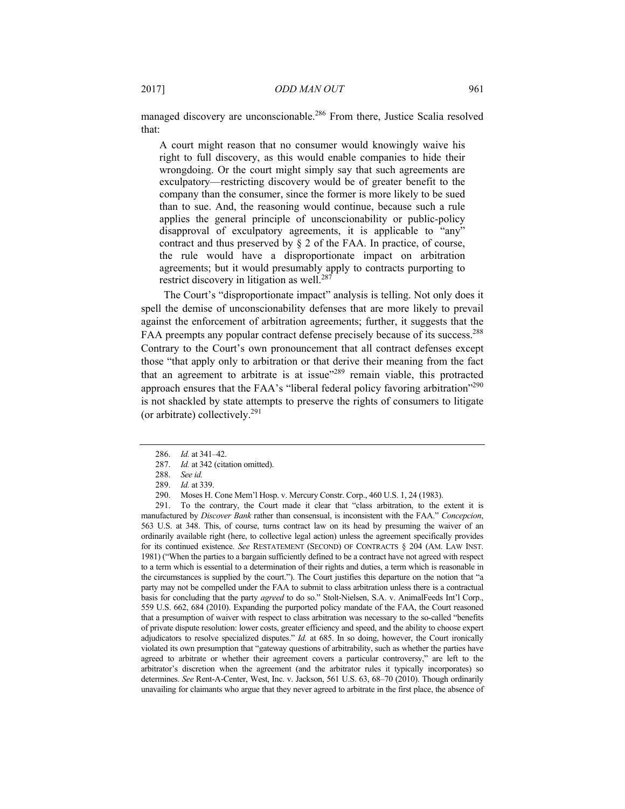managed discovery are unconscionable.<sup>286</sup> From there, Justice Scalia resolved that:

A court might reason that no consumer would knowingly waive his right to full discovery, as this would enable companies to hide their wrongdoing. Or the court might simply say that such agreements are exculpatory—restricting discovery would be of greater benefit to the company than the consumer, since the former is more likely to be sued than to sue. And, the reasoning would continue, because such a rule applies the general principle of unconscionability or public-policy disapproval of exculpatory agreements, it is applicable to "any" contract and thus preserved by § 2 of the FAA. In practice, of course, the rule would have a disproportionate impact on arbitration agreements; but it would presumably apply to contracts purporting to restrict discovery in litigation as well.<sup>287</sup>

The Court's "disproportionate impact" analysis is telling. Not only does it spell the demise of unconscionability defenses that are more likely to prevail against the enforcement of arbitration agreements; further, it suggests that the FAA preempts any popular contract defense precisely because of its success.<sup>288</sup> Contrary to the Court's own pronouncement that all contract defenses except those "that apply only to arbitration or that derive their meaning from the fact that an agreement to arbitrate is at issue"289 remain viable, this protracted approach ensures that the FAA's "liberal federal policy favoring arbitration"290 is not shackled by state attempts to preserve the rights of consumers to litigate (or arbitrate) collectively. $^{291}$ 

 291. To the contrary, the Court made it clear that "class arbitration, to the extent it is manufactured by *Discover Bank* rather than consensual, is inconsistent with the FAA." *Concepcion*, 563 U.S. at 348. This, of course, turns contract law on its head by presuming the waiver of an ordinarily available right (here, to collective legal action) unless the agreement specifically provides for its continued existence. *See* RESTATEMENT (SECOND) OF CONTRACTS § 204 (AM. LAW INST. 1981) ("When the parties to a bargain sufficiently defined to be a contract have not agreed with respect to a term which is essential to a determination of their rights and duties, a term which is reasonable in the circumstances is supplied by the court."). The Court justifies this departure on the notion that "a party may not be compelled under the FAA to submit to class arbitration unless there is a contractual basis for concluding that the party *agreed* to do so." Stolt-Nielsen, S.A. v. AnimalFeeds Int'l Corp., 559 U.S. 662, 684 (2010). Expanding the purported policy mandate of the FAA, the Court reasoned that a presumption of waiver with respect to class arbitration was necessary to the so-called "benefits of private dispute resolution: lower costs, greater efficiency and speed, and the ability to choose expert adjudicators to resolve specialized disputes." *Id.* at 685. In so doing, however, the Court ironically violated its own presumption that "gateway questions of arbitrability, such as whether the parties have agreed to arbitrate or whether their agreement covers a particular controversy," are left to the arbitrator's discretion when the agreement (and the arbitrator rules it typically incorporates) so determines. *See* Rent-A-Center, West, Inc. v. Jackson, 561 U.S. 63, 68–70 (2010). Though ordinarily unavailing for claimants who argue that they never agreed to arbitrate in the first place, the absence of

<sup>286.</sup> *Id.* at 341–42.

<sup>287.</sup> *Id.* at 342 (citation omitted).

<sup>288.</sup> *See id.*

<sup>289.</sup> *Id.* at 339.

 <sup>290.</sup> Moses H. Cone Mem'l Hosp. v. Mercury Constr. Corp., 460 U.S. 1, 24 (1983).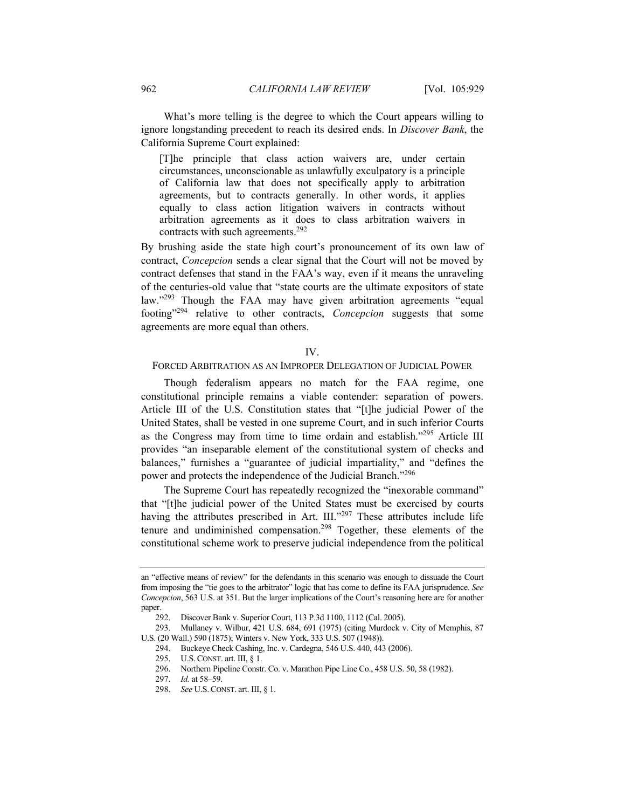What's more telling is the degree to which the Court appears willing to ignore longstanding precedent to reach its desired ends. In *Discover Bank*, the California Supreme Court explained:

[T]he principle that class action waivers are, under certain circumstances, unconscionable as unlawfully exculpatory is a principle of California law that does not specifically apply to arbitration agreements, but to contracts generally. In other words, it applies equally to class action litigation waivers in contracts without arbitration agreements as it does to class arbitration waivers in contracts with such agreements.<sup>292</sup>

By brushing aside the state high court's pronouncement of its own law of contract, *Concepcion* sends a clear signal that the Court will not be moved by contract defenses that stand in the FAA's way, even if it means the unraveling of the centuries-old value that "state courts are the ultimate expositors of state law."<sup>293</sup> Though the FAA may have given arbitration agreements "equal footing"294 relative to other contracts, *Concepcion* suggests that some agreements are more equal than others.

# IV.

# FORCED ARBITRATION AS AN IMPROPER DELEGATION OF JUDICIAL POWER

Though federalism appears no match for the FAA regime, one constitutional principle remains a viable contender: separation of powers. Article III of the U.S. Constitution states that "[t]he judicial Power of the United States, shall be vested in one supreme Court, and in such inferior Courts as the Congress may from time to time ordain and establish."295 Article III provides "an inseparable element of the constitutional system of checks and balances," furnishes a "guarantee of judicial impartiality," and "defines the power and protects the independence of the Judicial Branch."296

The Supreme Court has repeatedly recognized the "inexorable command" that "[t]he judicial power of the United States must be exercised by courts having the attributes prescribed in Art. III."<sup>297</sup> These attributes include life tenure and undiminished compensation.298 Together, these elements of the constitutional scheme work to preserve judicial independence from the political

294. Buckeye Check Cashing, Inc. v. Cardegna, 546 U.S. 440, 443 (2006).

an "effective means of review" for the defendants in this scenario was enough to dissuade the Court from imposing the "tie goes to the arbitrator" logic that has come to define its FAA jurisprudence. *See Concepcion*, 563 U.S. at 351. But the larger implications of the Court's reasoning here are for another paper.

 <sup>292.</sup> Discover Bank v. Superior Court, 113 P.3d 1100, 1112 (Cal. 2005).

 <sup>293.</sup> Mullaney v. Wilbur, 421 U.S. 684, 691 (1975) (citing Murdock v. City of Memphis, 87 U.S. (20 Wall.) 590 (1875); Winters v. New York, 333 U.S. 507 (1948)).

 <sup>295.</sup> U.S.CONST. art. III, § 1.

 <sup>296.</sup> Northern Pipeline Constr. Co. v. Marathon Pipe Line Co., 458 U.S. 50, 58 (1982).

<sup>297.</sup> *Id.* at 58–59.

<sup>298.</sup> *See* U.S. CONST. art. III, § 1.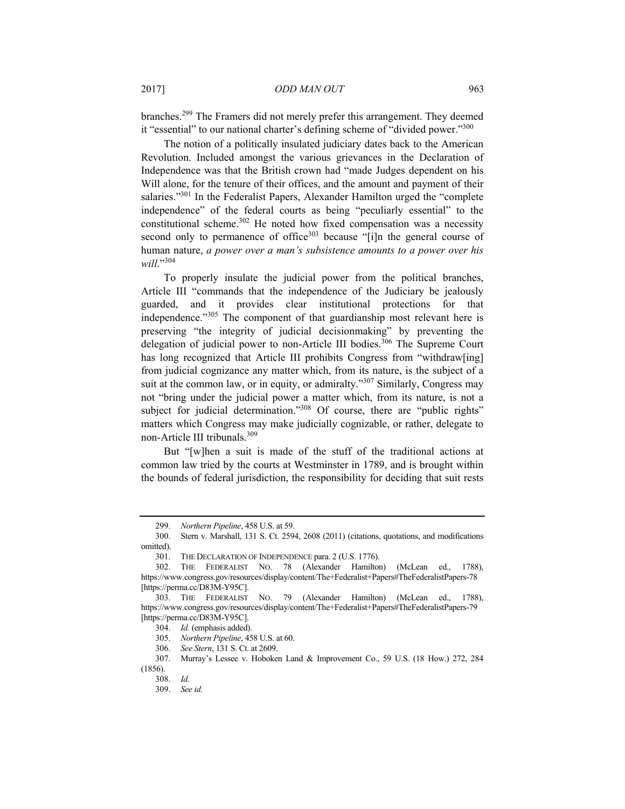branches.299 The Framers did not merely prefer this arrangement. They deemed it "essential" to our national charter's defining scheme of "divided power."<sup>300</sup>

The notion of a politically insulated judiciary dates back to the American Revolution. Included amongst the various grievances in the Declaration of Independence was that the British crown had "made Judges dependent on his Will alone, for the tenure of their offices, and the amount and payment of their salaries."<sup>301</sup> In the Federalist Papers, Alexander Hamilton urged the "complete" independence" of the federal courts as being "peculiarly essential" to the constitutional scheme. $302$  He noted how fixed compensation was a necessity second only to permanence of office $303$  because "[i]n the general course of human nature, *a power over a man's subsistence amounts to a power over his will*."304

To properly insulate the judicial power from the political branches, Article III "commands that the independence of the Judiciary be jealously guarded, and it provides clear institutional protections for that independence."305 The component of that guardianship most relevant here is preserving "the integrity of judicial decisionmaking" by preventing the delegation of judicial power to non-Article III bodies.<sup>306</sup> The Supreme Court has long recognized that Article III prohibits Congress from "withdraw[ing] from judicial cognizance any matter which, from its nature, is the subject of a suit at the common law, or in equity, or admiralty."<sup>307</sup> Similarly, Congress may not "bring under the judicial power a matter which, from its nature, is not a subject for judicial determination."<sup>308</sup> Of course, there are "public rights" matters which Congress may make judicially cognizable, or rather, delegate to non-Article III tribunals.309

But "[w]hen a suit is made of the stuff of the traditional actions at common law tried by the courts at Westminster in 1789, and is brought within the bounds of federal jurisdiction, the responsibility for deciding that suit rests

<sup>299.</sup> *Northern Pipeline*, 458 U.S. at 59.

 <sup>300.</sup> Stern v. Marshall, 131 S. Ct. 2594, 2608 (2011) (citations, quotations, and modifications omitted).

 <sup>301.</sup> THE DECLARATION OF INDEPENDENCE para. 2 (U.S. 1776).

 <sup>302.</sup> THE FEDERALIST NO. 78 (Alexander Hamilton) (McLean ed., 1788), https://www.congress.gov/resources/display/content/The+Federalist+Papers#TheFederalistPapers-78 [https://perma.cc/D83M-Y95C].

 <sup>303.</sup> THE FEDERALIST NO. 79 (Alexander Hamilton) (McLean ed., 1788), https://www.congress.gov/resources/display/content/The+Federalist+Papers#TheFederalistPapers-79 [https://perma.cc/D83M-Y95C].

<sup>304.</sup> *Id.* (emphasis added).

<sup>305.</sup> *Northern Pipeline*, 458 U.S. at 60.

<sup>306.</sup> *See Stern*, 131 S. Ct. at 2609.

 <sup>307.</sup> Murray's Lessee v. Hoboken Land & Improvement Co., 59 U.S. (18 How.) 272, 284 (1856).

<sup>308.</sup> *Id.*

<sup>309.</sup> *See id.*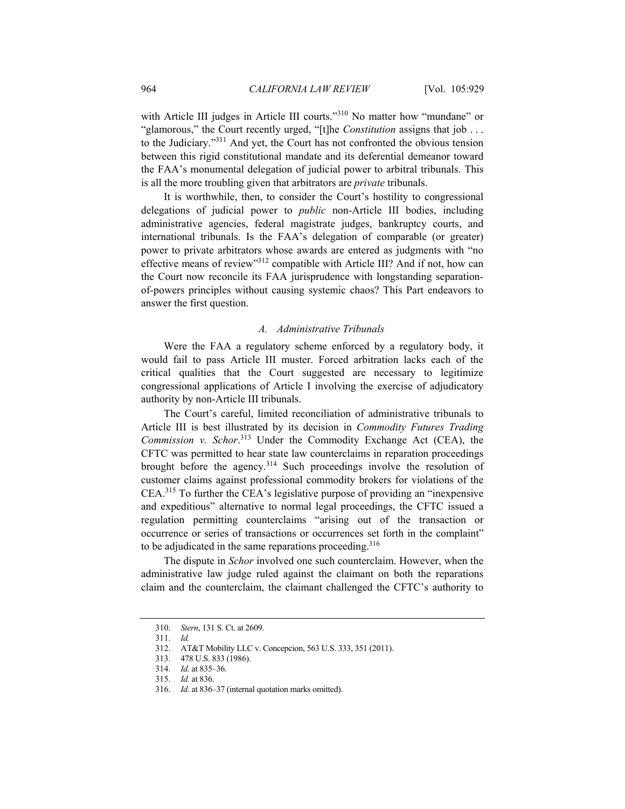with Article III judges in Article III courts."<sup>310</sup> No matter how "mundane" or "glamorous," the Court recently urged, "[t]he *Constitution* assigns that job . . . to the Judiciary."311 And yet, the Court has not confronted the obvious tension between this rigid constitutional mandate and its deferential demeanor toward the FAA's monumental delegation of judicial power to arbitral tribunals. This is all the more troubling given that arbitrators are *private* tribunals.

It is worthwhile, then, to consider the Court's hostility to congressional delegations of judicial power to *public* non-Article III bodies, including administrative agencies, federal magistrate judges, bankruptcy courts, and international tribunals. Is the FAA's delegation of comparable (or greater) power to private arbitrators whose awards are entered as judgments with "no effective means of review"312 compatible with Article III? And if not, how can the Court now reconcile its FAA jurisprudence with longstanding separationof-powers principles without causing systemic chaos? This Part endeavors to answer the first question.

#### *A. Administrative Tribunals*

Were the FAA a regulatory scheme enforced by a regulatory body, it would fail to pass Article III muster. Forced arbitration lacks each of the critical qualities that the Court suggested are necessary to legitimize congressional applications of Article I involving the exercise of adjudicatory authority by non-Article III tribunals.

The Court's careful, limited reconciliation of administrative tribunals to Article III is best illustrated by its decision in *Commodity Futures Trading Commission v. Schor*. 313 Under the Commodity Exchange Act (CEA), the CFTC was permitted to hear state law counterclaims in reparation proceedings brought before the agency.<sup>314</sup> Such proceedings involve the resolution of customer claims against professional commodity brokers for violations of the CEA.315 To further the CEA's legislative purpose of providing an "inexpensive and expeditious" alternative to normal legal proceedings, the CFTC issued a regulation permitting counterclaims "arising out of the transaction or occurrence or series of transactions or occurrences set forth in the complaint" to be adjudicated in the same reparations proceeding.<sup>316</sup>

The dispute in *Schor* involved one such counterclaim. However, when the administrative law judge ruled against the claimant on both the reparations claim and the counterclaim, the claimant challenged the CFTC's authority to

<sup>310.</sup> *Stern*, 131 S. Ct. at 2609.

<sup>311.</sup> *Id.*

 <sup>312.</sup> AT&T Mobility LLC v. Concepcion, 563 U.S. 333, 351 (2011).

 <sup>313. 478</sup> U.S. 833 (1986).

<sup>314.</sup> *Id.* at 835–36.

<sup>315.</sup> *Id.* at 836.

<sup>316.</sup> *Id.* at 836–37 (internal quotation marks omitted).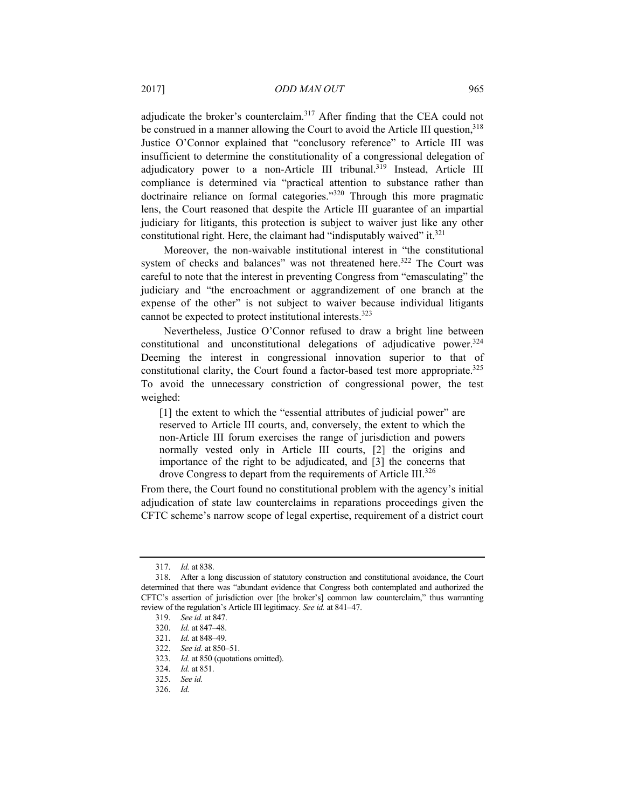adjudicate the broker's counterclaim.317 After finding that the CEA could not be construed in a manner allowing the Court to avoid the Article III question, $318$ Justice O'Connor explained that "conclusory reference" to Article III was insufficient to determine the constitutionality of a congressional delegation of adjudicatory power to a non-Article III tribunal.<sup>319</sup> Instead, Article III compliance is determined via "practical attention to substance rather than doctrinaire reliance on formal categories."320 Through this more pragmatic lens, the Court reasoned that despite the Article III guarantee of an impartial judiciary for litigants, this protection is subject to waiver just like any other constitutional right. Here, the claimant had "indisputably waived" it. $321$ 

Moreover, the non-waivable institutional interest in "the constitutional system of checks and balances" was not threatened here.<sup>322</sup> The Court was careful to note that the interest in preventing Congress from "emasculating" the judiciary and "the encroachment or aggrandizement of one branch at the expense of the other" is not subject to waiver because individual litigants cannot be expected to protect institutional interests.323

Nevertheless, Justice O'Connor refused to draw a bright line between constitutional and unconstitutional delegations of adjudicative power.324 Deeming the interest in congressional innovation superior to that of constitutional clarity, the Court found a factor-based test more appropriate.<sup>325</sup> To avoid the unnecessary constriction of congressional power, the test weighed:

[1] the extent to which the "essential attributes of judicial power" are reserved to Article III courts, and, conversely, the extent to which the non-Article III forum exercises the range of jurisdiction and powers normally vested only in Article III courts, [2] the origins and importance of the right to be adjudicated, and [3] the concerns that drove Congress to depart from the requirements of Article III.<sup>326</sup>

From there, the Court found no constitutional problem with the agency's initial adjudication of state law counterclaims in reparations proceedings given the CFTC scheme's narrow scope of legal expertise, requirement of a district court

<sup>317.</sup> *Id.* at 838.

 <sup>318.</sup> After a long discussion of statutory construction and constitutional avoidance, the Court determined that there was "abundant evidence that Congress both contemplated and authorized the CFTC's assertion of jurisdiction over [the broker's] common law counterclaim," thus warranting review of the regulation's Article III legitimacy. *See id.* at 841–47.

<sup>319.</sup> *See id.* at 847.

<sup>320.</sup> *Id.* at 847–48.

<sup>321.</sup> *Id.* at 848–49.

<sup>322.</sup> *See id.* at 850–51.

<sup>323.</sup> *Id.* at 850 (quotations omitted).

<sup>324.</sup> *Id.* at 851.

<sup>325.</sup> *See id.*

<sup>326.</sup> *Id.*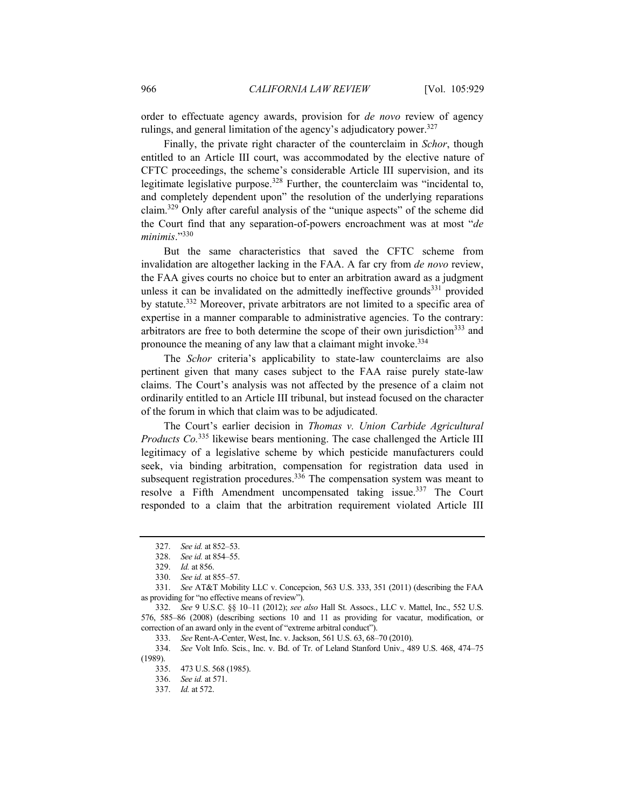order to effectuate agency awards, provision for *de novo* review of agency rulings, and general limitation of the agency's adjudicatory power.<sup>327</sup>

Finally, the private right character of the counterclaim in *Schor*, though entitled to an Article III court, was accommodated by the elective nature of CFTC proceedings, the scheme's considerable Article III supervision, and its legitimate legislative purpose.<sup>328</sup> Further, the counterclaim was "incidental to, and completely dependent upon" the resolution of the underlying reparations claim.329 Only after careful analysis of the "unique aspects" of the scheme did the Court find that any separation-of-powers encroachment was at most "*de minimis*."330

But the same characteristics that saved the CFTC scheme from invalidation are altogether lacking in the FAA. A far cry from *de novo* review, the FAA gives courts no choice but to enter an arbitration award as a judgment unless it can be invalidated on the admittedly ineffective grounds $^{331}$  provided by statute.332 Moreover, private arbitrators are not limited to a specific area of expertise in a manner comparable to administrative agencies. To the contrary: arbitrators are free to both determine the scope of their own jurisdiction<sup>333</sup> and pronounce the meaning of any law that a claimant might invoke.<sup>334</sup>

The *Schor* criteria's applicability to state-law counterclaims are also pertinent given that many cases subject to the FAA raise purely state-law claims. The Court's analysis was not affected by the presence of a claim not ordinarily entitled to an Article III tribunal, but instead focused on the character of the forum in which that claim was to be adjudicated.

The Court's earlier decision in *Thomas v. Union Carbide Agricultural Products Co.*<sup>335</sup> likewise bears mentioning. The case challenged the Article III legitimacy of a legislative scheme by which pesticide manufacturers could seek, via binding arbitration, compensation for registration data used in subsequent registration procedures.<sup>336</sup> The compensation system was meant to resolve a Fifth Amendment uncompensated taking issue.<sup>337</sup> The Court responded to a claim that the arbitration requirement violated Article III

333. *See* Rent-A-Center, West, Inc. v. Jackson, 561 U.S. 63, 68–70 (2010).

<sup>327.</sup> *See id.* at 852–53.

<sup>328.</sup> *See id.* at 854–55.

<sup>329.</sup> *Id.* at 856.

<sup>330.</sup> *See id.* at 855–57.

<sup>331.</sup> *See* AT&T Mobility LLC v. Concepcion, 563 U.S. 333, 351 (2011) (describing the FAA as providing for "no effective means of review").

<sup>332.</sup> *See* 9 U.S.C. §§ 10–11 (2012); *see also* Hall St. Assocs., LLC v. Mattel, Inc., 552 U.S. 576, 585–86 (2008) (describing sections 10 and 11 as providing for vacatur, modification, or correction of an award only in the event of "extreme arbitral conduct").

<sup>334.</sup> *See* Volt Info. Scis., Inc. v. Bd. of Tr. of Leland Stanford Univ., 489 U.S. 468, 474–75 (1989).

 <sup>335. 473</sup> U.S. 568 (1985).

<sup>336.</sup> *See id.* at 571.

<sup>337.</sup> *Id.* at 572.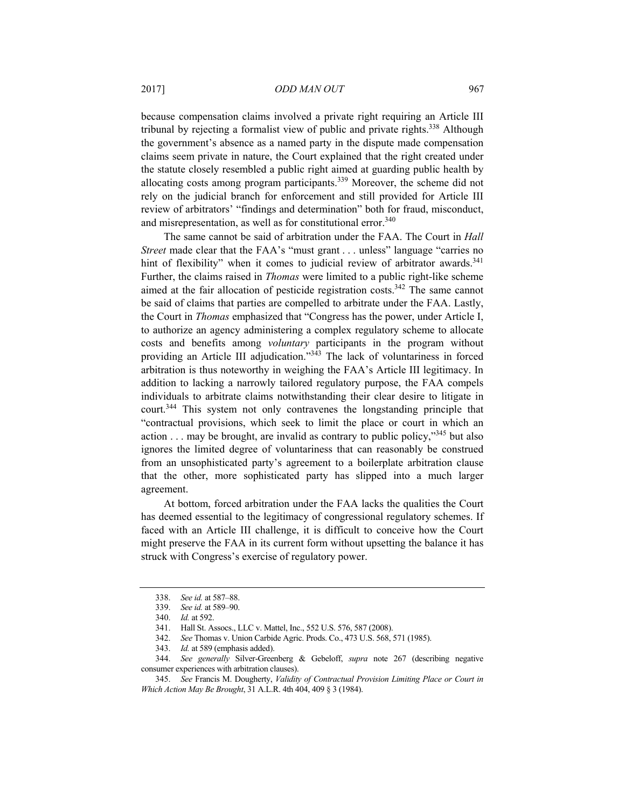because compensation claims involved a private right requiring an Article III tribunal by rejecting a formalist view of public and private rights.338 Although the government's absence as a named party in the dispute made compensation claims seem private in nature, the Court explained that the right created under the statute closely resembled a public right aimed at guarding public health by allocating costs among program participants.339 Moreover, the scheme did not rely on the judicial branch for enforcement and still provided for Article III review of arbitrators' "findings and determination" both for fraud, misconduct, and misrepresentation, as well as for constitutional error.<sup>340</sup>

The same cannot be said of arbitration under the FAA. The Court in *Hall Street* made clear that the FAA's "must grant . . . unless" language "carries no hint of flexibility" when it comes to judicial review of arbitrator awards. $341$ Further, the claims raised in *Thomas* were limited to a public right-like scheme aimed at the fair allocation of pesticide registration costs. $342$  The same cannot be said of claims that parties are compelled to arbitrate under the FAA. Lastly, the Court in *Thomas* emphasized that "Congress has the power, under Article I, to authorize an agency administering a complex regulatory scheme to allocate costs and benefits among *voluntary* participants in the program without providing an Article III adjudication.<sup>"343</sup> The lack of voluntariness in forced arbitration is thus noteworthy in weighing the FAA's Article III legitimacy. In addition to lacking a narrowly tailored regulatory purpose, the FAA compels individuals to arbitrate claims notwithstanding their clear desire to litigate in court.344 This system not only contravenes the longstanding principle that "contractual provisions, which seek to limit the place or court in which an action  $\ldots$  may be brought, are invalid as contrary to public policy,"<sup>345</sup> but also ignores the limited degree of voluntariness that can reasonably be construed from an unsophisticated party's agreement to a boilerplate arbitration clause that the other, more sophisticated party has slipped into a much larger agreement.

At bottom, forced arbitration under the FAA lacks the qualities the Court has deemed essential to the legitimacy of congressional regulatory schemes. If faced with an Article III challenge, it is difficult to conceive how the Court might preserve the FAA in its current form without upsetting the balance it has struck with Congress's exercise of regulatory power.

342. *See* Thomas v. Union Carbide Agric. Prods. Co., 473 U.S. 568, 571 (1985).

<sup>338.</sup> *See id.* at 587–88.

<sup>339.</sup> *See id.* at 589–90.

<sup>340.</sup> *Id.* at 592.

 <sup>341.</sup> Hall St. Assocs., LLC v. Mattel, Inc., 552 U.S. 576, 587 (2008).

<sup>343.</sup> *Id.* at 589 (emphasis added).

<sup>344.</sup> *See generally* Silver-Greenberg & Gebeloff, *supra* note 267 (describing negative consumer experiences with arbitration clauses).

<sup>345.</sup> *See* Francis M. Dougherty, *Validity of Contractual Provision Limiting Place or Court in Which Action May Be Brought*, 31 A.L.R. 4th 404, 409 § 3 (1984).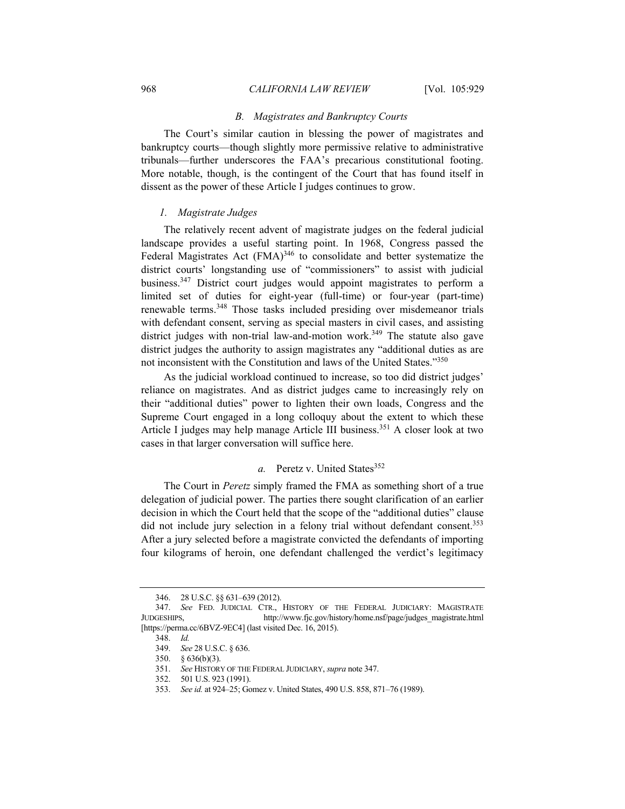#### *B. Magistrates and Bankruptcy Courts*

The Court's similar caution in blessing the power of magistrates and bankruptcy courts—though slightly more permissive relative to administrative tribunals—further underscores the FAA's precarious constitutional footing. More notable, though, is the contingent of the Court that has found itself in dissent as the power of these Article I judges continues to grow.

## *1. Magistrate Judges*

The relatively recent advent of magistrate judges on the federal judicial landscape provides a useful starting point. In 1968, Congress passed the Federal Magistrates Act (FMA)<sup>346</sup> to consolidate and better systematize the district courts' longstanding use of "commissioners" to assist with judicial business.347 District court judges would appoint magistrates to perform a limited set of duties for eight-year (full-time) or four-year (part-time) renewable terms.<sup>348</sup> Those tasks included presiding over misdemeanor trials with defendant consent, serving as special masters in civil cases, and assisting district judges with non-trial law-and-motion work.<sup>349</sup> The statute also gave district judges the authority to assign magistrates any "additional duties as are not inconsistent with the Constitution and laws of the United States."<sup>350</sup>

As the judicial workload continued to increase, so too did district judges' reliance on magistrates. And as district judges came to increasingly rely on their "additional duties" power to lighten their own loads, Congress and the Supreme Court engaged in a long colloquy about the extent to which these Article I judges may help manage Article III business.<sup>351</sup> A closer look at two cases in that larger conversation will suffice here.

# *a.* Peretz v. United States<sup>352</sup>

The Court in *Peretz* simply framed the FMA as something short of a true delegation of judicial power. The parties there sought clarification of an earlier decision in which the Court held that the scope of the "additional duties" clause did not include jury selection in a felony trial without defendant consent.<sup>353</sup> After a jury selected before a magistrate convicted the defendants of importing four kilograms of heroin, one defendant challenged the verdict's legitimacy

 <sup>346. 28</sup> U.S.C. §§ 631–639 (2012).

<sup>347.</sup> *See* FED. JUDICIAL CTR., HISTORY OF THE FEDERAL JUDICIARY: MAGISTRATE JUDGESHIPS, http://www.fjc.gov/history/home.nsf/page/judges\_magistrate.html [https://perma.cc/6BVZ-9EC4] (last visited Dec. 16, 2015).

<sup>348.</sup> *Id.*

<sup>349.</sup> *See* 28 U.S.C. § 636.

 <sup>350. § 636(</sup>b)(3).

<sup>351.</sup> *See* HISTORY OF THE FEDERAL JUDICIARY, *supra* note 347.

 <sup>352. 501</sup> U.S. 923 (1991).

<sup>353.</sup> *See id.* at 924–25; Gomez v. United States, 490 U.S. 858, 871–76 (1989).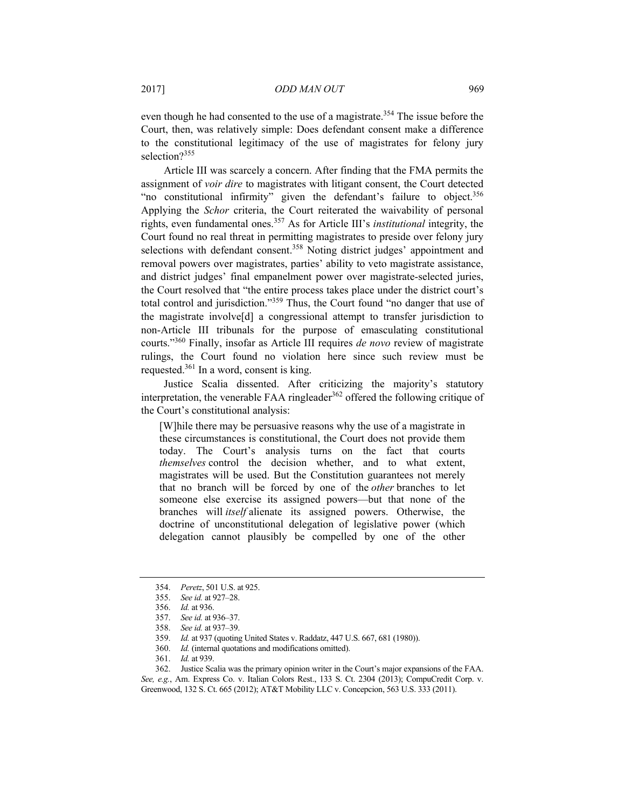even though he had consented to the use of a magistrate.<sup>354</sup> The issue before the Court, then, was relatively simple: Does defendant consent make a difference to the constitutional legitimacy of the use of magistrates for felony jury selection?<sup>355</sup>

Article III was scarcely a concern. After finding that the FMA permits the assignment of *voir dire* to magistrates with litigant consent, the Court detected "no constitutional infirmity" given the defendant's failure to object.<sup>356</sup> Applying the *Schor* criteria, the Court reiterated the waivability of personal rights, even fundamental ones.357 As for Article III's *institutional* integrity, the Court found no real threat in permitting magistrates to preside over felony jury selections with defendant consent.<sup>358</sup> Noting district judges' appointment and removal powers over magistrates, parties' ability to veto magistrate assistance, and district judges' final empanelment power over magistrate-selected juries, the Court resolved that "the entire process takes place under the district court's total control and jurisdiction."359 Thus, the Court found "no danger that use of the magistrate involve[d] a congressional attempt to transfer jurisdiction to non-Article III tribunals for the purpose of emasculating constitutional courts."360 Finally, insofar as Article III requires *de novo* review of magistrate rulings, the Court found no violation here since such review must be requested.361 In a word, consent is king.

Justice Scalia dissented. After criticizing the majority's statutory interpretation, the venerable FAA ringleader<sup>362</sup> offered the following critique of the Court's constitutional analysis:

[W]hile there may be persuasive reasons why the use of a magistrate in these circumstances is constitutional, the Court does not provide them today. The Court's analysis turns on the fact that courts *themselves* control the decision whether, and to what extent, magistrates will be used. But the Constitution guarantees not merely that no branch will be forced by one of the *other* branches to let someone else exercise its assigned powers—but that none of the branches will *itself* alienate its assigned powers. Otherwise, the doctrine of unconstitutional delegation of legislative power (which delegation cannot plausibly be compelled by one of the other

<sup>354.</sup> *Peretz*, 501 U.S. at 925.

<sup>355.</sup> *See id.* at 927–28.

<sup>356.</sup> *Id.* at 936.

<sup>357.</sup> *See id.* at 936–37.

<sup>358.</sup> *See id.* at 937–39.

<sup>359.</sup> *Id.* at 937 (quoting United States v. Raddatz, 447 U.S. 667, 681 (1980)).

<sup>360.</sup> *Id.* (internal quotations and modifications omitted).

<sup>361.</sup> *Id.* at 939.

 <sup>362.</sup> Justice Scalia was the primary opinion writer in the Court's major expansions of the FAA. *See, e.g.*, Am. Express Co. v. Italian Colors Rest., 133 S. Ct. 2304 (2013); CompuCredit Corp. v. Greenwood, 132 S. Ct. 665 (2012); AT&T Mobility LLC v. Concepcion, 563 U.S. 333 (2011).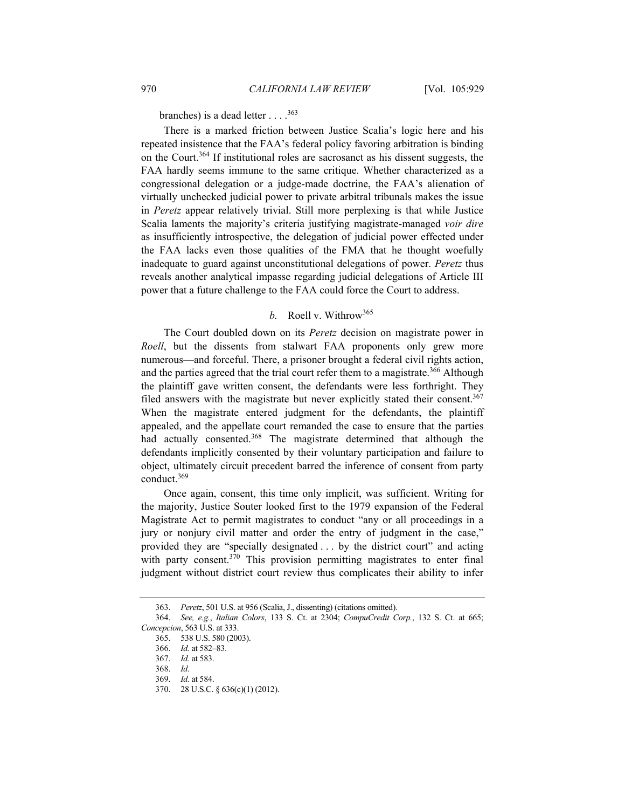branches) is a dead letter  $\ldots$ .<sup>363</sup>

There is a marked friction between Justice Scalia's logic here and his repeated insistence that the FAA's federal policy favoring arbitration is binding on the Court.364 If institutional roles are sacrosanct as his dissent suggests, the FAA hardly seems immune to the same critique. Whether characterized as a congressional delegation or a judge-made doctrine, the FAA's alienation of virtually unchecked judicial power to private arbitral tribunals makes the issue in *Peretz* appear relatively trivial. Still more perplexing is that while Justice Scalia laments the majority's criteria justifying magistrate-managed *voir dire* as insufficiently introspective, the delegation of judicial power effected under the FAA lacks even those qualities of the FMA that he thought woefully inadequate to guard against unconstitutional delegations of power. *Peretz* thus reveals another analytical impasse regarding judicial delegations of Article III power that a future challenge to the FAA could force the Court to address.

# *b.* Roell v. Withrow365

The Court doubled down on its *Peretz* decision on magistrate power in *Roell*, but the dissents from stalwart FAA proponents only grew more numerous—and forceful. There, a prisoner brought a federal civil rights action, and the parties agreed that the trial court refer them to a magistrate.<sup>366</sup> Although the plaintiff gave written consent, the defendants were less forthright. They filed answers with the magistrate but never explicitly stated their consent.<sup>367</sup> When the magistrate entered judgment for the defendants, the plaintiff appealed, and the appellate court remanded the case to ensure that the parties had actually consented.<sup>368</sup> The magistrate determined that although the defendants implicitly consented by their voluntary participation and failure to object, ultimately circuit precedent barred the inference of consent from party conduct.369

Once again, consent, this time only implicit, was sufficient. Writing for the majority, Justice Souter looked first to the 1979 expansion of the Federal Magistrate Act to permit magistrates to conduct "any or all proceedings in a jury or nonjury civil matter and order the entry of judgment in the case," provided they are "specially designated . . . by the district court" and acting with party consent.<sup>370</sup> This provision permitting magistrates to enter final judgment without district court review thus complicates their ability to infer

<sup>363.</sup> *Peretz*, 501 U.S. at 956 (Scalia, J., dissenting) (citations omitted).

<sup>364.</sup> *See, e.g.*, *Italian Colors*, 133 S. Ct. at 2304; *CompuCredit Corp.*, 132 S. Ct. at 665; *Concepcion*, 563 U.S. at 333.

 <sup>365. 538</sup> U.S. 580 (2003).

<sup>366.</sup> *Id.* at 582–83.

<sup>367.</sup> *Id.* at 583.

<sup>368.</sup> *Id*.

<sup>369.</sup> *Id.* at 584.

 <sup>370. 28</sup> U.S.C. § 636(c)(1) (2012).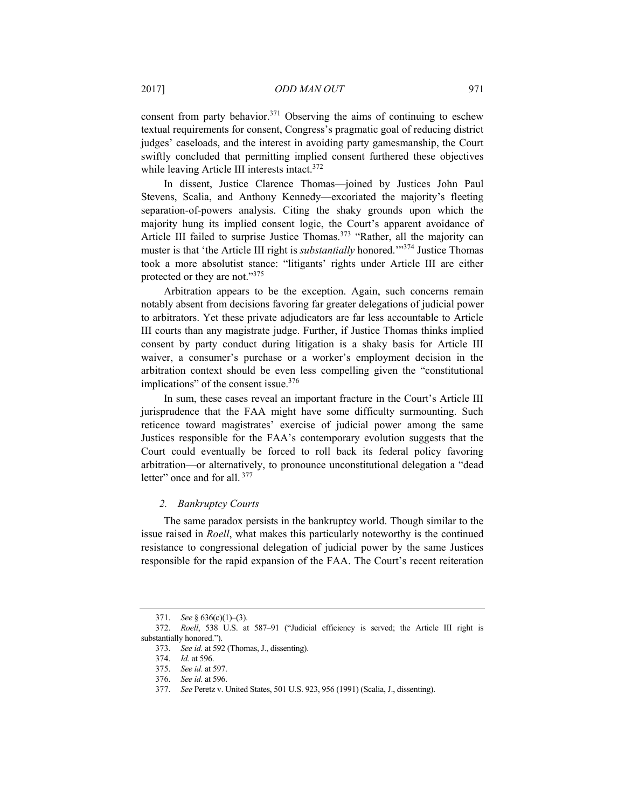consent from party behavior.<sup>371</sup> Observing the aims of continuing to eschew textual requirements for consent, Congress's pragmatic goal of reducing district judges' caseloads, and the interest in avoiding party gamesmanship, the Court swiftly concluded that permitting implied consent furthered these objectives while leaving Article III interests intact.<sup>372</sup>

In dissent, Justice Clarence Thomas—joined by Justices John Paul Stevens, Scalia, and Anthony Kennedy—excoriated the majority's fleeting separation-of-powers analysis. Citing the shaky grounds upon which the majority hung its implied consent logic, the Court's apparent avoidance of Article III failed to surprise Justice Thomas.<sup>373</sup> "Rather, all the majority can muster is that 'the Article III right is *substantially* honored.'"374 Justice Thomas took a more absolutist stance: "litigants' rights under Article III are either protected or they are not."375

Arbitration appears to be the exception. Again, such concerns remain notably absent from decisions favoring far greater delegations of judicial power to arbitrators. Yet these private adjudicators are far less accountable to Article III courts than any magistrate judge. Further, if Justice Thomas thinks implied consent by party conduct during litigation is a shaky basis for Article III waiver, a consumer's purchase or a worker's employment decision in the arbitration context should be even less compelling given the "constitutional implications" of the consent issue.<sup>376</sup>

In sum, these cases reveal an important fracture in the Court's Article III jurisprudence that the FAA might have some difficulty surmounting. Such reticence toward magistrates' exercise of judicial power among the same Justices responsible for the FAA's contemporary evolution suggests that the Court could eventually be forced to roll back its federal policy favoring arbitration––or alternatively, to pronounce unconstitutional delegation a "dead letter" once and for all.<sup>377</sup>

## *2. Bankruptcy Courts*

The same paradox persists in the bankruptcy world. Though similar to the issue raised in *Roell*, what makes this particularly noteworthy is the continued resistance to congressional delegation of judicial power by the same Justices responsible for the rapid expansion of the FAA. The Court's recent reiteration

<sup>371.</sup> *See* § 636(c)(1)–(3).

<sup>372.</sup> *Roell*, 538 U.S. at 587–91 ("Judicial efficiency is served; the Article III right is substantially honored.").

<sup>373.</sup> *See id.* at 592 (Thomas, J., dissenting).

<sup>374.</sup> *Id.* at 596.

<sup>375.</sup> *See id.* at 597.

<sup>376.</sup> *See id.* at 596.

<sup>377.</sup> *See* Peretz v. United States, 501 U.S. 923, 956 (1991) (Scalia, J., dissenting).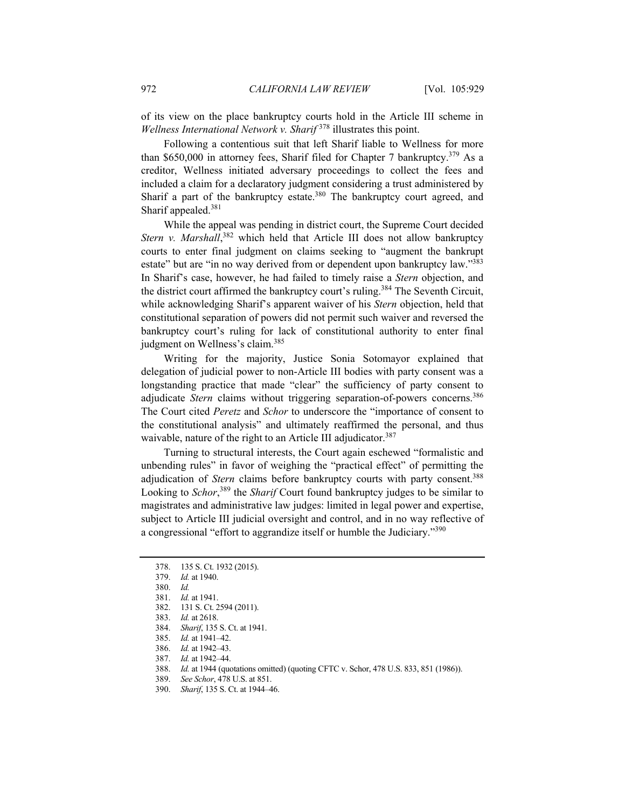of its view on the place bankruptcy courts hold in the Article III scheme in *Wellness International Network v. Sharif* 378 illustrates this point.

Following a contentious suit that left Sharif liable to Wellness for more than \$650,000 in attorney fees, Sharif filed for Chapter 7 bankruptcy.<sup>379</sup> As a creditor, Wellness initiated adversary proceedings to collect the fees and included a claim for a declaratory judgment considering a trust administered by Sharif a part of the bankruptcy estate.<sup>380</sup> The bankruptcy court agreed, and Sharif appealed.381

While the appeal was pending in district court, the Supreme Court decided Stern v. Marshall,<sup>382</sup> which held that Article III does not allow bankruptcy courts to enter final judgment on claims seeking to "augment the bankrupt estate" but are "in no way derived from or dependent upon bankruptcy law."<sup>383</sup> In Sharif's case, however, he had failed to timely raise a *Stern* objection, and the district court affirmed the bankruptcy court's ruling.384 The Seventh Circuit, while acknowledging Sharif's apparent waiver of his *Stern* objection, held that constitutional separation of powers did not permit such waiver and reversed the bankruptcy court's ruling for lack of constitutional authority to enter final judgment on Wellness's claim.<sup>385</sup>

Writing for the majority, Justice Sonia Sotomayor explained that delegation of judicial power to non-Article III bodies with party consent was a longstanding practice that made "clear" the sufficiency of party consent to adjudicate *Stern* claims without triggering separation-of-powers concerns.<sup>386</sup> The Court cited *Peretz* and *Schor* to underscore the "importance of consent to the constitutional analysis" and ultimately reaffirmed the personal, and thus waivable, nature of the right to an Article III adjudicator.<sup>387</sup>

Turning to structural interests, the Court again eschewed "formalistic and unbending rules" in favor of weighing the "practical effect" of permitting the adjudication of *Stern* claims before bankruptcy courts with party consent.<sup>388</sup> Looking to *Schor*, 389 the *Sharif* Court found bankruptcy judges to be similar to magistrates and administrative law judges: limited in legal power and expertise, subject to Article III judicial oversight and control, and in no way reflective of a congressional "effort to aggrandize itself or humble the Judiciary."390

383. *Id.* at 2618.

385. *Id.* at 1941–42.

387. *Id.* at 1942–44.

 <sup>378. 135</sup> S. Ct. 1932 (2015).

<sup>379.</sup> *Id.* at 1940.

<sup>380.</sup> *Id.*

<sup>381.</sup> *Id.* at 1941.

 <sup>382. 131</sup> S. Ct. 2594 (2011).

<sup>384.</sup> *Sharif*, 135 S. Ct. at 1941.

<sup>386.</sup> *Id.* at 1942–43.

<sup>388.</sup> *Id.* at 1944 (quotations omitted) (quoting CFTC v. Schor, 478 U.S. 833, 851 (1986)).

<sup>389.</sup> *See Schor*, 478 U.S. at 851.

<sup>390.</sup> *Sharif*, 135 S. Ct. at 1944–46.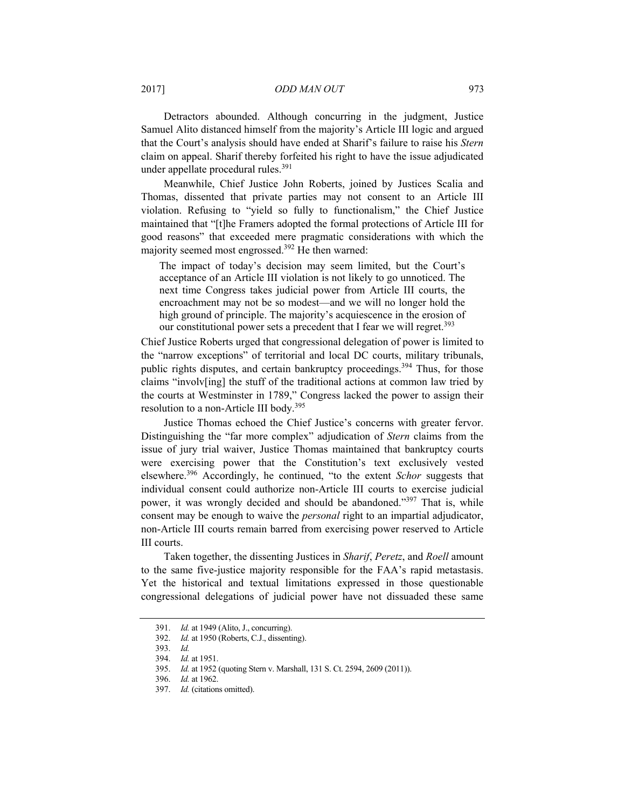2017] *ODD MAN OUT* 973

Detractors abounded. Although concurring in the judgment, Justice Samuel Alito distanced himself from the majority's Article III logic and argued that the Court's analysis should have ended at Sharif's failure to raise his *Stern* claim on appeal. Sharif thereby forfeited his right to have the issue adjudicated under appellate procedural rules.<sup>391</sup>

Meanwhile, Chief Justice John Roberts, joined by Justices Scalia and Thomas, dissented that private parties may not consent to an Article III violation. Refusing to "yield so fully to functionalism," the Chief Justice maintained that "[t]he Framers adopted the formal protections of Article III for good reasons" that exceeded mere pragmatic considerations with which the majority seemed most engrossed.<sup>392</sup> He then warned:

The impact of today's decision may seem limited, but the Court's acceptance of an Article III violation is not likely to go unnoticed. The next time Congress takes judicial power from Article III courts, the encroachment may not be so modest—and we will no longer hold the high ground of principle. The majority's acquiescence in the erosion of our constitutional power sets a precedent that I fear we will regret.<sup>393</sup>

Chief Justice Roberts urged that congressional delegation of power is limited to the "narrow exceptions" of territorial and local DC courts, military tribunals, public rights disputes, and certain bankruptcy proceedings.<sup>394</sup> Thus, for those claims "involv[ing] the stuff of the traditional actions at common law tried by the courts at Westminster in 1789," Congress lacked the power to assign their resolution to a non-Article III body.395

Justice Thomas echoed the Chief Justice's concerns with greater fervor. Distinguishing the "far more complex" adjudication of *Stern* claims from the issue of jury trial waiver, Justice Thomas maintained that bankruptcy courts were exercising power that the Constitution's text exclusively vested elsewhere.396 Accordingly, he continued, "to the extent *Schor* suggests that individual consent could authorize non-Article III courts to exercise judicial power, it was wrongly decided and should be abandoned."<sup>397</sup> That is, while consent may be enough to waive the *personal* right to an impartial adjudicator, non-Article III courts remain barred from exercising power reserved to Article III courts.

Taken together, the dissenting Justices in *Sharif*, *Peretz*, and *Roell* amount to the same five-justice majority responsible for the FAA's rapid metastasis. Yet the historical and textual limitations expressed in those questionable congressional delegations of judicial power have not dissuaded these same

<sup>391.</sup> *Id.* at 1949 (Alito, J., concurring).

<sup>392.</sup> *Id.* at 1950 (Roberts, C.J., dissenting).

<sup>393.</sup> *Id.*

<sup>394.</sup> *Id.* at 1951.

<sup>395.</sup> *Id.* at 1952 (quoting Stern v. Marshall, 131 S. Ct. 2594, 2609 (2011)).

<sup>396.</sup> *Id.* at 1962.

<sup>397.</sup> *Id.* (citations omitted).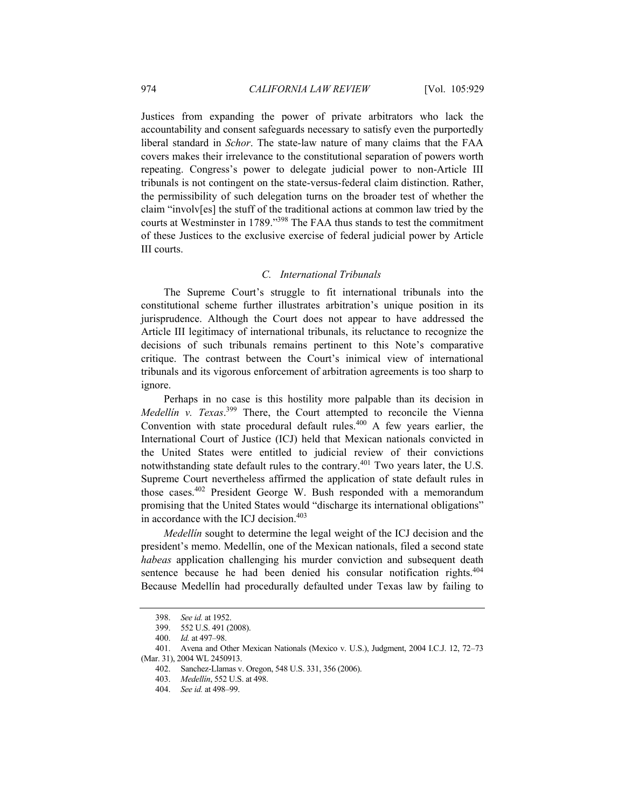Justices from expanding the power of private arbitrators who lack the accountability and consent safeguards necessary to satisfy even the purportedly liberal standard in *Schor*. The state-law nature of many claims that the FAA covers makes their irrelevance to the constitutional separation of powers worth repeating. Congress's power to delegate judicial power to non-Article III tribunals is not contingent on the state-versus-federal claim distinction. Rather, the permissibility of such delegation turns on the broader test of whether the claim "involv[es] the stuff of the traditional actions at common law tried by the courts at Westminster in 1789."398 The FAA thus stands to test the commitment of these Justices to the exclusive exercise of federal judicial power by Article III courts.

# *C. International Tribunals*

The Supreme Court's struggle to fit international tribunals into the constitutional scheme further illustrates arbitration's unique position in its jurisprudence. Although the Court does not appear to have addressed the Article III legitimacy of international tribunals, its reluctance to recognize the decisions of such tribunals remains pertinent to this Note's comparative critique. The contrast between the Court's inimical view of international tribunals and its vigorous enforcement of arbitration agreements is too sharp to ignore.

Perhaps in no case is this hostility more palpable than its decision in *Medellín v. Texas*. 399 There, the Court attempted to reconcile the Vienna Convention with state procedural default rules. $400$  A few years earlier, the International Court of Justice (ICJ) held that Mexican nationals convicted in the United States were entitled to judicial review of their convictions notwithstanding state default rules to the contrary.<sup>401</sup> Two years later, the U.S. Supreme Court nevertheless affirmed the application of state default rules in those cases.402 President George W. Bush responded with a memorandum promising that the United States would "discharge its international obligations" in accordance with the ICJ decision.<sup>403</sup>

*Medellín* sought to determine the legal weight of the ICJ decision and the president's memo. Medellín, one of the Mexican nationals, filed a second state *habeas* application challenging his murder conviction and subsequent death sentence because he had been denied his consular notification rights.<sup>404</sup> Because Medellín had procedurally defaulted under Texas law by failing to

<sup>398.</sup> *See id.* at 1952.

 <sup>399. 552</sup> U.S. 491 (2008).

<sup>400.</sup> *Id.* at 497–98.

 <sup>401.</sup> Avena and Other Mexican Nationals (Mexico v. U.S.), Judgment, 2004 I.C.J. 12, 72–73 (Mar. 31), 2004 WL 2450913.

 <sup>402.</sup> Sanchez-Llamas v. Oregon, 548 U.S. 331, 356 (2006).

<sup>403.</sup> *Medellín*, 552 U.S. at 498.

<sup>404.</sup> *See id.* at 498–99.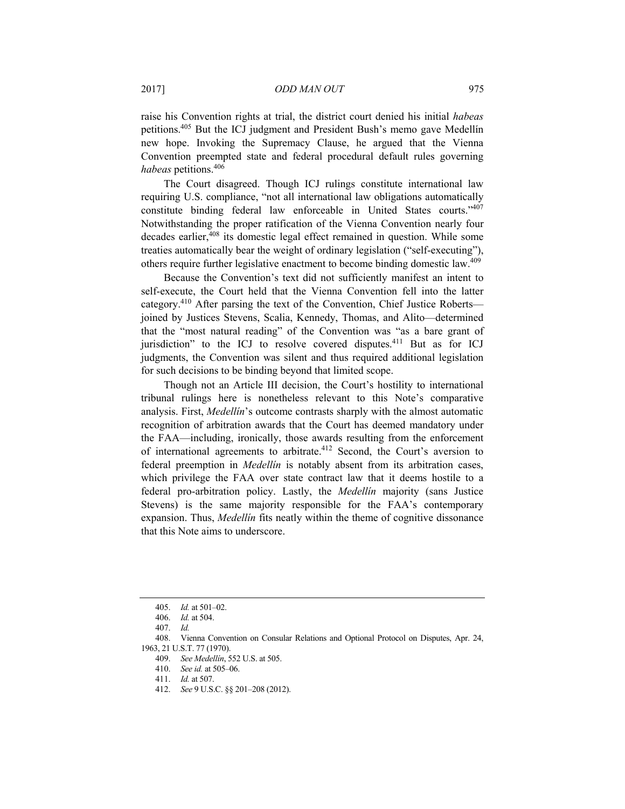raise his Convention rights at trial, the district court denied his initial *habeas* petitions.405 But the ICJ judgment and President Bush's memo gave Medellín new hope. Invoking the Supremacy Clause, he argued that the Vienna Convention preempted state and federal procedural default rules governing *habeas* petitions.406

The Court disagreed. Though ICJ rulings constitute international law requiring U.S. compliance, "not all international law obligations automatically constitute binding federal law enforceable in United States courts."407 Notwithstanding the proper ratification of the Vienna Convention nearly four decades earlier,<sup>408</sup> its domestic legal effect remained in question. While some treaties automatically bear the weight of ordinary legislation ("self-executing"), others require further legislative enactment to become binding domestic law.409

Because the Convention's text did not sufficiently manifest an intent to self-execute, the Court held that the Vienna Convention fell into the latter category.410 After parsing the text of the Convention, Chief Justice Roberts joined by Justices Stevens, Scalia, Kennedy, Thomas, and Alito—determined that the "most natural reading" of the Convention was "as a bare grant of jurisdiction" to the ICJ to resolve covered disputes.<sup>411</sup> But as for ICJ judgments, the Convention was silent and thus required additional legislation for such decisions to be binding beyond that limited scope.

Though not an Article III decision, the Court's hostility to international tribunal rulings here is nonetheless relevant to this Note's comparative analysis. First, *Medellín*'s outcome contrasts sharply with the almost automatic recognition of arbitration awards that the Court has deemed mandatory under the FAA—including, ironically, those awards resulting from the enforcement of international agreements to arbitrate.412 Second, the Court's aversion to federal preemption in *Medellín* is notably absent from its arbitration cases, which privilege the FAA over state contract law that it deems hostile to a federal pro-arbitration policy. Lastly, the *Medellín* majority (sans Justice Stevens) is the same majority responsible for the FAA's contemporary expansion. Thus, *Medellín* fits neatly within the theme of cognitive dissonance that this Note aims to underscore.

<sup>405.</sup> *Id.* at 501–02.

<sup>406.</sup> *Id.* at 504.

<sup>407.</sup> *Id.*

 <sup>408.</sup> Vienna Convention on Consular Relations and Optional Protocol on Disputes, Apr. 24, 1963, 21 U.S.T. 77 (1970).

<sup>409.</sup> *See Medellín*, 552 U.S. at 505.

<sup>410.</sup> *See id.* at 505–06.

<sup>411.</sup> *Id.* at 507.

<sup>412.</sup> *See* 9 U.S.C. §§ 201–208 (2012).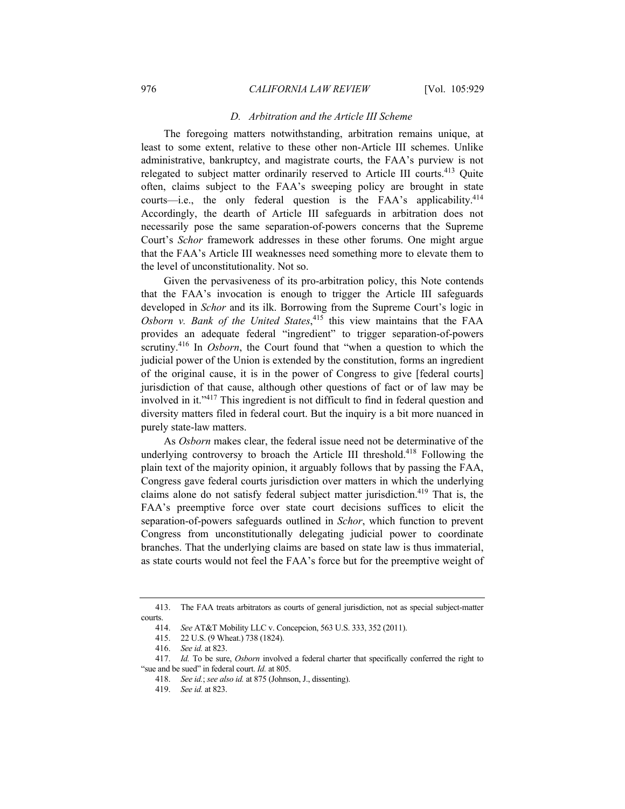#### *D. Arbitration and the Article III Scheme*

The foregoing matters notwithstanding, arbitration remains unique, at least to some extent, relative to these other non-Article III schemes. Unlike administrative, bankruptcy, and magistrate courts, the FAA's purview is not relegated to subject matter ordinarily reserved to Article III courts.<sup>413</sup> Quite often, claims subject to the FAA's sweeping policy are brought in state courts—i.e., the only federal question is the FAA's applicability.<sup>414</sup> Accordingly, the dearth of Article III safeguards in arbitration does not necessarily pose the same separation-of-powers concerns that the Supreme Court's *Schor* framework addresses in these other forums. One might argue that the FAA's Article III weaknesses need something more to elevate them to the level of unconstitutionality. Not so.

Given the pervasiveness of its pro-arbitration policy, this Note contends that the FAA's invocation is enough to trigger the Article III safeguards developed in *Schor* and its ilk. Borrowing from the Supreme Court's logic in *Osborn v. Bank of the United States*, 415 this view maintains that the FAA provides an adequate federal "ingredient" to trigger separation-of-powers scrutiny.<sup>416</sup> In *Osborn*, the Court found that "when a question to which the judicial power of the Union is extended by the constitution, forms an ingredient of the original cause, it is in the power of Congress to give [federal courts] jurisdiction of that cause, although other questions of fact or of law may be involved in it."417 This ingredient is not difficult to find in federal question and diversity matters filed in federal court. But the inquiry is a bit more nuanced in purely state-law matters.

As *Osborn* makes clear, the federal issue need not be determinative of the underlying controversy to broach the Article III threshold.<sup>418</sup> Following the plain text of the majority opinion, it arguably follows that by passing the FAA, Congress gave federal courts jurisdiction over matters in which the underlying claims alone do not satisfy federal subject matter jurisdiction.<sup>419</sup> That is, the FAA's preemptive force over state court decisions suffices to elicit the separation-of-powers safeguards outlined in *Schor*, which function to prevent Congress from unconstitutionally delegating judicial power to coordinate branches. That the underlying claims are based on state law is thus immaterial, as state courts would not feel the FAA's force but for the preemptive weight of

 <sup>413.</sup> The FAA treats arbitrators as courts of general jurisdiction, not as special subject-matter courts.

<sup>414.</sup> *See* AT&T Mobility LLC v. Concepcion, 563 U.S. 333, 352 (2011).

 <sup>415. 22</sup> U.S. (9 Wheat.) 738 (1824).

<sup>416.</sup> *See id.* at 823.

<sup>417.</sup> *Id.* To be sure, *Osborn* involved a federal charter that specifically conferred the right to "sue and be sued" in federal court. *Id.* at 805.

<sup>418.</sup> *See id.*; *see also id.* at 875 (Johnson, J., dissenting).

<sup>419.</sup> *See id.* at 823.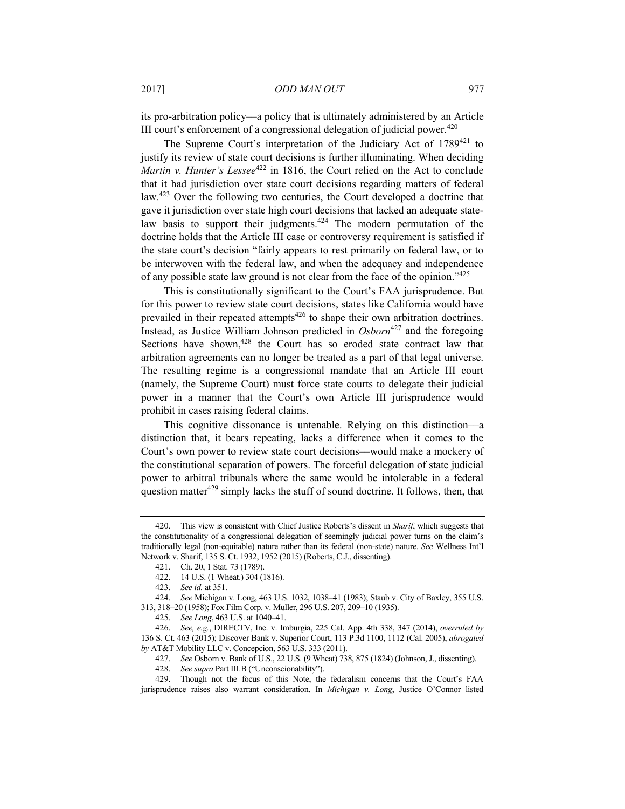its pro-arbitration policy––a policy that is ultimately administered by an Article III court's enforcement of a congressional delegation of judicial power. $420$ 

The Supreme Court's interpretation of the Judiciary Act of 1789<sup>421</sup> to justify its review of state court decisions is further illuminating. When deciding *Martin v. Hunter's Lessee*<sup>422</sup> in 1816, the Court relied on the Act to conclude that it had jurisdiction over state court decisions regarding matters of federal law.<sup>423</sup> Over the following two centuries, the Court developed a doctrine that gave it jurisdiction over state high court decisions that lacked an adequate statelaw basis to support their judgments.<sup> $424$ </sup> The modern permutation of the doctrine holds that the Article III case or controversy requirement is satisfied if the state court's decision "fairly appears to rest primarily on federal law, or to be interwoven with the federal law, and when the adequacy and independence of any possible state law ground is not clear from the face of the opinion."425

This is constitutionally significant to the Court's FAA jurisprudence. But for this power to review state court decisions, states like California would have prevailed in their repeated attempts<sup>426</sup> to shape their own arbitration doctrines. Instead, as Justice William Johnson predicted in *Osborn*427 and the foregoing Sections have shown,  $428$  the Court has so eroded state contract law that arbitration agreements can no longer be treated as a part of that legal universe. The resulting regime is a congressional mandate that an Article III court (namely, the Supreme Court) must force state courts to delegate their judicial power in a manner that the Court's own Article III jurisprudence would prohibit in cases raising federal claims.

This cognitive dissonance is untenable. Relying on this distinction––a distinction that, it bears repeating, lacks a difference when it comes to the Court's own power to review state court decisions––would make a mockery of the constitutional separation of powers. The forceful delegation of state judicial power to arbitral tribunals where the same would be intolerable in a federal question matter $429$  simply lacks the stuff of sound doctrine. It follows, then, that

 <sup>420.</sup> This view is consistent with Chief Justice Roberts's dissent in *Sharif*, which suggests that the constitutionality of a congressional delegation of seemingly judicial power turns on the claim's traditionally legal (non-equitable) nature rather than its federal (non-state) nature. *See* Wellness Int'l Network v. Sharif, 135 S. Ct. 1932, 1952 (2015) (Roberts, C.J., dissenting).

 <sup>421.</sup> Ch. 20, 1 Stat. 73 (1789).

 <sup>422. 14</sup> U.S. (1 Wheat.) 304 (1816).

<sup>423.</sup> *See id.* at 351.

<sup>424.</sup> *See* Michigan v. Long, 463 U.S. 1032, 1038–41 (1983); Staub v. City of Baxley, 355 U.S. 313, 318–20 (1958); Fox Film Corp. v. Muller, 296 U.S. 207, 209–10 (1935).

<sup>425.</sup> *See Long*, 463 U.S. at 1040–41.

<sup>426.</sup> *See, e.g.*, DIRECTV, Inc. v. Imburgia, 225 Cal. App. 4th 338, 347 (2014), *overruled by*  136 S. Ct. 463 (2015); Discover Bank v. Superior Court, 113 P.3d 1100, 1112 (Cal. 2005), *abrogated by* AT&T Mobility LLC v. Concepcion, 563 U.S. 333 (2011).

<sup>427.</sup> *See* Osborn v. Bank of U.S., 22 U.S. (9 Wheat) 738, 875 (1824) (Johnson, J., dissenting).

<sup>428.</sup> *See supra* Part III.B ("Unconscionability").

 <sup>429.</sup> Though not the focus of this Note, the federalism concerns that the Court's FAA jurisprudence raises also warrant consideration. In *Michigan v. Long*, Justice O'Connor listed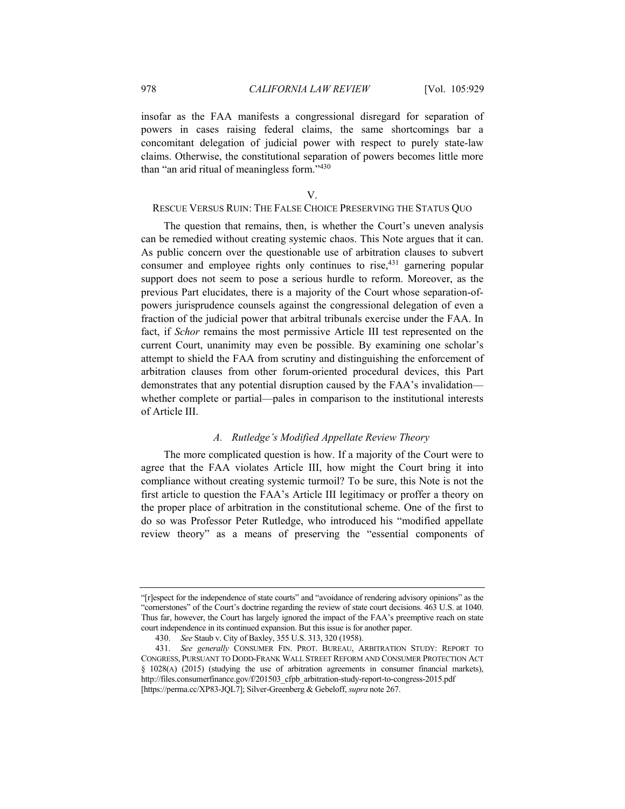insofar as the FAA manifests a congressional disregard for separation of powers in cases raising federal claims, the same shortcomings bar a concomitant delegation of judicial power with respect to purely state-law claims. Otherwise, the constitutional separation of powers becomes little more than "an arid ritual of meaningless form."<sup>430</sup>

#### V.

# RESCUE VERSUS RUIN: THE FALSE CHOICE PRESERVING THE STATUS QUO

The question that remains, then, is whether the Court's uneven analysis can be remedied without creating systemic chaos. This Note argues that it can. As public concern over the questionable use of arbitration clauses to subvert consumer and employee rights only continues to rise,  $431$  garnering popular support does not seem to pose a serious hurdle to reform. Moreover, as the previous Part elucidates, there is a majority of the Court whose separation-ofpowers jurisprudence counsels against the congressional delegation of even a fraction of the judicial power that arbitral tribunals exercise under the FAA. In fact, if *Schor* remains the most permissive Article III test represented on the current Court, unanimity may even be possible. By examining one scholar's attempt to shield the FAA from scrutiny and distinguishing the enforcement of arbitration clauses from other forum-oriented procedural devices, this Part demonstrates that any potential disruption caused by the FAA's invalidation–– whether complete or partial—pales in comparison to the institutional interests of Article III.

# *A. Rutledge's Modified Appellate Review Theory*

The more complicated question is how. If a majority of the Court were to agree that the FAA violates Article III, how might the Court bring it into compliance without creating systemic turmoil? To be sure, this Note is not the first article to question the FAA's Article III legitimacy or proffer a theory on the proper place of arbitration in the constitutional scheme. One of the first to do so was Professor Peter Rutledge, who introduced his "modified appellate review theory" as a means of preserving the "essential components of

<sup>&</sup>quot;[r]espect for the independence of state courts" and "avoidance of rendering advisory opinions" as the "cornerstones" of the Court's doctrine regarding the review of state court decisions. 463 U.S. at 1040. Thus far, however, the Court has largely ignored the impact of the FAA's preemptive reach on state court independence in its continued expansion. But this issue is for another paper.

<sup>430.</sup> *See* Staub v. City of Baxley, 355 U.S. 313, 320 (1958).

<sup>431.</sup> *See generally* CONSUMER FIN. PROT. BUREAU, ARBITRATION STUDY: REPORT TO CONGRESS, PURSUANT TO DODD-FRANK WALL STREET REFORM AND CONSUMER PROTECTION ACT § 1028(A) (2015) (studying the use of arbitration agreements in consumer financial markets), http://files.consumerfinance.gov/f/201503\_cfpb\_arbitration-study-report-to-congress-2015.pdf [https://perma.cc/XP83-JQL7]; Silver-Greenberg & Gebeloff, *supra* note 267.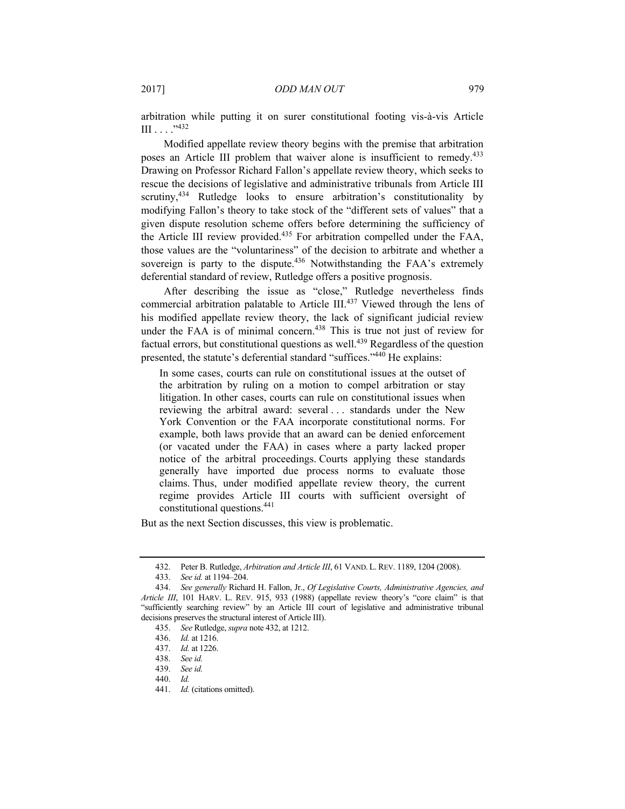arbitration while putting it on surer constitutional footing vis-à-vis Article  $III \ldots$  . . . . 432

Modified appellate review theory begins with the premise that arbitration poses an Article III problem that waiver alone is insufficient to remedy.<sup>433</sup> Drawing on Professor Richard Fallon's appellate review theory, which seeks to rescue the decisions of legislative and administrative tribunals from Article III scrutiny, $434$  Rutledge looks to ensure arbitration's constitutionality by modifying Fallon's theory to take stock of the "different sets of values" that a given dispute resolution scheme offers before determining the sufficiency of the Article III review provided.435 For arbitration compelled under the FAA, those values are the "voluntariness" of the decision to arbitrate and whether a sovereign is party to the dispute.<sup>436</sup> Notwithstanding the FAA's extremely deferential standard of review, Rutledge offers a positive prognosis.

After describing the issue as "close," Rutledge nevertheless finds commercial arbitration palatable to Article III.<sup>437</sup> Viewed through the lens of his modified appellate review theory, the lack of significant judicial review under the FAA is of minimal concern.<sup>438</sup> This is true not just of review for factual errors, but constitutional questions as well.<sup>439</sup> Regardless of the question presented, the statute's deferential standard "suffices."440 He explains:

In some cases, courts can rule on constitutional issues at the outset of the arbitration by ruling on a motion to compel arbitration or stay litigation. In other cases, courts can rule on constitutional issues when reviewing the arbitral award: several . . . standards under the New York Convention or the FAA incorporate constitutional norms. For example, both laws provide that an award can be denied enforcement (or vacated under the FAA) in cases where a party lacked proper notice of the arbitral proceedings. Courts applying these standards generally have imported due process norms to evaluate those claims. Thus, under modified appellate review theory, the current regime provides Article III courts with sufficient oversight of constitutional questions.441

But as the next Section discusses, this view is problematic.

 <sup>432.</sup> Peter B. Rutledge, *Arbitration and Article III*, 61 VAND. L. REV. 1189, 1204 (2008).

<sup>433.</sup> *See id.* at 1194–204.

<sup>434.</sup> *See generally* Richard H. Fallon, Jr., *Of Legislative Courts, Administrative Agencies, and Article III*, 101 HARV. L. REV. 915, 933 (1988) (appellate review theory's "core claim" is that "sufficiently searching review" by an Article III court of legislative and administrative tribunal decisions preserves the structural interest of Article III).

<sup>435.</sup> *See* Rutledge, *supra* note 432, at 1212.

<sup>436.</sup> *Id.* at 1216.

<sup>437.</sup> *Id.* at 1226.

<sup>438.</sup> *See id.*

<sup>439.</sup> *See id.*

<sup>440.</sup> *Id.*

<sup>441.</sup> *Id.* (citations omitted).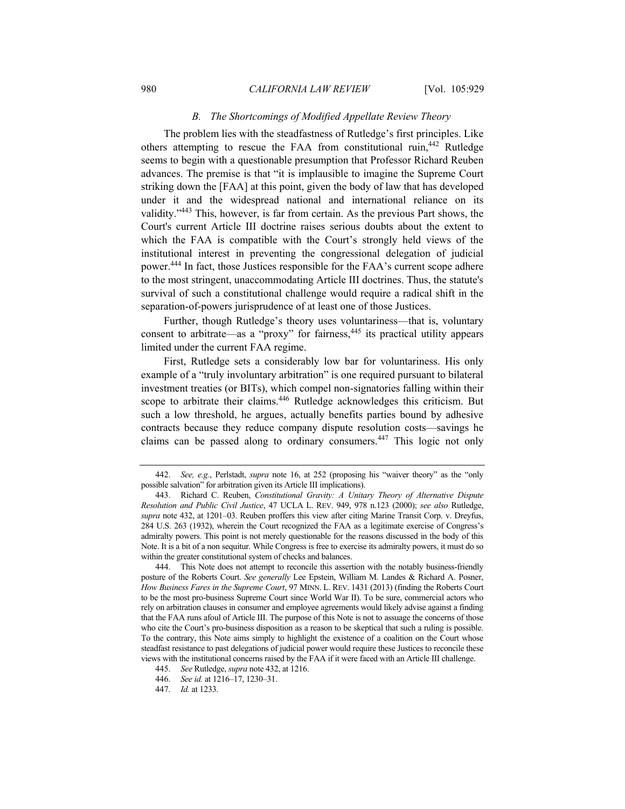## *B. The Shortcomings of Modified Appellate Review Theory*

The problem lies with the steadfastness of Rutledge's first principles. Like others attempting to rescue the FAA from constitutional ruin,442 Rutledge seems to begin with a questionable presumption that Professor Richard Reuben advances. The premise is that "it is implausible to imagine the Supreme Court striking down the [FAA] at this point, given the body of law that has developed under it and the widespread national and international reliance on its validity."443 This, however, is far from certain. As the previous Part shows, the Court's current Article III doctrine raises serious doubts about the extent to which the FAA is compatible with the Court's strongly held views of the institutional interest in preventing the congressional delegation of judicial power.444 In fact, those Justices responsible for the FAA's current scope adhere to the most stringent, unaccommodating Article III doctrines. Thus, the statute's survival of such a constitutional challenge would require a radical shift in the separation-of-powers jurisprudence of at least one of those Justices.

Further, though Rutledge's theory uses voluntariness––that is, voluntary consent to arbitrate—as a "proxy" for fairness,  $445$  its practical utility appears limited under the current FAA regime.

First, Rutledge sets a considerably low bar for voluntariness. His only example of a "truly involuntary arbitration" is one required pursuant to bilateral investment treaties (or BITs), which compel non-signatories falling within their scope to arbitrate their claims.<sup>446</sup> Rutledge acknowledges this criticism. But such a low threshold, he argues, actually benefits parties bound by adhesive contracts because they reduce company dispute resolution costs—savings he claims can be passed along to ordinary consumers.447 This logic not only

<sup>442.</sup> *See, e.g.*, Perlstadt, *supra* note 16, at 252 (proposing his "waiver theory" as the "only possible salvation" for arbitration given its Article III implications).

 <sup>443.</sup> Richard C. Reuben, *Constitutional Gravity: A Unitary Theory of Alternative Dispute Resolution and Public Civil Justice*, 47 UCLA L. REV. 949, 978 n.123 (2000); *see also* Rutledge, *supra* note 432, at 1201–03. Reuben proffers this view after citing Marine Transit Corp. v. Dreyfus, 284 U.S. 263 (1932), wherein the Court recognized the FAA as a legitimate exercise of Congress's admiralty powers. This point is not merely questionable for the reasons discussed in the body of this Note. It is a bit of a non sequitur. While Congress is free to exercise its admiralty powers, it must do so within the greater constitutional system of checks and balances.

 <sup>444.</sup> This Note does not attempt to reconcile this assertion with the notably business-friendly posture of the Roberts Court. *See generally* Lee Epstein, William M. Landes & Richard A. Posner, *How Business Fares in the Supreme Court*, 97 MINN. L. REV. 1431 (2013) (finding the Roberts Court to be the most pro-business Supreme Court since World War II). To be sure, commercial actors who rely on arbitration clauses in consumer and employee agreements would likely advise against a finding that the FAA runs afoul of Article III. The purpose of this Note is not to assuage the concerns of those who cite the Court's pro-business disposition as a reason to be skeptical that such a ruling is possible. To the contrary, this Note aims simply to highlight the existence of a coalition on the Court whose steadfast resistance to past delegations of judicial power would require these Justices to reconcile these views with the institutional concerns raised by the FAA if it were faced with an Article III challenge.

<sup>445.</sup> *See* Rutledge, *supra* note 432, at 1216.

<sup>446.</sup> *See id.* at 1216–17, 1230–31.

<sup>447.</sup> *Id.* at 1233.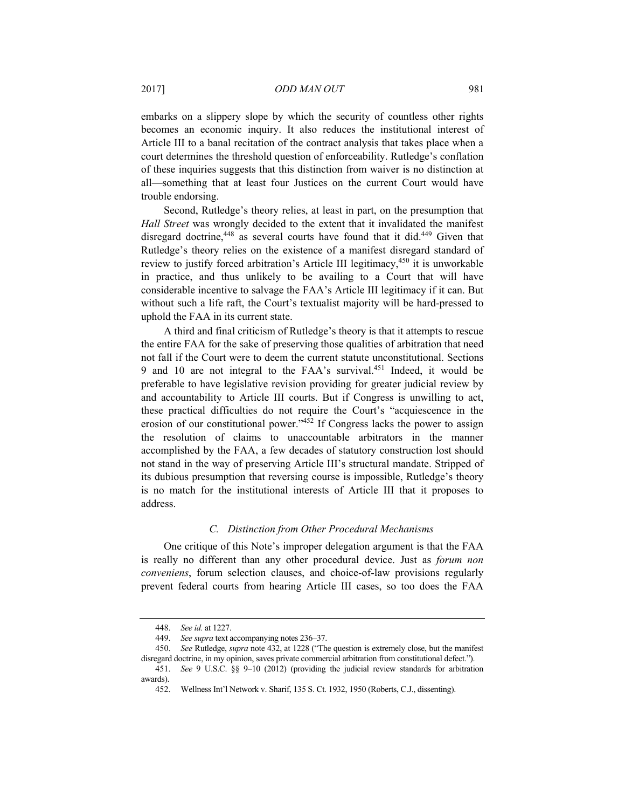embarks on a slippery slope by which the security of countless other rights becomes an economic inquiry. It also reduces the institutional interest of Article III to a banal recitation of the contract analysis that takes place when a court determines the threshold question of enforceability. Rutledge's conflation of these inquiries suggests that this distinction from waiver is no distinction at all—something that at least four Justices on the current Court would have trouble endorsing.

Second, Rutledge's theory relies, at least in part, on the presumption that *Hall Street* was wrongly decided to the extent that it invalidated the manifest disregard doctrine, $448$  as several courts have found that it did. $449$  Given that Rutledge's theory relies on the existence of a manifest disregard standard of review to justify forced arbitration's Article III legitimacy,<sup>450</sup> it is unworkable in practice, and thus unlikely to be availing to a Court that will have considerable incentive to salvage the FAA's Article III legitimacy if it can. But without such a life raft, the Court's textualist majority will be hard-pressed to uphold the FAA in its current state.

A third and final criticism of Rutledge's theory is that it attempts to rescue the entire FAA for the sake of preserving those qualities of arbitration that need not fall if the Court were to deem the current statute unconstitutional. Sections 9 and 10 are not integral to the FAA's survival.451 Indeed, it would be preferable to have legislative revision providing for greater judicial review by and accountability to Article III courts. But if Congress is unwilling to act, these practical difficulties do not require the Court's "acquiescence in the erosion of our constitutional power." $452$  If Congress lacks the power to assign the resolution of claims to unaccountable arbitrators in the manner accomplished by the FAA, a few decades of statutory construction lost should not stand in the way of preserving Article III's structural mandate. Stripped of its dubious presumption that reversing course is impossible, Rutledge's theory is no match for the institutional interests of Article III that it proposes to address.

# *C. Distinction from Other Procedural Mechanisms*

One critique of this Note's improper delegation argument is that the FAA is really no different than any other procedural device. Just as *forum non conveniens*, forum selection clauses, and choice-of-law provisions regularly prevent federal courts from hearing Article III cases, so too does the FAA

<sup>448.</sup> *See id.* at 1227.

<sup>449.</sup> *See supra* text accompanying notes 236–37.

<sup>450.</sup> *See* Rutledge, *supra* note 432, at 1228 ("The question is extremely close, but the manifest disregard doctrine, in my opinion, saves private commercial arbitration from constitutional defect.").

<sup>451.</sup> *See* 9 U.S.C. §§ 9–10 (2012) (providing the judicial review standards for arbitration awards).

 <sup>452.</sup> Wellness Int'l Network v. Sharif, 135 S. Ct. 1932, 1950 (Roberts, C.J., dissenting).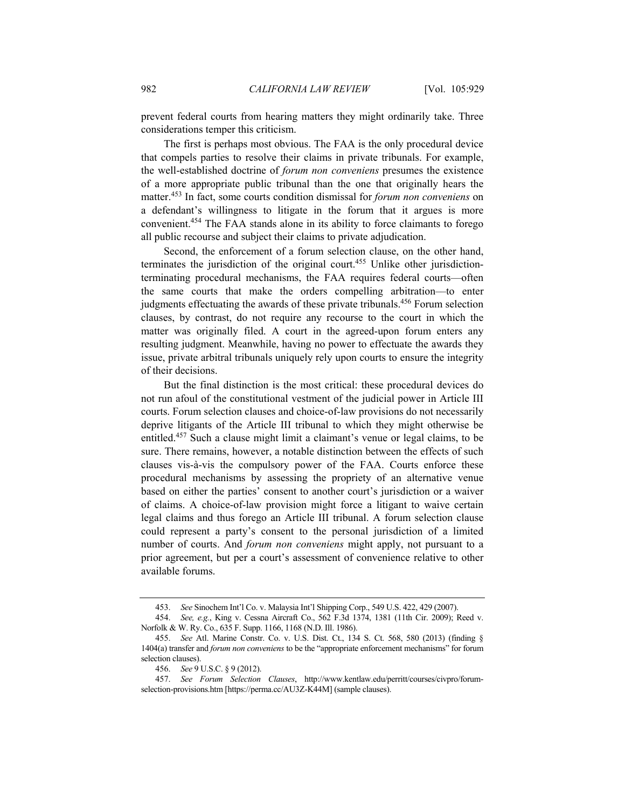prevent federal courts from hearing matters they might ordinarily take. Three considerations temper this criticism.

The first is perhaps most obvious. The FAA is the only procedural device that compels parties to resolve their claims in private tribunals. For example, the well-established doctrine of *forum non conveniens* presumes the existence of a more appropriate public tribunal than the one that originally hears the matter.453 In fact, some courts condition dismissal for *forum non conveniens* on a defendant's willingness to litigate in the forum that it argues is more convenient.454 The FAA stands alone in its ability to force claimants to forego all public recourse and subject their claims to private adjudication.

Second, the enforcement of a forum selection clause, on the other hand, terminates the jurisdiction of the original court.<sup>455</sup> Unlike other jurisdictionterminating procedural mechanisms, the FAA requires federal courts––often the same courts that make the orders compelling arbitration––to enter judgments effectuating the awards of these private tribunals.<sup>456</sup> Forum selection clauses, by contrast, do not require any recourse to the court in which the matter was originally filed. A court in the agreed-upon forum enters any resulting judgment. Meanwhile, having no power to effectuate the awards they issue, private arbitral tribunals uniquely rely upon courts to ensure the integrity of their decisions.

But the final distinction is the most critical: these procedural devices do not run afoul of the constitutional vestment of the judicial power in Article III courts. Forum selection clauses and choice-of-law provisions do not necessarily deprive litigants of the Article III tribunal to which they might otherwise be entitled.457 Such a clause might limit a claimant's venue or legal claims, to be sure. There remains, however, a notable distinction between the effects of such clauses vis-à-vis the compulsory power of the FAA. Courts enforce these procedural mechanisms by assessing the propriety of an alternative venue based on either the parties' consent to another court's jurisdiction or a waiver of claims. A choice-of-law provision might force a litigant to waive certain legal claims and thus forego an Article III tribunal. A forum selection clause could represent a party's consent to the personal jurisdiction of a limited number of courts. And *forum non conveniens* might apply, not pursuant to a prior agreement, but per a court's assessment of convenience relative to other available forums.

<sup>453.</sup> *See* Sinochem Int'l Co. v. Malaysia Int'l Shipping Corp., 549 U.S. 422, 429 (2007).

<sup>454.</sup> *See, e.g.*, King v. Cessna Aircraft Co., 562 F.3d 1374, 1381 (11th Cir. 2009); Reed v. Norfolk & W. Ry. Co., 635 F. Supp. 1166, 1168 (N.D. Ill. 1986).

<sup>455.</sup> *See* Atl. Marine Constr. Co. v. U.S. Dist. Ct., 134 S. Ct. 568, 580 (2013) (finding § 1404(a) transfer and *forum non conveniens* to be the "appropriate enforcement mechanisms" for forum selection clauses).

<sup>456.</sup> *See* 9 U.S.C. § 9 (2012).

<sup>457.</sup> *See Forum Selection Clauses*, http://www.kentlaw.edu/perritt/courses/civpro/forumselection-provisions.htm [https://perma.cc/AU3Z-K44M] (sample clauses).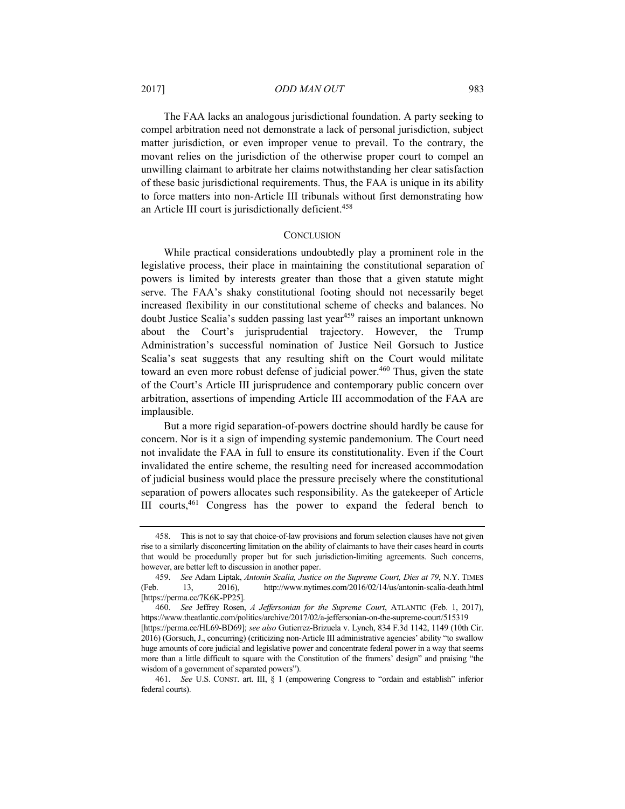## 2017] *ODD MAN OUT* 983

The FAA lacks an analogous jurisdictional foundation. A party seeking to compel arbitration need not demonstrate a lack of personal jurisdiction, subject matter jurisdiction, or even improper venue to prevail. To the contrary, the movant relies on the jurisdiction of the otherwise proper court to compel an unwilling claimant to arbitrate her claims notwithstanding her clear satisfaction of these basic jurisdictional requirements. Thus, the FAA is unique in its ability to force matters into non-Article III tribunals without first demonstrating how an Article III court is jurisdictionally deficient.<sup>458</sup>

## **CONCLUSION**

While practical considerations undoubtedly play a prominent role in the legislative process, their place in maintaining the constitutional separation of powers is limited by interests greater than those that a given statute might serve. The FAA's shaky constitutional footing should not necessarily beget increased flexibility in our constitutional scheme of checks and balances. No doubt Justice Scalia's sudden passing last year<sup>459</sup> raises an important unknown about the Court's jurisprudential trajectory. However, the Trump Administration's successful nomination of Justice Neil Gorsuch to Justice Scalia's seat suggests that any resulting shift on the Court would militate toward an even more robust defense of judicial power.<sup>460</sup> Thus, given the state of the Court's Article III jurisprudence and contemporary public concern over arbitration, assertions of impending Article III accommodation of the FAA are implausible.

But a more rigid separation-of-powers doctrine should hardly be cause for concern. Nor is it a sign of impending systemic pandemonium. The Court need not invalidate the FAA in full to ensure its constitutionality. Even if the Court invalidated the entire scheme, the resulting need for increased accommodation of judicial business would place the pressure precisely where the constitutional separation of powers allocates such responsibility. As the gatekeeper of Article III courts,461 Congress has the power to expand the federal bench to

 <sup>458.</sup> This is not to say that choice-of-law provisions and forum selection clauses have not given rise to a similarly disconcerting limitation on the ability of claimants to have their cases heard in courts that would be procedurally proper but for such jurisdiction-limiting agreements. Such concerns, however, are better left to discussion in another paper.

<sup>459.</sup> *See* Adam Liptak, *Antonin Scalia, Justice on the Supreme Court, Dies at 79*, N.Y. TIMES (Feb. 13, 2016), http://www.nytimes.com/2016/02/14/us/antonin-scalia-death.html [https://perma.cc/7K6K-PP25].

<sup>460.</sup> *See* Jeffrey Rosen, *A Jeffersonian for the Supreme Court*, ATLANTIC (Feb. 1, 2017), https://www.theatlantic.com/politics/archive/2017/02/a-jeffersonian-on-the-supreme-court/515319 [https://perma.cc/HL69-BD69]; *see also* Gutierrez-Brizuela v. Lynch, 834 F.3d 1142, 1149 (10th Cir. 2016) (Gorsuch, J., concurring) (criticizing non-Article III administrative agencies' ability "to swallow huge amounts of core judicial and legislative power and concentrate federal power in a way that seems more than a little difficult to square with the Constitution of the framers' design" and praising "the wisdom of a government of separated powers").

<sup>461.</sup> *See* U.S. CONST. art. III, § 1 (empowering Congress to "ordain and establish" inferior federal courts).